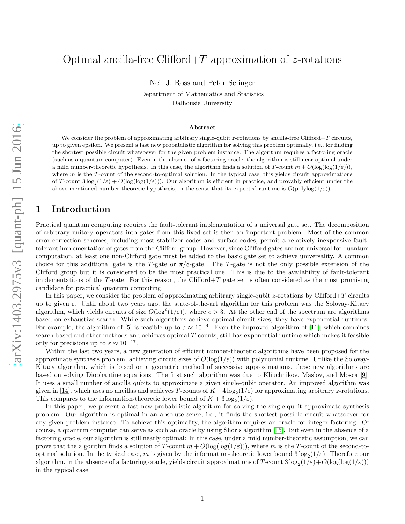## Optimal ancilla-free Clifford  $+T$  approximation of z-rotations

Neil J. Ross and Peter Selinger

Department of Mathematics and Statistics Dalhousie University

#### Abstract

We consider the problem of approximating arbitrary single-qubit z-rotations by ancilla-free Clifford+T circuits, up to given epsilon. We present a fast new probabilistic algorithm for solving this problem optimally, i.e., for finding the shortest possible circuit whatsoever for the given problem instance. The algorithm requires a factoring oracle (such as a quantum computer). Even in the absence of a factoring oracle, the algorithm is still near-optimal under a mild number-theoretic hypothesis. In this case, the algorithm finds a solution of T-count  $m + O(\log(\log(1/\varepsilon)))$ , where  $m$  is the T-count of the second-to-optimal solution. In the typical case, this yields circuit approximations of T-count  $3\log_2(1/\varepsilon) + O(\log(\log(1/\varepsilon)))$ . Our algorithm is efficient in practice, and provably efficient under the above-mentioned number-theoretic hypothesis, in the sense that its expected runtime is  $O(\text{polylog}(1/\varepsilon)).$ 

## 1 Introduction

Practical quantum computing requires the fault-tolerant implementation of a universal gate set. The decomposition of arbitrary unitary operators into gates from this fixed set is then an important problem. Most of the common error correction schemes, including most stabilizer codes and surface codes, permit a relatively inexpensive faulttolerant implementation of gates from the Clifford group. However, since Clifford gates are not universal for quantum computation, at least one non-Clifford gate must be added to the basic gate set to achieve universality. A common choice for this additional gate is the T-gate or  $\pi/8$ -gate. The T-gate is not the only possible extension of the Clifford group but it is considered to be the most practical one. This is due to the availability of fault-tolerant implementations of the T-gate. For this reason, the Clifford+T gate set is often considered as the most promising candidate for practical quantum computing.

In this paper, we consider the problem of approximating arbitrary single-qubit  $z$ -rotations by Clifford+T circuits up to given  $\varepsilon$ . Until about two years ago, the state-of-the-art algorithm for this problem was the Solovay-Kitaev algorithm, which yields circuits of size  $O(\log^c(1/\varepsilon))$ , where  $c > 3$ . At the other end of the spectrum are algorithms based on exhaustive search. While such algorithms achieve optimal circuit sizes, they have exponential runtimes. For example, the algorithm of [\[5\]](#page-38-0) is feasible up to  $\varepsilon \approx 10^{-4}$ . Even the improved algorithm of [\[11\]](#page-39-0), which combines search-based and other methods and achieves optimal T-counts, still has exponential runtime which makes it feasible only for precisions up to  $\varepsilon \approx 10^{-17}$ .

Within the last two years, a new generation of efficient number-theoretic algorithms have been proposed for the approximate synthesis problem, achieving circuit sizes of  $O(\log(1/\varepsilon))$  with polynomial runtime. Unlike the Solovay-Kitaev algorithm, which is based on a geometric method of successive approximations, these new algorithms are based on solving Diophantine equations. The first such algorithm was due to Kliuchnikov, Maslov, and Mosca [\[9\]](#page-38-1). It uses a small number of ancilla qubits to approximate a given single-qubit operator. An improved algorithm was given in [\[14\]](#page-39-1), which uses no ancillas and achieves T-counts of  $K + 4 \log_2(1/\varepsilon)$  for approximating arbitrary z-rotations. This compares to the information-theoretic lower bound of  $K + 3\log_2(1/\varepsilon)$ .

In this paper, we present a fast new probabilistic algorithm for solving the single-qubit approximate synthesis problem. Our algorithm is optimal in an absolute sense, i.e., it finds the shortest possible circuit whatsoever for any given problem instance. To achieve this optimality, the algorithm requires an oracle for integer factoring. Of course, a quantum computer can serve as such an oracle by using Shor's algorithm [\[15\]](#page-39-2). But even in the absence of a factoring oracle, our algorithm is still nearly optimal: In this case, under a mild number-theoretic assumption, we can prove that the algorithm finds a solution of T-count  $m + O(\log(\log(1/\varepsilon)))$ , where m is the T-count of the second-tooptimal solution. In the typical case, m is given by the information-theoretic lower bound  $3\log_2(1/\varepsilon)$ . Therefore our algorithm, in the absence of a factoring oracle, yields circuit approximations of T-count  $3\log_2(1/\varepsilon) + O(\log(\log(1/\varepsilon)))$ in the typical case.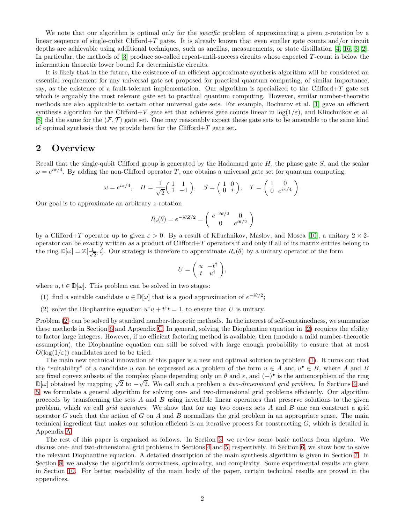We note that our algorithm is optimal only for the *specific* problem of approximating a given z-rotation by a linear sequence of single-qubit Clifford+T gates. It is already known that even smaller gate counts and/or circuit depths are achievable using additional techniques, such as ancillas, measurements, or state distillation [\[4,](#page-38-2) [16,](#page-39-3) [3,](#page-38-3) [2\]](#page-38-4). In particular, the methods of  $[3]$  produce so-called repeat-until-success circuits whose expected  $T$ -count is below the information theoretic lower bound for deterministic circuits.

It is likely that in the future, the existence of an efficient approximate synthesis algorithm will be considered an essential requirement for any universal gate set proposed for practical quantum computing, of similar importance, say, as the existence of a fault-tolerant implementation. Our algorithm is specialized to the Clifford+T gate set which is arguably the most relevant gate set to practical quantum computing. However, similar number-theoretic methods are also applicable to certain other universal gate sets. For example, Bocharov et al. [\[1\]](#page-38-5) gave an efficient synthesis algorithm for the Clifford+V gate set that achieves gate counts linear in  $\log(1/\varepsilon)$ , and Kliuchnikov et al. [\[8\]](#page-38-6) did the same for the  $\langle F, \mathcal{T} \rangle$  gate set. One may reasonably expect these gate sets to be amenable to the same kind of optimal synthesis that we provide here for the Clifford+T gate set.

## 2 Overview

Recall that the single-qubit Clifford group is generated by the Hadamard gate  $H$ , the phase gate  $S$ , and the scalar  $\omega = e^{i\pi/4}$ . By adding the non-Clifford operator T, one obtains a universal gate set for quantum computing.

$$
\omega = e^{i\pi/4}, \quad H = \frac{1}{\sqrt{2}} \begin{pmatrix} 1 & 1 \\ 1 & -1 \end{pmatrix}, \quad S = \begin{pmatrix} 1 & 0 \\ 0 & i \end{pmatrix}, \quad T = \begin{pmatrix} 1 & 0 \\ 0 & e^{i\pi/4} \end{pmatrix}.
$$

Our goal is to approximate an arbitrary z-rotation

$$
R_z(\theta) = e^{-i\theta Z/2} = \begin{pmatrix} e^{-i\theta/2} & 0\\ 0 & e^{i\theta/2} \end{pmatrix}
$$

by a Clifford+T operator up to given  $\varepsilon > 0$ . By a result of Kliuchnikov, Maslov, and Mosca [\[10\]](#page-38-7), a unitary  $2 \times 2$ operator can be exactly written as a product of  $Clifford+T$  operators if and only if all of its matrix entries belong to the ring  $\mathbb{D}[\omega] = \mathbb{Z}[\frac{1}{\sqrt{2}}]$  $\frac{1}{2}$ , *i*. Our strategy is therefore to approximate  $R_z(\theta)$  by a unitary operator of the form

$$
U = \left( \begin{array}{cc} u & -t^{\dagger} \\ t & u^{\dagger} \end{array} \right),
$$

<span id="page-1-1"></span>where  $u, t \in \mathbb{D}[\omega]$ . This problem can be solved in two stages:

- <span id="page-1-0"></span>(1) find a suitable candidate  $u \in \mathbb{D}[\omega]$  that is a good approximation of  $e^{-i\theta/2}$ ;
- (2) solve the Diophantine equation  $u^{\dagger}u + t^{\dagger}t = 1$ , to ensure that U is unitary.

Problem [\(2\)](#page-1-0) can be solved by standard number-theoretic methods. In the interest of self-containedness, we summarize these methods in Section [6](#page-10-0) and Appendix [C.](#page-32-0) In general, solving the Diophantine equation in [\(2\)](#page-1-0) requires the ability to factor large integers. However, if no efficient factoring method is available, then (modulo a mild number-theoretic assumption), the Diophantine equation can still be solved with large enough probability to ensure that at most  $O(\log(1/\varepsilon))$  candidates need to be tried.

The main new technical innovation of this paper is a new and optimal solution to problem [\(1\)](#page-1-1). It turns out that the "suitability" of a candidate u can be expressed as a problem of the form  $u \in A$  and  $u^{\bullet} \in B$ , where A and B are fixed convex subsets of the complex plane depending only on  $\theta$  and  $\varepsilon$ , and  $(-)$  is the automorphism of the ring  $\mathbb{D}[\omega]$  obtained by mapping  $\sqrt{2}$  to  $-\sqrt{2}$ . We call such a problem a two-dimensional grid problem. In Sections [4](#page-2-0) and [5,](#page-4-0) we formulate a general algorithm for solving one- and two-dimensional grid problems efficiently. Our algorithm proceeds by transforming the sets  $A$  and  $B$  using invertible linear operators that preserve solutions to the given problem, which we call grid operators. We show that for any two convex sets A and B one can construct a grid operator G such that the action of G on A and B normalizes the grid problem in an appropriate sense. The main technical ingredient that makes our solution efficient is an iterative process for constructing  $G$ , which is detailed in Appendix [A.](#page-22-0)

The rest of this paper is organized as follows. In Section [3,](#page-2-1) we review some basic notions from algebra. We discuss one- and two-dimensional grid problems in Sections [4](#page-2-0) and [5,](#page-4-0) respectively. In Section [6,](#page-10-0) we show how to solve the relevant Diophantine equation. A detailed description of the main synthesis algorithm is given in Section [7.](#page-11-0) In Section [8,](#page-13-0) we analyze the algorithm's correctness, optimality, and complexity. Some experimental results are given in Section [10.](#page-20-0) For better readability of the main body of the paper, certain technical results are proved in the appendices.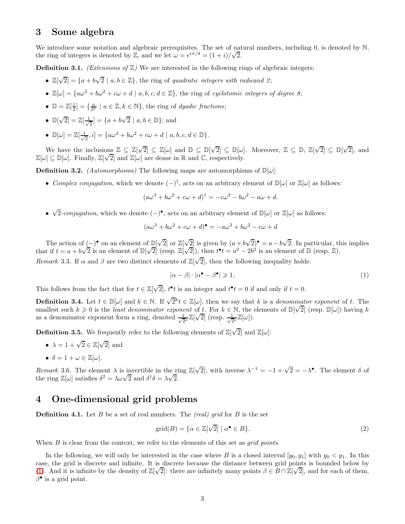## <span id="page-2-1"></span>3 Some algebra

We introduce some notation and algebraic prerequisites. The set of natural numbers, including 0, is denoted by N, the ring of integers is denoted by Z, and we let  $\omega = e^{i\pi/4} = (1+i)/\sqrt{2}$ .

**Definition 3.1.** (Extensions of  $\mathbb{Z}$ ) We are interested in the following rings of algebraic integers:

- $\mathbb{Z}[\sqrt{2}] = \{a + b\sqrt{2} \mid a, b \in \mathbb{Z}\},\$  the ring of quadratic integers with radicand 2;
- $\mathbb{Z}[\omega] = \{a\omega^3 + b\omega^2 + c\omega + d \mid a, b, c, d \in \mathbb{Z}\},\$  the ring of cyclotomic integers of degree 8;
- $\mathbb{D} = \mathbb{Z}[\frac{1}{2}] = \{\frac{a}{2^k} \mid a \in \mathbb{Z}, k \in \mathbb{N}\},\$  the ring of *dyadic fractions*;

• 
$$
\mathbb{D}[\sqrt{2}] = \mathbb{Z}[\frac{1}{\sqrt{2}}] = \{a + b\sqrt{2} \mid a, b \in \mathbb{D}\};
$$
 and

 $\bullet~~\mathbb{D}[\omega]=\mathbb{Z}[\frac{1}{\sqrt{2}}$  $\frac{1}{2}$ , i] = { $a\omega^3 + b\omega^2 + c\omega + d | a, b, c, d \in \mathbb{D}$ }.

We have the inclusions  $\mathbb{Z} \subseteq \mathbb{Z}[\sqrt{2}] \subseteq \mathbb{Z}[\omega]$  and  $\mathbb{D} \subseteq \mathbb{D}[\sqrt{2}] \subseteq \mathbb{D}[\omega]$ . Moreover,  $\mathbb{Z} \subseteq \mathbb{D}$ ,  $\mathbb{Z}[\sqrt{2}] \subseteq \mathbb{D}[\sqrt{2}]$ , and  $\mathbb{Z}[\omega] \subseteq \mathbb{D}[\omega]$ . Finally,  $\mathbb{Z}[\sqrt{2}]$  and  $\mathbb{Z}[\omega]$  are dense in R and C, respectively.

**Definition 3.2.** (Automorphisms) The following maps are automorphisms of  $\mathbb{D}[\omega]$ :

• Complex conjugation, which we denote  $(-)^{\dagger}$ , acts on an arbitrary element of  $\mathbb{D}[\omega]$  or  $\mathbb{Z}[\omega]$  as follows:

$$
(a\omega^3 + b\omega^2 + c\omega + d)^{\dagger} = -c\omega^3 - b\omega^2 - a\omega + d.
$$

•  $\sqrt{2}$ -conjugation, which we denote  $(-)^{\bullet}$ , acts on an arbitrary element of  $\mathbb{D}[\omega]$  or  $\mathbb{Z}[\omega]$  as follows:

$$
(a\omega^3 + b\omega^2 + c\omega + d)^{\bullet} = -a\omega^3 + b\omega^2 - c\omega + d
$$

The action of  $(-)$  on an element of  $\mathbb{D}[\sqrt{2}]$  or  $\mathbb{Z}[\sqrt{2}]$  is given by  $(a + b\sqrt{2})$  =  $a - b\sqrt{2}$ . In particular, this implies that if  $t = a + b\sqrt{2}$  is an element of  $\mathbb{D}[\sqrt{2}]$  (resp.  $\mathbb{Z}[\sqrt{2}]$ ), then  $t^{\bullet}t = a^2 - 2b^2$  is an element of  $\mathbb{D}$  (resp.  $\mathbb{Z}$ ). Remark 3.3. If  $\alpha$  and  $\beta$  are two distinct elements of  $\mathbb{Z}[\sqrt{2}]$ , then the following inequality holds:

<span id="page-2-2"></span>
$$
|\alpha - \beta| \cdot |\alpha^{\bullet} - \beta^{\bullet}| \geqslant 1,
$$
\n<sup>(1)</sup>

This follows from the fact that for  $t \in \mathbb{Z}[\sqrt{2}]$ ,  $t^{\bullet}t$  is an integer and  $t^{\bullet}t = 0$  if and only if  $t = 0$ .

**Definition 3.4.** Let  $t \in \mathbb{D}[\omega]$  and  $k \in \mathbb{N}$ . If  $\sqrt{2}^k t \in \mathbb{Z}[\omega]$ , then we say that k is a *denominator exponent* of t. The smallest such  $k \geqslant 0$  is the least denominator exponent of t. For  $k \in \mathbb{N}$ , the elements of  $\mathbb{D}[\sqrt{2}]$  (resp.  $\mathbb{D}[\omega]$ ) having k as a denominator exponent form a ring, denoted  $\frac{1}{\sqrt{2}^k} \mathbb{Z}[\sqrt{2}]$  (resp.  $\frac{1}{\sqrt{2}^k} \mathbb{Z}[\omega]$ ).

**Definition 3.5.** We frequently refer to the following elements of  $\mathbb{Z}[\sqrt{2}]$  and  $\mathbb{Z}[\omega]$ :

- $\lambda = 1 + \sqrt{2} \in \mathbb{Z}[\sqrt{2}]$  and
- $\delta = 1 + \omega \in \mathbb{Z}[\omega].$

Remark 3.6. The element  $\lambda$  is invertible in the ring  $\mathbb{Z}[\sqrt{2}]$ , with inverse  $\lambda^{-1} = -1 + \sqrt{2} = -\lambda^{\bullet}$ . The element  $\delta$  of the ring  $\mathbb{Z}[\omega]$  satisfies  $\delta^2 = \lambda \omega \sqrt{2}$  and  $\delta^{\dagger} \delta = \lambda \sqrt{2}$ .

## <span id="page-2-0"></span>4 One-dimensional grid problems

**Definition 4.1.** Let B be a set of real numbers. The *(real)* grid for B is the set

$$
\text{grid}(B) = \{ \alpha \in \mathbb{Z}[\sqrt{2}] \mid \alpha^{\bullet} \in B \}. \tag{2}
$$

When  $B$  is clear from the context, we refer to the elements of this set as *grid points*.

In the following, we will only be interested in the case where B is a closed interval  $[y_0, y_1]$  with  $y_0 < y_1$ . In this case, the grid is discrete and infinite. It is discrete because the distance between grid points is bounded below by [\(1\)](#page-2-2). And it is infinite by the density of  $\mathbb{Z}[\sqrt{2}]$ : there are infinitely many points  $\beta \in B \cap \mathbb{Z}[\sqrt{2}]$ , and for each of them,  $\beta$ <sup>•</sup> is a grid point.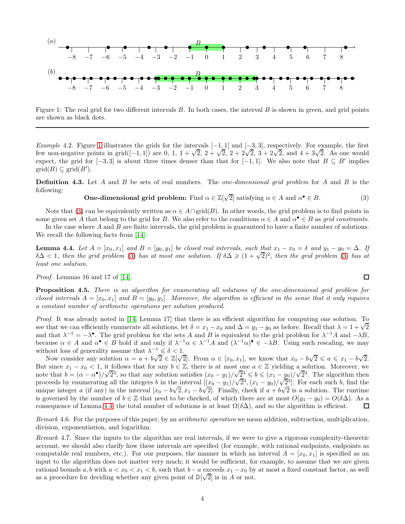

<span id="page-3-0"></span>Figure 1: The real grid for two different intervals  $B$ . In both cases, the interval  $B$  is shown in green, and grid points are shown as black dots.

Example 4.2. Figure [1](#page-3-0) illustrates the grids for the intervals  $[-1, 1]$  and  $[-3, 3]$ , respectively. For example, the first few non-negative points in grid $([-1, 1])$  are 0, 1,  $1 + \sqrt{2}$ ,  $2 + \sqrt{2}$ ,  $2 + 2\sqrt{2}$ ,  $3 + 2\sqrt{2}$ , and  $4 + 3\sqrt{2}$ . As one would expect, the grid for  $[-3, 3]$  is about three times denser than that for  $[-1, 1]$ . We also note that  $B \subseteq B'$  implies  $\text{grid}(B) \subseteq \text{grid}(B').$ 

**Definition 4.3.** Let A and B be sets of real numbers. The *one-dimensional grid problem* for A and B is the following:

## <span id="page-3-1"></span>**One-dimensional grid problem:** Find  $\alpha \in \mathbb{Z}[\sqrt{2}]$  satisfying  $\alpha \in A$  and  $\alpha^{\bullet} \in B$ . (3)

Note that [\(3\)](#page-3-1) can be equivalently written as  $\alpha \in A \cap \text{grid}(B)$ . In other words, the grid problem is to find points in some given set A that belong to the grid for B. We also refer to the conditions  $\alpha \in A$  and  $\alpha^{\bullet} \in B$  as grid constraints.

<span id="page-3-2"></span>In the case where  $A$  and  $B$  are finite intervals, the grid problem is guaranteed to have a finite number of solutions. We recall the following facts from  $|14|$ :

**Lemma 4.4.** Let  $A = [x_0, x_1]$  and  $B = [y_0, y_1]$  be closed real intervals, such that  $x_1 - x_0 = \delta$  and  $y_1 - y_0 = \Delta$ . If  $\delta\Delta < 1$ , then the grid problem [\(3\)](#page-3-1) has at most one solution. If  $\delta\Delta \geq (1 + \sqrt{2})^2$ , then the grid problem (3) has at least one solution.

<span id="page-3-3"></span>Proof. Lemmas 16 and 17 of [\[14\]](#page-39-1).

Proposition 4.5. There is an algorithm for enumerating all solutions of the one-dimensional grid problem for closed intervals  $A = [x_0, x_1]$  and  $B = [y_0, y_1]$ . Moreover, the algorithm is efficient in the sense that it only requires a constant number of arithmetic operations per solution produced.

Proof. It was already noted in [\[14,](#page-39-1) Lemma 17] that there is an efficient algorithm for computing one solution. To see that we can efficiently enumerate all solutions, let  $\delta = x_1 - x_0$  and  $\Delta = y_1 - y_0$  as before. Recall that  $\lambda = 1 + \sqrt{2}$ and that  $\lambda^{-1} = -\lambda^{\bullet}$ . The grid problem for the sets A and B is equivalent to the grid problem for  $\lambda^{-1}A$  and  $-\lambda B$ , because  $\alpha \in A$  and  $\alpha^{\bullet} \in B$  hold if and only if  $\lambda^{-1}\alpha \in \lambda^{-1}A$  and  $(\lambda^{-1}\alpha)^{\bullet} \in -\lambda B$ . Using such rescaling, we may without loss of generality assume that  $\lambda^{-1} \leq \delta < 1$ .

Now consider any solution  $\alpha = a + b\sqrt{2} \in \mathbb{Z}[\sqrt{2}]$ . From  $\alpha \in [x_0, x_1]$ , we know that  $x_0 - b\sqrt{2} \le a \le x_1 - b\sqrt{2}$ . But since  $x_1 - x_0 < 1$ , it follows that for any  $b \in \mathbb{Z}$ , there is at most one  $a \in \mathbb{Z}$  yielding a solution. Moreover, we note that  $b = (\alpha - \alpha^{\bullet})/\sqrt{2^3}$ , so that any solution satisfies  $(x_0 - y_1)/\sqrt{2^3} \leq b \leq (x_1 - y_0)/\sqrt{2^3}$ . The algorithm then proceeds by enumerating all the integers b in the interval  $[(\underline{x}_0 - y_1)/\sqrt{2}^3, (x_1 - y_0)/\sqrt{2}^3]$ . For each such b, find the unique integer a (if any) in the interval  $[x_0 - b\sqrt{2}, x_1 - b\sqrt{2}]$ . Finally, check if  $a + b\sqrt{2}$  is a solution. The runtime is governed by the number of  $b \in \mathbb{Z}$  that need to be checked, of which there are at most  $O(y_1 - y_0) = O(\delta \Delta)$ . As a consequence of Lemma 4.4, the total number of solutions is at least  $\Omega(\delta \Delta)$ , and so the algorithm is consequence of Lemma [4.4,](#page-3-2) the total number of solutions is at least  $\Omega(\delta\Delta)$ , and so the algorithm is efficient.

Remark 4.6. For the purposes of this paper, by an *arithmetic operation* we mean addition, subtraction, multiplication, division, exponentiation, and logarithm.

<span id="page-3-4"></span>Remark 4.7. Since the inputs to the algorithm are real intervals, if we were to give a rigorous complexity-theoretic account, we should also clarify how these intervals are specified (for example, with rational endpoints, endpoints as computable real numbers, etc.). For our purposes, the manner in which an interval  $A = [x_0, x_1]$  is specified as an input to the algorithm does not matter very much; it would be sufficient, for example, to assume that we are given rational bounds a, b with  $a < x_0 < x_1 < b$ , such that  $b - a$  exceeds  $x_1 - x_0$  by at most a fixed constant factor, as well as a procedure for deciding whether any given point of  $\mathbb{D}[\sqrt{2}]$  is in A or not.

 $\Box$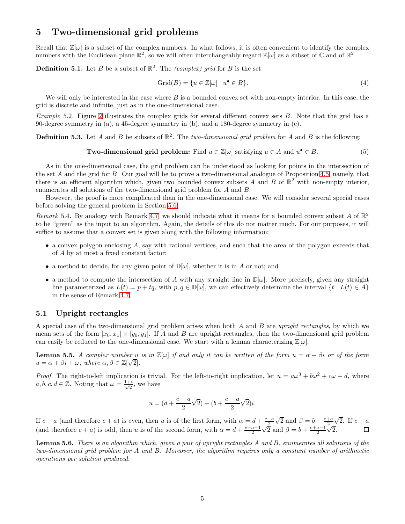## <span id="page-4-0"></span>5 Two-dimensional grid problems

Recall that  $\mathbb{Z}[\omega]$  is a subset of the complex numbers. In what follows, it is often convenient to identify the complex numbers with the Euclidean plane  $\mathbb{R}^2$ , so we will often interchangeably regard  $\mathbb{Z}[\omega]$  as a subset of  $\mathbb{C}$  and of  $\mathbb{R}^2$ .

**Definition 5.1.** Let B be a subset of  $\mathbb{R}^2$ . The *(complex)* grid for B is the set

$$
Grid(B) = \{u \in \mathbb{Z}[\omega] \mid u^{\bullet} \in B\}.
$$
\n<sup>(4)</sup>

We will only be interested in the case where  $B$  is a bounded convex set with non-empty interior. In this case, the grid is discrete and infinite, just as in the one-dimensional case.

Example 5.2. Figure [2](#page-5-0) illustrates the complex grids for several different convex sets B. Note that the grid has a 90-degree symmetry in (a), a 45-degree symmetry in (b), and a 180-degree symmetry in (c).

**Definition 5.3.** Let A and B be subsets of  $\mathbb{R}^2$ . The two-dimensional grid problem for A and B is the following:

**Two-dimensional grid problem:** Find 
$$
u \in \mathbb{Z}[\omega]
$$
 satisfying  $u \in A$  and  $u^{\bullet} \in B$ . (5)

As in the one-dimensional case, the grid problem can be understood as looking for points in the intersection of the set A and the grid for B. Our goal will be to prove a two-dimensional analogue of Proposition [4.5,](#page-3-3) namely, that there is an efficient algorithm which, given two bounded convex subsets A and B of  $\mathbb{R}^2$  with non-empty interior, enumerates all solutions of the two-dimensional grid problem for A and B.

<span id="page-4-4"></span>However, the proof is more complicated than in the one-dimensional case. We will consider several special cases before solving the general problem in Section [5.6.](#page-9-0)

Remark 5.4. By analogy with Remark [4.7,](#page-3-4) we should indicate what it means for a bounded convex subset A of  $\mathbb{R}^2$ to be "given" as the input to an algorithm. Again, the details of this do not matter much. For our purposes, it will suffice to assume that a convex set is given along with the following information:

- a convex polygon enclosing A, say with rational vertices, and such that the area of the polygon exceeds that of A by at most a fixed constant factor;
- a method to decide, for any given point of  $\mathbb{D}[\omega]$ , whether it is in A or not; and
- a method to compute the intersection of A with any straight line in  $\mathbb{D}[\omega]$ . More precisely, given any straight line parameterized as  $L(t) = p + tq$ , with  $p, q \in \mathbb{D}[\omega]$ , we can effectively determine the interval  $\{t \mid L(t) \in A\}$ in the sense of Remark [4.7.](#page-3-4)

#### <span id="page-4-2"></span>5.1 Upright rectangles

A special case of the two-dimensional grid problem arises when both A and B are upright rectangles, by which we mean sets of the form  $[x_0, x_1] \times [y_0, y_1]$ . If A and B are upright rectangles, then the two-dimensional grid problem can easily be reduced to the one-dimensional case. We start with a lemma characterizing  $\mathbb{Z}[\omega]$ .

<span id="page-4-1"></span>**Lemma 5.5.** A complex number u is in  $\mathbb{Z}[\omega]$  if and only it can be written of the form  $u = \alpha + \beta i$  or of the form  $u = \alpha + \beta i + \omega$ , where  $\alpha, \beta \in \mathbb{Z}[\sqrt{2}]$ .

*Proof.* The right-to-left implication is trivial. For the left-to-right implication, let  $u = a\omega^3 + b\omega^2 + c\omega + d$ , where  $a, b, c, d \in \mathbb{Z}$ . Noting that  $\omega = \frac{1+i}{\sqrt{2}}$  $\frac{-i}{2}$ , we have

$$
u = (d + \frac{c - a}{2}\sqrt{2}) + (b + \frac{c + a}{2}\sqrt{2})i.
$$

If  $c - a$  (and therefore  $c + a$ ) is even, then u is of the first form, with  $\alpha = d + \frac{c-a}{2}\sqrt{2}$  and  $\beta = b + \frac{c+a}{2}\sqrt{2}$ . If  $c - a$ (and therefore  $c + a$ ) is odd, then u is of the second form, with  $\alpha = d + \frac{c-a-1}{2}\sqrt{2}$  and  $\beta = b + \frac{c+a-1}{2}\sqrt{2}$ .

<span id="page-4-3"></span>Lemma 5.6. There is an algorithm which, given a pair of upright rectangles A and B, enumerates all solutions of the two-dimensional grid problem for A and B. Moreover, the algorithm requires only a constant number of arithmetic operations per solution produced.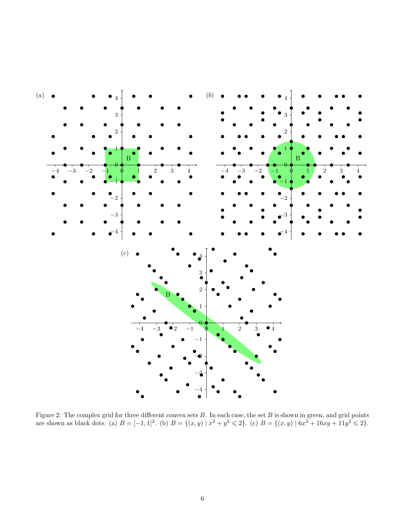

<span id="page-5-0"></span>Figure 2: The complex grid for three different convex sets  $B$ . In each case, the set  $B$  is shown in green, and grid points are shown as black dots. (a)  $B = [-1,1]^2$ . (b)  $B = \{(x,y) | x^2 + y^2 \leq 2\}$ . (c)  $B = \{(x,y) | 6x^2 + 16xy + 11y^2 \leq 2\}$ .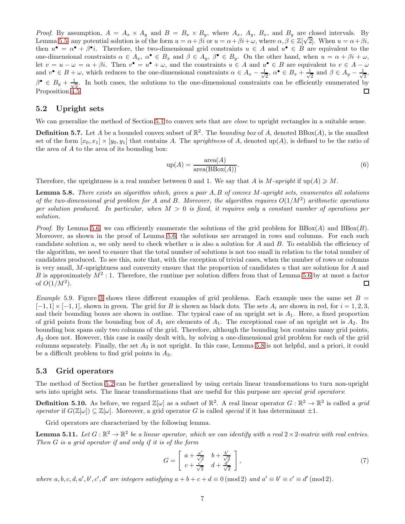*Proof.* By assumption,  $A = A_x \times A_y$  and  $B = B_x \times B_y$ , where  $A_x$ ,  $A_y$ ,  $B_x$ , and  $B_y$  are closed intervals. By Lemma [5.5,](#page-4-1) any potential solution is of the form  $u = \alpha + \beta i$  or  $u = \alpha + \beta i + \omega$ , where  $\alpha, \beta \in \mathbb{Z}[\sqrt{2}]$ . When  $u = \alpha + \beta i$ , then  $u^{\bullet} = \alpha^{\bullet} + \beta^{\bullet}i$ . Therefore, the two-dimensional grid constraints  $u \in A$  and  $u^{\bullet} \in B$  are equivalent to the one-dimensional constraints  $\alpha \in A_x$ ,  $\alpha^{\bullet} \in B_x$  and  $\beta \in A_y$ ,  $\beta^{\bullet} \in B_y$ . On the other hand, when  $u = \alpha + \beta i + \omega$ , let  $v = u - \omega = \alpha + \beta i$ . Then  $v^{\bullet} = u^{\bullet} + \omega$ , and the constraints  $u \in A$  and  $u^{\bullet} \in B$  are equivalent to  $v \in A - \omega$ and  $v^{\bullet} \in B + \omega$ , which reduces to the one-dimensional constraints  $\alpha \in A_x - \frac{1}{\sqrt{2\pi}}$  $\frac{1}{2}$ ,  $\alpha^{\bullet} \in B_x + \frac{1}{\sqrt{2}}$  $\frac{1}{2}$  and  $\beta \in A_y - \frac{1}{\sqrt{2}}$  $\frac{1}{2}$  $\beta^\bullet \,\in\, B_y \,+\, \frac{1}{\sqrt{2}}$  $\frac{1}{2}$ . In both cases, the solutions to the one-dimensional constraints can be efficiently enumerated by Proposition [4.5.](#page-3-3)  $\Box$ 

#### <span id="page-6-1"></span>5.2 Upright sets

<span id="page-6-4"></span>We can generalize the method of Section [5.1](#page-4-2) to convex sets that are *close* to upright rectangles in a suitable sense.

**Definition 5.7.** Let A be a bounded convex subset of  $\mathbb{R}^2$ . The *bounding box* of A, denoted  $BBox(A)$ , is the smallest set of the form  $[x_0, x_1] \times [y_0, y_1]$  that contains A. The uprightness of A, denoted up(A), is defined to be the ratio of the area of  $A$  to the area of its bounding box:

$$
up(A) = \frac{\text{area}(A)}{\text{area}(BBox(A))}.
$$
\n(6)

<span id="page-6-0"></span>Therefore, the uprightness is a real number between 0 and 1. We say that A is  $M$ -upright if up(A)  $\geq M$ .

Lemma 5.8. There exists an algorithm which, given a pair A, B of convex M-upright sets, enumerates all solutions of the two-dimensional grid problem for A and B. Moreover, the algorithm requires  $O(1/M^2)$  arithmetic operations per solution produced. In particular, when  $M > 0$  is fixed, it requires only a constant number of operations per solution.

*Proof.* By Lemma [5.6,](#page-4-3) we can efficiently enumerate the solutions of the grid problem for  $BBox(A)$  and  $BBox(B)$ . Moreover, as shown in the proof of Lemma [5.6,](#page-4-3) the solutions are arranged in rows and columns. For each such candidate solution  $u$ , we only need to check whether  $u$  is also a solution for  $A$  and  $B$ . To establish the efficiency of the algorithm, we need to ensure that the total number of solutions is not too small in relation to the total number of candidates produced. To see this, note that, with the exception of trivial cases, when the number of rows or columns is very small, M-uprightness and convexity ensure that the proportion of candidates  $u$  that are solutions for  $A$  and B is approximately  $M^2$ : 1. Therefore, the runtime per solution differs from that of Lemma [5.6](#page-4-3) by at most a factor of  $O(1/M^2)$ . □

Example 5.9. Figure [3](#page-7-0) shows three different examples of grid problems. Each example uses the same set  $B =$  $[-1, 1] \times [-1, 1]$ , shown in green. The grid for B is shown as black dots. The sets  $A_i$  are shown in red, for  $i = 1, 2, 3$ , and their bounding boxes are shown in outline. The typical case of an upright set is  $A_1$ . Here, a fixed proportion of grid points from the bounding box of  $A_1$  are elements of  $A_1$ . The exceptional case of an upright set is  $A_2$ . Its bounding box spans only two columns of the grid. Therefore, although the bounding box contains many grid points, A<sup>2</sup> does not. However, this case is easily dealt with, by solving a one-dimensional grid problem for each of the grid columns separately. Finally, the set  $A_3$  is not upright. In this case, Lemma [5.8](#page-6-0) is not helpful, and a priori, it could be a difficult problem to find grid points in  $A_3$ .

#### <span id="page-6-3"></span>5.3 Grid operators

The method of Section [5.2](#page-6-1) can be further generalized by using certain linear transformations to turn non-upright sets into upright sets. The linear transformations that are useful for this purpose are *special grid operators*:

**Definition 5.10.** As before, we regard  $\mathbb{Z}[\omega]$  as a subset of  $\mathbb{R}^2$ . A real linear operator  $G : \mathbb{R}^2 \to \mathbb{R}^2$  is called a grid operator if  $G(\mathbb{Z}[\omega]) \subseteq \mathbb{Z}[\omega]$ . Moreover, a grid operator G is called special if it has determinant  $\pm 1$ .

Grid operators are characterized by the following lemma.

**Lemma 5.11.** Let  $G : \mathbb{R}^2 \to \mathbb{R}^2$  be a linear operator, which we can identify with a real  $2 \times 2$ -matrix with real entries. Then G is a grid operator if and only if it is of the form

<span id="page-6-2"></span>
$$
G = \begin{bmatrix} a + \frac{a'}{\sqrt{2}} & b + \frac{b'}{\sqrt{2}} \\ c + \frac{c'}{\sqrt{2}} & d + \frac{d'}{\sqrt{2}} \end{bmatrix},\tag{7}
$$

where a, b, c, d, a', b', c', d' are integers satisfying  $a + b + c + d \equiv 0 \pmod{2}$  and  $a' \equiv b' \equiv c' \equiv d' \pmod{2}$ .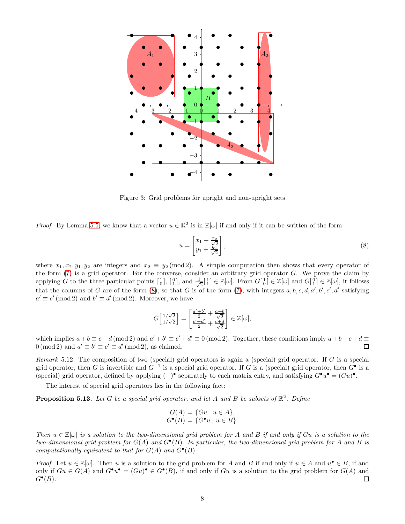

<span id="page-7-0"></span>Figure 3: Grid problems for upright and non-upright sets

*Proof.* By Lemma [5.5,](#page-4-1) we know that a vector  $u \in \mathbb{R}^2$  is in  $\mathbb{Z}[\omega]$  if and only if it can be written of the form

<span id="page-7-1"></span>
$$
u = \begin{bmatrix} x_1 + \frac{x_2}{\sqrt{2}} \\ y_1 + \frac{y_2}{\sqrt{2}} \end{bmatrix},
$$
\n(8)

where  $x_1, x_2, y_1, y_2$  are integers and  $x_2 \equiv y_2 \pmod{2}$ . A simple computation then shows that every operator of the form  $(7)$  is a grid operator. For the converse, consider an arbitrary grid operator  $G$ . We prove the claim by applying G to the three particular points  $\begin{bmatrix} 1 \\ 0 \end{bmatrix}$ ,  $\begin{bmatrix} 0 \\ 1 \end{bmatrix}$ , and  $\frac{1}{\sqrt{2}}$  $\frac{1}{2}[\frac{1}{1}] \in \mathbb{Z}[\omega]$ . From  $G[\frac{1}{0}] \in \mathbb{Z}[\omega]$  and  $G[\frac{0}{1}] \in \mathbb{Z}[\omega]$ , it follows that the columns of G are of the form  $(8)$ , so that G is of the form  $(7)$ , with integers  $a, b, c, d, a', b', c', d'$  satisfying  $a' \equiv c' \pmod{2}$  and  $b' \equiv d' \pmod{2}$ . Moreover, we have

$$
G\left[\frac{1/\sqrt{2}}{1/\sqrt{2}}\right] = \left[\frac{\frac{a'+b'}{2} + \frac{a+b}{\sqrt{2}}}{\frac{c'+d'}{2} + \frac{c+d}{\sqrt{2}}}\right] \in \mathbb{Z}[\omega],
$$

which implies  $a+b \equiv c+d \pmod{2}$  and  $a'+b' \equiv c'+d' \equiv 0 \pmod{2}$ . Together, these conditions imply  $a+b+c+d \equiv 0 \pmod{2}$  $0 \pmod{2}$  and  $a' \equiv b' \equiv c' \equiv d' \pmod{2}$ , as claimed.

<span id="page-7-3"></span>Remark 5.12. The composition of two (special) grid operators is again a (special) grid operator. If  $G$  is a special grid operator, then G is invertible and  $G^{-1}$  is a special grid operator. If G is a (special) grid operator, then  $G^{\bullet}$  is a (special) grid operator, defined by applying  $(-)$ <sup>•</sup> separately to each matrix entry, and satisfying  $G^{\bullet}u^{\bullet} = (Gu)^{\bullet}$ .

<span id="page-7-2"></span>The interest of special grid operators lies in the following fact:

**Proposition 5.13.** Let G be a special grid operator, and let A and B be subsets of  $\mathbb{R}^2$ . Define

$$
G(A) = \{Gu \mid u \in A \},
$$
  

$$
G^{\bullet}(B) = \{ G^{\bullet}u \mid u \in B \}.
$$

Then  $u \in \mathbb{Z}[\omega]$  is a solution to the two-dimensional grid problem for A and B if and only if Gu is a solution to the two-dimensional grid problem for  $G(A)$  and  $G^{\bullet}(B)$ . In particular, the two-dimensional grid problem for A and B is computationally equivalent to that for  $G(A)$  and  $G^{\bullet}(B)$ .

*Proof.* Let  $u \in \mathbb{Z}[\omega]$ . Then u is a solution to the grid problem for A and B if and only if  $u \in A$  and  $u^{\bullet} \in B$ , if and only if  $Gu \in G(A)$  and  $G^{\bullet}u^{\bullet} = (Gu)^{\bullet} \in G^{\bullet}(B)$ , if and only if  $Gu$  is a solution to the grid problem for  $G(A)$  and □  $G^{\bullet}(B)$ .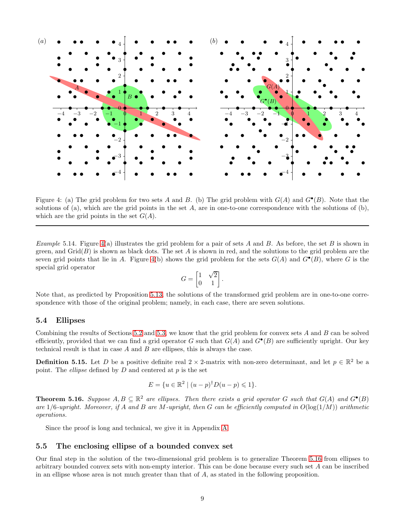

<span id="page-8-0"></span>Figure 4: (a) The grid problem for two sets A and B. (b) The grid problem with  $G(A)$  and  $G^{\bullet}(B)$ . Note that the solutions of (a), which are the grid points in the set  $A$ , are in one-to-one correspondence with the solutions of (b), which are the grid points in the set  $G(A)$ .

Example 5.14. Figure [4\(](#page-8-0)a) illustrates the grid problem for a pair of sets A and B. As before, the set B is shown in green, and  $\operatorname{Grid}(B)$  is shown as black dots. The set A is shown in red, and the solutions to the grid problem are the seven grid points that lie in A. Figure [4\(](#page-8-0)b) shows the grid problem for the sets  $G(A)$  and  $G^{\bullet}(B)$ , where G is the special grid operator

$$
G = \begin{bmatrix} 1 & \sqrt{2} \\ 0 & 1 \end{bmatrix}.
$$

Note that, as predicted by Proposition [5.13,](#page-7-2) the solutions of the transformed grid problem are in one-to-one correspondence with those of the original problem; namely, in each case, there are seven solutions.

#### 5.4 Ellipses

Combining the results of Sections [5.2](#page-6-1) and [5.3,](#page-6-3) we know that the grid problem for convex sets A and B can be solved efficiently, provided that we can find a grid operator G such that  $G(A)$  and  $G^{\bullet}(B)$  are sufficiently upright. Our key technical result is that in case  $A$  and  $B$  are ellipses, this is always the case.

<span id="page-8-3"></span>**Definition 5.15.** Let D be a positive definite real  $2 \times 2$ -matrix with non-zero determinant, and let  $p \in \mathbb{R}^2$  be a point. The *ellipse* defined by  $D$  and centered at  $p$  is the set

$$
E = \{ u \in \mathbb{R}^2 \mid (u - p)^{\dagger} D(u - p) \leq 1 \}.
$$

<span id="page-8-1"></span>**Theorem 5.16.** Suppose  $A, B \subseteq \mathbb{R}^2$  are ellipses. Then there exists a grid operator G such that  $G(A)$  and  $G^{\bullet}(B)$ are  $1/6$ -upright. Moreover, if A and B are M-upright, then G can be efficiently computed in  $O(\log(1/M))$  arithmetic operations.

Since the proof is long and technical, we give it in Appendix [A.](#page-22-0)

#### 5.5 The enclosing ellipse of a bounded convex set

<span id="page-8-2"></span>Our final step in the solution of the two-dimensional grid problem is to generalize Theorem [5.16](#page-8-1) from ellipses to arbitrary bounded convex sets with non-empty interior. This can be done because every such set A can be inscribed in an ellipse whose area is not much greater than that of A, as stated in the following proposition.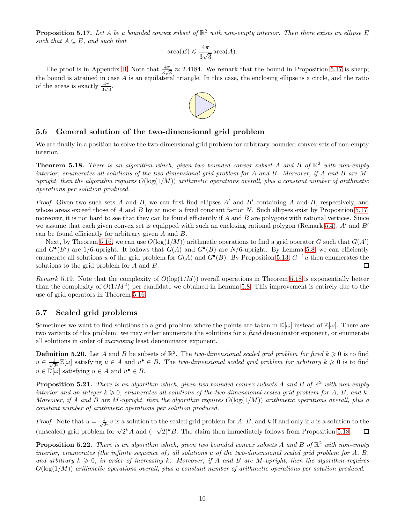**Proposition 5.17.** Let A be a bounded convex subset of  $\mathbb{R}^2$  with non-empty interior. Then there exists an ellipse E such that  $A \subseteq E$ , and such that

$$
\operatorname{area}(E) \leqslant \frac{4\pi}{3\sqrt{3}} \operatorname{area}(A).
$$

The proof is in Appendix [B.](#page-31-0) Note that  $\frac{4\pi}{3\sqrt{3}} \approx 2.4184$ . We remark that the bound in Proposition [5.17](#page-8-2) is sharp; the bound is attained in case A is an equilateral triangle. In this case, the enclosing ellipse is a circle, and the ratio of the areas is exactly  $\frac{4\pi}{3\sqrt{3}}$ .



#### <span id="page-9-0"></span>5.6 General solution of the two-dimensional grid problem

<span id="page-9-1"></span>We are finally in a position to solve the two-dimensional grid problem for arbitrary bounded convex sets of non-empty interior.

**Theorem 5.18.** There is an algorithm which, given two bounded convex subset A and B of  $\mathbb{R}^2$  with non-empty interior, enumerates all solutions of the two-dimensional grid problem for A and B. Moreover, if A and B are Mupright, then the algorithm requires  $O(\log(1/M))$  arithmetic operations overall, plus a constant number of arithmetic operations per solution produced.

*Proof.* Given two such sets A and B, we can first find ellipses  $A'$  and  $B'$  containing A and B, respectively, and whose areas exceed those of A and B by at most a fixed constant factor N. Such ellipses exist by Proposition [5.17;](#page-8-2) moreover, it is not hard to see that they can be found efficiently if  $A$  and  $B$  are polygons with rational vertices. Since we assume that each given convex set is equipped with such an enclosing rational polygon (Remark [5.4\)](#page-4-4), A' and B' can be found efficiently for arbitrary given A and B.

Next, by Theorem [5.16,](#page-8-1) we can use  $O(\log(1/M))$  arithmetic operations to find a grid operator G such that  $G(A')$ and  $G^{\bullet}(B')$  are 1/6-upright. It follows that  $G(A)$  and  $G^{\bullet}(B)$  are  $N/6$ -upright. By Lemma [5.8,](#page-6-0) we can efficiently enumerate all solutions u of the grid problem for  $G(A)$  and  $G^{\bullet}(B)$ . By Proposition [5.13,](#page-7-2)  $G^{-1}u$  then enumerates the solutions to the grid problem for A and B.  $\Box$ 

Remark 5.19. Note that the complexity of  $O(\log(1/M))$  overall operations in Theorem [5.18](#page-9-1) is exponentially better than the complexity of  $O(1/M^2)$  per candidate we obtained in Lemma [5.8.](#page-6-0) This improvement is entirely due to the use of grid operators in Theorem [5.16.](#page-8-1)

#### 5.7 Scaled grid problems

Sometimes we want to find solutions to a grid problem where the points are taken in  $\mathbb{D}[\omega]$  instead of  $\mathbb{Z}[\omega]$ . There are two variants of this problem: we may either enumerate the solutions for a *fixed* denominator exponent, or enumerate all solutions in order of increasing least denominator exponent.

**Definition 5.20.** Let A and B be subsets of  $\mathbb{R}^2$ . The two-dimensional scaled grid problem for fixed  $k \geq 0$  is to find  $u \in \frac{1}{\sqrt{2^k}} \mathbb{Z}[\omega]$  satisfying  $u \in A$  and  $u^{\bullet} \in B$ . The two-dimensional scaled grid problem for arbitrary  $k \geqslant 0$  is to find  $u \in \mathbb{D}[\omega]$  satisfying  $u \in A$  and  $u^{\bullet} \in B$ .

<span id="page-9-2"></span>**Proposition 5.21.** There is an algorithm which, given two bounded convex subsets A and B of  $\mathbb{R}^2$  with non-empty interior and an integer  $k \geqslant 0$ , enumerates all solutions of the two-dimensional scaled grid problem for A, B, and k. Moreover, if A and B are M-upright, then the algorithm requires  $O(\log(1/M))$  arithmetic operations overall, plus a constant number of arithmetic operations per solution produced.

*Proof.* Note that  $u = \frac{1}{\sqrt{2^k}} v$  is a solution to the scaled grid problem for A, B, and k if and only if v is a solution to the (unscaled) grid problem for  $\sqrt{2}^k A$  and  $(-\sqrt{2})^k B$ . The claim then immediately follows from Proposition [5.18.](#page-9-1)  $\Box$ 

<span id="page-9-3"></span>**Proposition 5.22.** There is an algorithm which, given two bounded convex subsets A and B of  $\mathbb{R}^2$  with non-empty interior, enumerates (the infinite sequence of) all solutions u of the two-dimensional scaled grid problem for  $A, B$ , and arbitrary  $k \geq 0$ , in order of increasing k. Moreover, if A and B are M-upright, then the algorithm requires  $O(log(1/M))$  arithmetic operations overall, plus a constant number of arithmetic operations per solution produced.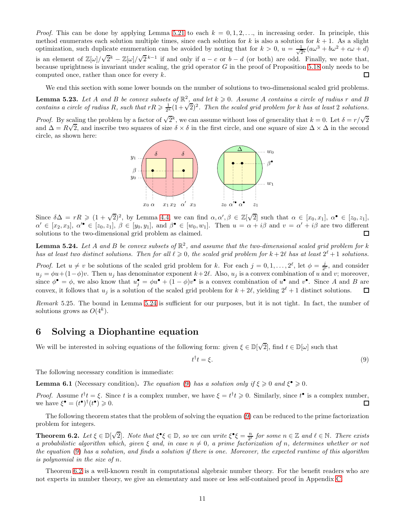*Proof.* This can be done by applying Lemma [5.21](#page-9-2) to each  $k = 0, 1, 2, \ldots$ , in increasing order. In principle, this method enumerates each solution multiple times, since each solution for k is also a solution for  $k + 1$ . As a slight optimization, such duplicate enumeration can be avoided by noting that for  $k > 0$ ,  $u = \frac{1}{\sqrt{2^k}}(a\omega^3 + b\omega^2 + c\omega + d)$ is an element of  $\mathbb{Z}[\omega]/\sqrt{2}^k - \mathbb{Z}[\omega]/\sqrt{2}^{k-1}$  if and only if  $a - c$  or  $b - d$  (or both) are odd. Finally, we note that, because uprightness is invariant under scaling, the grid operator  $G$  in the proof of Proposition [5.18](#page-9-1) only needs to be computed once, rather than once for every k.  $\Box$ 

<span id="page-10-4"></span>We end this section with some lower bounds on the number of solutions to two-dimensional scaled grid problems.

**Lemma 5.23.** Let A and B be convex subsets of  $\mathbb{R}^2$ , and let  $k \geq 0$ . Assume A contains a circle of radius r and B contains a circle of radius R, such that  $rR \geq \frac{1}{2^k}(1+\sqrt{2})^2$ . Then the scaled grid problem for k has at least 2 solutions.

*Proof.* By scaling the problem by a factor of  $\sqrt{2}^k$ , we can assume without loss of generality that  $k = 0$ . Let  $\delta = r/\sqrt{2}$ and  $\Delta = R\sqrt{2}$ , and inscribe two squares of size  $\delta \times \delta$  in the first circle, and one square of size  $\Delta \times \Delta$  in the second circle, as shown here:



Since  $\delta \Delta = rR \geq (1 + \sqrt{2})^2$ , by Lemma [4.4,](#page-3-2) we can find  $\alpha, \alpha', \beta \in \mathbb{Z}[\sqrt{2}]$  such that  $\alpha \in [x_0, x_1], \alpha^{\bullet} \in [z_0, z_1],$  $\alpha' \in [x_2, x_3], \ \alpha'^{\bullet} \in [z_0, z_1], \ \beta \in [y_0, y_1], \text{ and } \beta^{\bullet} \in [w_0, w_1].$  Then  $u = \alpha + i\beta$  and  $v = \alpha' + i\beta$  are two different solutions to the two-dimensional grid problem as claimed. Π

<span id="page-10-1"></span>**Lemma 5.24.** Let A and B be convex subsets of  $\mathbb{R}^2$ , and assume that the two-dimensional scaled grid problem for k has at least two distinct solutions. Then for all  $\ell \geq 0$ , the scaled grid problem for  $k + 2\ell$  has at least  $2^{\ell} + 1$  solutions.

*Proof.* Let  $u \neq v$  be solutions of the scaled grid problem for k. For each  $j = 0, 1, ..., 2^{\ell}$ , let  $\phi = \frac{j}{2^{\ell}}$ , and consider  $u_j = \phi u + (1 - \phi)v$ . Then  $u_j$  has denominator exponent  $k + 2\ell$ . Also,  $u_j$  is a convex combination of u and v; moreover, since  $\phi^{\bullet} = \phi$ , we also know that  $u_j^{\bullet} = \phi u^{\bullet} + (1 - \phi)v^{\bullet}$  is a convex combination of  $u^{\bullet}$  and  $v^{\bullet}$ . Since A and B are convex, it follows that  $u_j$  is a solution of the scaled grid problem for  $k + 2\ell$ , yielding  $2^{\ell} + 1$  distinct solutions. □

Remark 5.25. The bound in Lemma [5.24](#page-10-1) is sufficient for our purposes, but it is not tight. In fact, the number of solutions grows as  $O(4^k)$ .

## <span id="page-10-0"></span>6 Solving a Diophantine equation

We will be interested in solving equations of the following form: given  $\xi \in \mathbb{D}[\sqrt{2}]$ , find  $t \in \mathbb{D}[\omega]$  such that

<span id="page-10-2"></span>
$$
t^{\dagger}t = \xi. \tag{9}
$$

<span id="page-10-5"></span>The following necessary condition is immediate:

**Lemma 6.1** (Necessary condition). The equation [\(9\)](#page-10-2) has a solution only if  $\xi \ge 0$  and  $\xi^{\bullet} \ge 0$ .

*Proof.* Assume  $t^{\dagger}t = \xi$ . Since t is a complex number, we have  $\xi = t^{\dagger}t \geqslant 0$ . Similarly, since  $t^{\bullet}$  is a complex number, we have  $\xi^{\bullet} = (t^{\bullet})^{\dagger}(t^{\bullet}) \geq 0$ .  $\Box$ 

The following theorem states that the problem of solving the equation [\(9\)](#page-10-2) can be reduced to the prime factorization problem for integers.

<span id="page-10-3"></span>**Theorem 6.2.** Let  $\xi \in \mathbb{D}[\sqrt{2}]$ . Note that  $\xi^{\bullet}\xi \in \mathbb{D}$ , so we can write  $\xi^{\bullet}\xi = \frac{n}{2^{\ell}}$  for some  $n \in \mathbb{Z}$  and  $\ell \in \mathbb{N}$ . There exists a probabilistic algorithm which, given  $\xi$  and, in case  $n \neq 0$ , a prime factorization of n, determines whether or not the equation [\(9\)](#page-10-2) has a solution, and finds a solution if there is one. Moreover, the expected runtime of this algorithm is polynomial in the size of n.

Theorem [6.2](#page-10-3) is a well-known result in computational algebraic number theory. For the benefit readers who are not experts in number theory, we give an elementary and more or less self-contained proof in Appendix [C.](#page-32-0)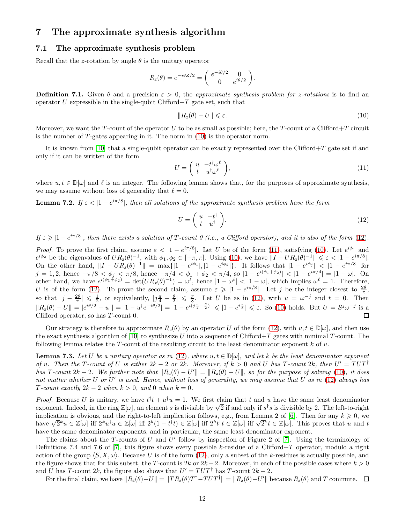## <span id="page-11-4"></span><span id="page-11-0"></span>7 The approximate synthesis algorithm

#### 7.1 The approximate synthesis problem

Recall that the z-rotation by angle  $\theta$  is the unitary operator

$$
R_z(\theta) = e^{-i\theta Z/2} = \begin{pmatrix} e^{-i\theta/2} & 0\\ 0 & e^{i\theta/2} \end{pmatrix}.
$$

<span id="page-11-7"></span>**Definition 7.1.** Given  $\theta$  and a precision  $\varepsilon > 0$ , the approximate synthesis problem for z-rotations is to find an operator U expressible in the single-qubit  $Clifford+T$  gate set, such that

<span id="page-11-1"></span>
$$
||R_z(\theta) - U|| \le \varepsilon. \tag{10}
$$

Moreover, we want the T-count of the operator U to be as small as possible; here, the T-count of a Clifford+T circuit is the number of  $T$ -gates appearing in it. The norm in  $(10)$  is the operator norm.

It is known from [\[10\]](#page-38-7) that a single-qubit operator can be exactly represented over the Clifford+T gate set if and only if it can be written of the form

<span id="page-11-3"></span>
$$
U = \begin{pmatrix} u & -t^{\dagger} \omega^{\ell} \\ t & u^{\dagger} \omega^{\ell} \end{pmatrix},\tag{11}
$$

<span id="page-11-6"></span>where  $u, t \in \mathbb{D}[\omega]$  and  $\ell$  is an integer. The following lemma shows that, for the purposes of approximate synthesis, we may assume without loss of generality that  $\ell = 0$ .

**Lemma 7.2.** If  $\varepsilon < |1 - e^{i\pi/8}|$ , then all solutions of the approximate synthesis problem have the form

<span id="page-11-2"></span>
$$
U = \begin{pmatrix} u & -t^{\dagger} \\ t & u^{\dagger} \end{pmatrix}.
$$
 (12)

If  $\varepsilon \geqslant |1-e^{i\pi/8}|$ , then there exists a solution of T-count 0 (i.e., a Clifford operator), and it is also of the form [\(12\)](#page-11-2).

*Proof.* To prove the first claim, assume  $\varepsilon < |1 - e^{i\pi/8}|$ . Let U be of the form [\(11\)](#page-11-3), satisfying [\(10\)](#page-11-1). Let  $e^{i\phi_1}$  and  $e^{i\phi_2}$  be the eigenvalues of  $UR_z(\theta)^{-1}$ , with  $\phi_1, \phi_2 \in [-\pi, \pi]$ . Using [\(10\)](#page-11-1), we have  $||I - UR_z(\theta)^{-1}|| \leq \varepsilon < |1 - e^{i\pi/8}|$ . On the other hand,  $||I - UR_z(\theta)^{-1}|| = \max\{|1 - e^{i\phi_1}|, |1 - e^{i\phi_2}|\}.$  It follows that  $|1 - e^{i\phi_j}| < |1 - e^{i\pi/8}|$  for  $j = 1, 2$ , hence  $-\pi/8 < \phi_j < \pi/8$ , hence  $-\pi/4 < \phi_1 + \phi_2 < \pi/4$ , so  $|1 - e^{i(\phi_1 + \phi_2)}| < |1 - e^{i\pi/4}| = |1 - \omega|$ . On other hand, we have  $e^{i(\phi_1+\phi_2)} = \det(UR_z(\theta)^{-1}) = \omega^{\ell}$ , hence  $|1-\omega^{\ell}| < |1-\omega|$ , which implies  $\omega^{\ell} = 1$ . Therefore, U is of the form [\(12\)](#page-11-2). To prove the second claim, assume  $\varepsilon \geq 1 - e^{i\pi/8}$ . Let j be the integer closest to  $\frac{2\theta}{\pi}$ , so that  $|j - \frac{2\theta}{\pi}| \leq \frac{1}{2}$ , or equivalently,  $|j\frac{\pi}{4} - \frac{\theta}{2}| \leq \frac{\pi}{8}$ . Let U be as in [\(12\)](#page-11-2), with  $u = \omega^{-j}$  and  $t = 0$ . Then  $\|R_z(\theta) - U\| = |e^{i\theta/2} - u^{\dagger}| = |1 - u^{\dagger}e^{-i\theta/2}| = |1 - e^{i(j\frac{\pi}{4} - \frac{\theta}{2})}| \leqslant |1 - e^{i\frac{\pi}{8}}| \leqslant \varepsilon$ . So [\(10\)](#page-11-1) holds. But  $U = S^j \omega^{-j}$  is a Clifford operator, so has  $T$ -count 0.  $\Box$ 

Our strategy is therefore to approximate  $R_z(\theta)$  by an operator U of the form [\(12\)](#page-11-2), with  $u, t \in \mathbb{D}[\omega]$ , and then use the exact synthesis algorithm of [\[10\]](#page-38-7) to synthesize U into a sequence of Clifford+T gates with minimal T-count. The following lemma relates the T-count of the resulting circuit to the least denominator exponent  $k$  of  $u$ .

<span id="page-11-5"></span>**Lemma 7.3.** Let U be a unitary operator as in [\(12\)](#page-11-2), where  $u, t \in \mathbb{D}[\omega]$ , and let k be the least denominator exponent of u. Then the T-count of U is either  $2k - 2$  or  $2k$ . Moreover, if  $k > 0$  and U has T-count  $2k$ , then  $U' = TUT^{\dagger}$ has T-count  $2k-2$ . We further note that  $||R_z(\theta) - U|| = ||R_z(\theta) - U||$ , so for the purpose of solving [\(10\)](#page-11-1), it does not matter whether U or U' is used. Hence, without loss of generality, we may assume that U as in  $(12)$  always has T-count exactly  $2k - 2$  when  $k > 0$ , and 0 when  $k = 0$ .

*Proof.* Because U is unitary, we have  $t^{\dagger}t + u^{\dagger}u = 1$ . We first claim that t and u have the same least denominator exponent. Indeed, in the ring  $\mathbb{Z}[\omega]$ , an element s is divisible by  $\sqrt{2}$  if and only if s<sup>†</sup>s is divisible by 2. The left-to-right implication is obvious, and the right-to-left implication follows, e.g., from Lemma 2 of [\[6\]](#page-38-8). Then for any  $k \geq 0$ , we have  $\sqrt{2^k}u \in \mathbb{Z}[\omega]$  iff  $2^ku^{\dagger}u \in \mathbb{Z}[\omega]$  iff  $2^k(1-t^{\dagger}t) \in \mathbb{Z}[\omega]$  iff  $2^kt^{\dagger}t \in \mathbb{Z}[\omega]$  iff  $\sqrt{2^k}t \in \mathbb{Z}[\omega]$ . This proves that u and t have the same denominator exponents, and in particular, the same least denominator exponent.

The claims about the T-counts of U and U' follow by inspection of Figure 2 of [\[7\]](#page-38-9). Using the terminology of Definitions 7.4 and 7.6 of [\[7\]](#page-38-9), this figure shows every possible k-residue of a Clifford+T operator, modulo a right action of the group  $\langle S, X, \omega \rangle$ . Because U is of the form [\(12\)](#page-11-2), only a subset of the k-residues is actually possible, and the figure shows that for this subset, the T-count is 2k or  $2k-2$ . Moreover, in each of the possible cases where  $k > 0$ and U has T-count 2k, the figure also shows that  $U' = TUT^{\dagger}$  has T-count  $2k - 2$ .

For the final claim, we have  $||R_z(\theta)-U|| = ||TR_z(\theta)T^{\dagger}-TUT^{\dagger}|| = ||R_z(\theta)-U'||$  because  $R_z(\theta)$  and T commute.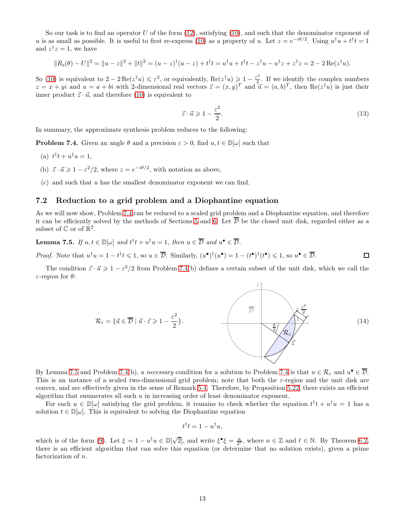So our task is to find an operator U of the form  $(12)$ , satisfying  $(10)$ , and such that the denominator exponent of u is as small as possible. It is useful to first re-express [\(10\)](#page-11-1) as a property of u. Let  $z = e^{-i\theta/2}$ . Using  $u^{\dagger}u + t^{\dagger}t = 1$ and  $z^{\dagger}z=1$ , we have

$$
||R_z(\theta) - U||^2 = ||u - z||^2 + ||t||^2 = (u - z)^{\dagger} (u - z) + t^{\dagger} t = u^{\dagger} u + t^{\dagger} t - z^{\dagger} u - u^{\dagger} z + z^{\dagger} z = 2 - 2 \operatorname{Re}(z^{\dagger} u).
$$

So [\(10\)](#page-11-1) is equivalent to  $2 - 2 \text{Re}(z^{\dagger}u) \leqslant \varepsilon^2$ , or equivalently,  $\text{Re}(z^{\dagger}u) \geqslant 1 - \frac{\varepsilon^2}{2}$  $\frac{1}{2}$ . If we identify the complex numbers  $z = x + yi$  and  $u = a + bi$  with 2-dimensional real vectors  $\vec{z} = (x, y)^T$  and  $\vec{u} = (a, b)^T$ , then  $\text{Re}(z^{\dagger}u)$  is just their inner product  $\vec{z} \cdot \vec{u}$ , and therefore [\(10\)](#page-11-1) is equivalent to

<span id="page-12-3"></span>
$$
\vec{z} \cdot \vec{u} \geqslant 1 - \frac{\varepsilon^2}{2}.\tag{13}
$$

<span id="page-12-0"></span>In summary, the approximate synthesis problem reduces to the following:

**Problem 7.4.** Given an angle  $\theta$  and a precision  $\varepsilon > 0$ , find  $u, t \in \mathbb{D}[\omega]$  such that

- (a)  $t^{\dagger}t + u^{\dagger}u = 1$ ,
- (b)  $\vec{z} \cdot \vec{u} \geq 1 \varepsilon^2/2$ , where  $z = e^{-i\theta/2}$ , with notation as above,
- (c) and such that u has the smallest denominator exponent we can find.

#### <span id="page-12-2"></span>7.2 Reduction to a grid problem and a Diophantine equation

<span id="page-12-1"></span>As we will now show, Problem [7.4](#page-12-0) can be reduced to a scaled grid problem and a Diophantine equation, and therefore it can be efficiently solved by the methods of Sections [5](#page-4-0) and [6.](#page-10-0) Let  $\overline{\mathcal{D}}$  be the closed unit disk, regarded either as a subset of  $\mathbb C$  or of  $\mathbb R^2$ .

**Lemma 7.5.** If  $u, t \in \mathbb{D}[\omega]$  and  $t^{\dagger}t + u^{\dagger}u = 1$ , then  $u \in \mathcal{D}$  and  $u^{\bullet} \in \mathcal{D}$ .

 $\Box$ *Proof.* Note that  $u^{\dagger}u = 1 - t^{\dagger}t \leq 1$ , so  $u \in \overline{\mathcal{D}}$ . Similarly,  $(u^{\bullet})^{\dagger}(u^{\bullet}) = 1 - (t^{\bullet})^{\dagger}(t^{\bullet}) \leq 1$ , so  $u^{\bullet} \in \overline{\mathcal{D}}$ .

The condition  $\vec{z} \cdot \vec{u} \geq 1 - \varepsilon^2/2$  from Problem [7.4\(](#page-12-0)b) defines a certain subset of the unit disk, which we call the ε-region for θ:

<span id="page-12-4"></span>
$$
\mathcal{R}_{\varepsilon} = \{ \vec{u} \in \overline{\mathcal{D}} \mid \vec{u} \cdot \vec{z} \geqslant 1 - \frac{\varepsilon^{2}}{2} \}.
$$
\n
$$
\overline{\mathcal{D}} \qquad \qquad \overline{\mathcal{D}} \qquad \qquad \overline{\mathcal{D}} \qquad \qquad (14)
$$

By Lemma [7.5](#page-12-1) and Problem [7.4\(](#page-12-0)b), a *necessary* condition for a solution to Problem [7.4](#page-12-0) is that  $u \in \mathcal{R}_{\varepsilon}$  and  $u^{\bullet} \in \mathcal{D}$ . This is an instance of a scaled two-dimensional grid problem; note that both the ε-region and the unit disk are convex, and are effectively given in the sense of Remark [5.4.](#page-4-4) Therefore, by Proposition [5.22,](#page-9-3) there exists an efficient algorithm that enumerates all such  $u$  in increasing order of least denominator exponent.

For each  $u \in \mathbb{D}[\omega]$  satisfying the grid problem, it remains to check whether the equation  $t^{\dagger}t + u^{\dagger}u = 1$  has a solution  $t \in \mathbb{D}[\omega]$ . This is equivalent to solving the Diophantine equation

$$
t^{\dagger}t = 1 - u^{\dagger}u,
$$

which is of the form [\(9\)](#page-10-2). Let  $\xi = 1 - u^{\dagger}u \in \mathbb{D}[\sqrt{2}]$ , and write  $\xi^{\bullet}\xi = \frac{n}{2^{\ell}}$ , where  $n \in \mathbb{Z}$  and  $\ell \in \mathbb{N}$ . By Theorem [6.2,](#page-10-3) there is an efficient algorithm that can solve this equation (or determine that no solution exists), given a prime factorization of n.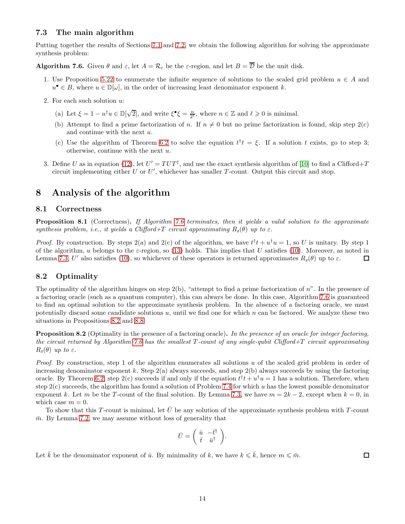#### 7.3 The main algorithm

<span id="page-13-1"></span>Putting together the results of Sections [7.1](#page-11-4) and [7.2,](#page-12-2) we obtain the following algorithm for solving the approximate synthesis problem:

**Algorithm 7.6.** Given  $\theta$  and  $\varepsilon$ , let  $A = \mathcal{R}_{\varepsilon}$  be the  $\varepsilon$ -region, and let  $B = \overline{\mathcal{D}}$  be the unit disk.

- 1. Use Proposition [5.22](#page-9-3) to enumerate the infinite sequence of solutions to the scaled grid problem  $u \in A$  and  $u^{\bullet} \in B$ , where  $u \in \mathbb{D}[\omega]$ , in the order of increasing least denominator exponent k.
- 2. For each such solution u:
	- (a) Let  $\xi = 1 u^{\dagger}u \in \mathbb{D}[\sqrt{2}]$ , and write  $\xi^{\bullet}\xi = \frac{n}{2^{\ell}}$ , where  $n \in \mathbb{Z}$  and  $\ell \geq 0$  is minimal.
	- (b) Attempt to find a prime factorization of n. If  $n \neq 0$  but no prime factorization is found, skip step 2(c) and continue with the next u.
	- (c) Use the algorithm of Theorem [6.2](#page-10-3) to solve the equation  $t^{\dagger}t = \xi$ . If a solution t exists, go to step 3; otherwise, continue with the next u.
- 3. Define U as in equation [\(12\)](#page-11-2), let  $U' = TUT^{\dagger}$ , and use the exact synthesis algorithm of [\[10\]](#page-38-7) to find a Clifford+T circuit implementing either U or  $U'$ , whichever has smaller T-count. Output this circuit and stop.

## <span id="page-13-0"></span>8 Analysis of the algorithm

#### 8.1 Correctness

**Proposition 8.1** (Correctness). If Algorithm [7.6](#page-13-1) terminates, then it yields a valid solution to the approximate synthesis problem, i.e., it yields a Clifford+T circuit approximating  $R_z(\theta)$  up to  $\varepsilon$ .

*Proof.* By construction. By steps 2(a) and 2(c) of the algorithm, we have  $t^{\dagger}t + u^{\dagger}u = 1$ , so U is unitary. By step 1 of the algorithm, u belongs to the  $\varepsilon$ -region, so [\(13\)](#page-12-3) holds. This implies that U satisfies [\(10\)](#page-11-1). Moreover, as noted in  $\Box$ Lemma [7.3,](#page-11-5) U' also satisfies [\(10\)](#page-11-1), so whichever of these operators is returned approximates  $R_z(\theta)$  up to  $\varepsilon$ .

#### 8.2 Optimality

The optimality of the algorithm hinges on step  $2(b)$ , "attempt to find a prime factorization of n". In the presence of a factoring oracle (such as a quantum computer), this can always be done. In this case, Algorithm [7.6](#page-13-1) is guaranteed to find an optimal solution to the approximate synthesis problem. In the absence of a factoring oracle, we must potentially discard some candidate solutions  $u$ , until we find one for which  $n$  can be factored. We analyze these two situations in Propositions [8.2](#page-13-2) and [8.8.](#page-14-0)

<span id="page-13-2"></span>**Proposition 8.2** (Optimality in the presence of a factoring oracle). In the presence of an oracle for integer factoring, the circuit returned by Algorithm [7.6](#page-13-1) has the smallest  $T$ -count of any single-qubit Clifford+T circuit approximating  $R_z(\theta)$  up to  $\varepsilon$ .

Proof. By construction, step 1 of the algorithm enumerates all solutions u of the scaled grid problem in order of increasing denominator exponent k. Step  $2(a)$  always succeeds, and step  $2(b)$  always succeeds by using the factoring oracle. By Theorem [6.2,](#page-10-3) step  $2(c)$  succeeds if and only if the equation  $t^{\dagger}t + u^{\dagger}u = 1$  has a solution. Therefore, when step  $2(c)$  succeeds, the algorithm has found a solution of Problem [7.4](#page-12-0) for which u has the lowest possible denominator exponent k. Let m be the T-count of the final solution. By Lemma [7.3,](#page-11-5) we have  $m = 2k - 2$ , except when  $k = 0$ , in which case  $m = 0$ .

To show that this T-count is minimal, let  $\bar{U}$  be any solution of the approximate synthesis problem with T-count  $\bar{m}$ . By Lemma [7.2,](#page-11-6) we may assume without loss of generality that

$$
\bar{U} = \begin{pmatrix} \bar{u} & -\bar{t}^{\dagger} \\ \bar{t} & \bar{u}^{\dagger} \end{pmatrix}.
$$

Let  $\bar{k}$  be the denominator exponent of  $\bar{u}$ . By minimality of k, we have  $k \leq \bar{k}$ , hence  $m \leq \bar{m}$ .

 $\Box$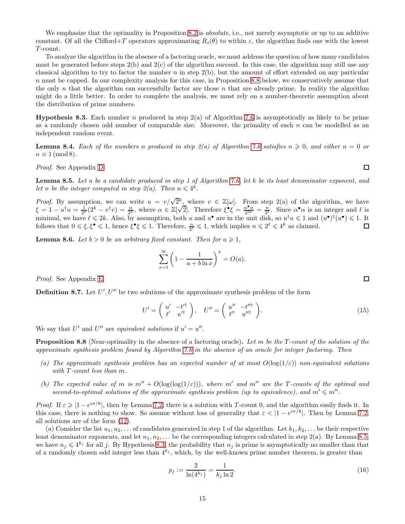We emphasize that the optimality in Proposition [8.2](#page-13-2) is *absolute*, i.e., not merely asymptotic or up to an additive constant. Of all the Clifford+T operators approximating  $R_z(\theta)$  to within  $\varepsilon$ , the algorithm finds one with the lowest T -count.

To analyze the algorithm in the absence of a factoring oracle, we must address the question of how many candidates must be generated before steps  $2(b)$  and  $2(c)$  of the algorithm succeed. In this case, the algorithm may still use any classical algorithm to try to factor the number  $n$  in step  $2(b)$ , but the amount of effort extended on any particular n must be capped. In our complexity analysis for this case, in Proposition [8.8](#page-14-0) below, we conservatively assume that the only n that the algorithm can successfully factor are those n that are already prime. In reality the algorithm might do a little better. In order to complete the analysis, we must rely on a number-theoretic assumption about the distribution of prime numbers.

<span id="page-14-2"></span>**Hypothesis 8.3.** Each number n produced in step  $2(a)$  of Algorithm [7.6](#page-13-1) is asymptotically as likely to be prime as a randomly chosen odd number of comparable size. Moreover, the primality of each  $n$  can be modelled as an independent random event.

<span id="page-14-5"></span>**Lemma 8.4.** Each of the numbers n produced in step  $\mathcal{Z}(a)$  of Algorithm [7.6](#page-13-1) satisfies  $n \geq 0$ , and either  $n = 0$  or  $n \equiv 1 \pmod{8}$ .

<span id="page-14-1"></span>Proof. See Appendix [D.](#page-36-0)

Lemma 8.5. Let u be a candidate produced in step 1 of Algorithm [7.6,](#page-13-1) let k be its least denominator exponent, and let n be the integer computed in step  $2(a)$ . Then  $n \leq 4^k$ .

*Proof.* By assumption, we can write  $u = v/\sqrt{2^k}$ , where  $v \in \mathbb{Z}[\omega]$ . From step 2(a) of the algorithm, we have  $\xi = 1 - u^{\dagger}u = \frac{1}{2^{k}}(2^{k} - v^{\dagger}v) = \frac{\alpha}{2^{k}}$ , where  $\alpha \in \mathbb{Z}[\sqrt{2}]$ . Therefore  $\xi^{\bullet}\xi = \frac{\alpha^{\bullet}\alpha}{2^{2k}} = \frac{n}{2^{\ell}}$ . Since  $\alpha^{\bullet}\alpha$  is an integer and  $\ell$  is an integer and  $\ell$  is minimal, we have  $\ell \leq 2k$ . Also, by assumption, both u and  $u^{\bullet}$  are in the unit disk, so  $u^{\dagger}u \leq 1$  and  $(u^{\bullet})^{\dagger}(u^{\bullet}) \leq 1$ . It follows that  $0 \leq \xi, \xi^{\bullet} \leq 1$ , hence  $\xi^{\bullet} \xi \leq 1$ . Therefore,  $\frac{n}{2^{\ell}} \leq 1$ , which implies  $n \leq 2^{\ell} \leq 4^k$  as claimed.  $\Box$ 

<span id="page-14-4"></span>**Lemma 8.6.** Let  $b > 0$  be an arbitrary fixed constant. Then for  $a \ge 1$ ,

$$
\sum_{x=1}^{\infty} \left(1 - \frac{1}{a + b \ln x}\right)^x = O(a).
$$

Proof. See Appendix [E.](#page-37-0)

**Definition 8.7.** Let  $U', U''$  be two solutions of the approximate synthesis problem of the form

<span id="page-14-6"></span>
$$
U' = \begin{pmatrix} u' & -t'^{\dagger} \\ t' & u'^{\dagger} \end{pmatrix}, \quad U'' = \begin{pmatrix} u'' & -t''^{\dagger} \\ t'' & u''^{\dagger} \end{pmatrix}.
$$
 (15)

<span id="page-14-0"></span>We say that U' and U'' are equivalent solutions if  $u' = u''$ .

**Proposition 8.8** (Near-optimality in the absence of a factoring oracle). Let m be the T-count of the solution of the approximate synthesis problem found by Algorithm [7.6](#page-13-1) in the absence of an oracle for integer factoring. Then

- (a) The approximate synthesis problem has an expected number of at most  $O(\log(1/\varepsilon))$  non-equivalent solutions with T-count less than m.
- (b) The expected value of m is  $m'' + O(\log(\log(1/\varepsilon)))$ , where m' and m'' are the T-counts of the optimal and second-to-optimal solutions of the approximate synthesis problem (up to equivalence), and  $m' \leq m''$ .

*Proof.* If  $\varepsilon \geq 1 - e^{i\pi/8}$ , then by Lemma [7.2,](#page-11-6) there is a solution with T-count 0, and the algorithm easily finds it. In this case, there is nothing to show. So assume without loss of generality that  $\varepsilon < |1 - e^{i\pi/8}|$ . Then by Lemma [7.2,](#page-11-6) all solutions are of the form [\(12\)](#page-11-2).

(a) Consider the list  $u_1, u_2, \ldots$  of candidates generated in step 1 of the algorithm. Let  $k_1, k_2, \ldots$  be their respective least denominator exponents, and let  $n_1, n_2, \ldots$  be the corresponding integers calculated in step 2(a). By Lemma [8.5,](#page-14-1) we have  $n_j \leqslant 4^{k_j}$  for all j. By Hypothesis [8.3,](#page-14-2) the probability that  $n_j$  is prime is asymptotically no smaller than that of a randomly chosen odd integer less than  $4^{k_j}$ , which, by the well-known prime number theorem, is greater than

<span id="page-14-3"></span>
$$
p_j := \frac{2}{\ln(4^{k_j})} = \frac{1}{k_j \ln 2}.
$$
\n(16)

 $\Box$ 

□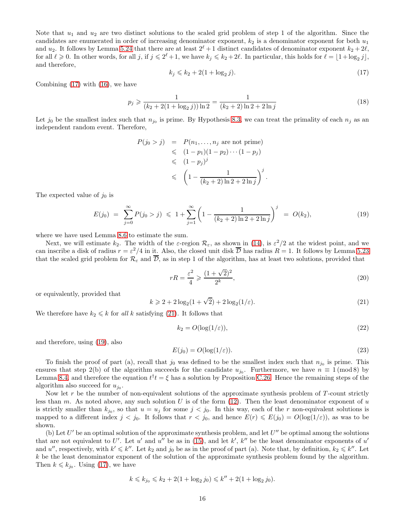Note that  $u_1$  and  $u_2$  are two distinct solutions to the scaled grid problem of step 1 of the algorithm. Since the candidates are enumerated in order of increasing denominator exponent,  $k_2$  is a denominator exponent for both  $u_1$ and  $u_2$ . It follows by Lemma [5.24](#page-10-1) that there are at least  $2^{\ell}+1$  distinct candidates of denominator exponent  $k_2+2\ell$ , for all  $\ell \geq 0$ . In other words, for all j, if  $j \leq 2^{\ell}+1$ , we have  $k_j \leq k_2+2\ell$ . In particular, this holds for  $\ell = \lfloor 1 + \log_2 j \rfloor$ , and therefore,

<span id="page-15-0"></span>
$$
k_j \le k_2 + 2(1 + \log_2 j). \tag{17}
$$

Combining [\(17\)](#page-15-0) with [\(16\)](#page-14-3), we have

$$
p_j \geqslant \frac{1}{(k_2 + 2(1 + \log_2 j))\ln 2} = \frac{1}{(k_2 + 2)\ln 2 + 2\ln j}
$$
\n(18)

Let  $j_0$  be the smallest index such that  $n_{j_0}$  is prime. By Hypothesis [8.3,](#page-14-2) we can treat the primality of each  $n_j$  as an independent random event. Therefore,

$$
P(j_0 > j) = P(n_1, ..., n_j \text{ are not prime})
$$
  
\$\leqslant (1 - p\_1)(1 - p\_2) \cdots (1 - p\_j)\$  
\$\leqslant (1 - p\_j)^j\$  
\$\leqslant \left(1 - \frac{1}{(k\_2 + 2) \ln 2 + 2 \ln j}\right)^j\$.

The expected value of  $j_0$  is

<span id="page-15-2"></span>
$$
E(j_0) = \sum_{j=0}^{\infty} P(j_0 > j) \leq 1 + \sum_{j=1}^{\infty} \left( 1 - \frac{1}{(k_2 + 2) \ln 2 + 2 \ln j} \right)^j = O(k_2),\tag{19}
$$

where we have used Lemma [8.6](#page-14-4) to estimate the sum.

Next, we will estimate  $k_2$ . The width of the  $\varepsilon$ -region  $\mathcal{R}_{\varepsilon}$ , as shown in [\(14\)](#page-12-4), is  $\varepsilon^2/2$  at the widest point, and we can inscribe a disk of radius  $r = \varepsilon^2/4$  in it. Also, the closed unit disk  $\overline{\mathcal{D}}$  has radius  $R = 1$ . It follows by Lemma [5.23](#page-10-4) that the scaled grid problem for  $\mathcal{R}_{\varepsilon}$  and  $\overline{\mathcal{D}}$ , as in step 1 of the algorithm, has at least two solutions, provided that

$$
rR = \frac{\varepsilon^2}{4} \ge \frac{(1+\sqrt{2})^2}{2^k},\tag{20}
$$

or equivalently, provided that

<span id="page-15-1"></span>
$$
k \geqslant 2 + 2\log_2(1+\sqrt{2}) + 2\log_2(1/\varepsilon). \tag{21}
$$

We therefore have  $k_2 \leq k$  for all k satisfying [\(21\)](#page-15-1). It follows that

<span id="page-15-4"></span>
$$
k_2 = O(\log(1/\varepsilon)),\tag{22}
$$

and therefore, using [\(19\)](#page-15-2), also

<span id="page-15-3"></span>
$$
E(j_0) = O(\log(1/\varepsilon)).\tag{23}
$$

To finish the proof of part (a), recall that  $j_0$  was defined to be the smallest index such that  $n_{j_0}$  is prime. This ensures that step 2(b) of the algorithm succeeds for the candidate  $u_{j_0}$ . Furthermore, we have  $n \equiv 1 \pmod{8}$  by Lemma [8.4,](#page-14-5) and therefore the equation  $t^{\dagger}t = \xi$  has a solution by Proposition [C.26.](#page-36-1) Hence the remaining steps of the algorithm also succeed for  $u_{j_0}$ .

Now let  $r$  be the number of non-equivalent solutions of the approximate synthesis problem of  $T$ -count strictly less than m. As noted above, any such solution U is of the form  $(12)$ . Then the least denominator exponent of u is strictly smaller than  $k_{j_0}$ , so that  $u = u_j$  for some  $j < j_0$ . In this way, each of the r non-equivalent solutions is mapped to a different index  $j < j_0$ . It follows that  $r < j_0$ , and hence  $E(r) \leq E(j_0) = O(\log(1/\varepsilon))$ , as was to be shown.

(b) Let  $U'$  be an optimal solution of the approximate synthesis problem, and let  $U''$  be optimal among the solutions that are not equivalent to U'. Let u' and u'' be as in [\(15\)](#page-14-6), and let k', k'' be the least denominator exponents of u' and u'', respectively, with  $k' \leq k''$ . Let  $k_2$  and  $j_0$  be as in the proof of part (a). Note that, by definition,  $k_2 \leq k''$ . Let k be the least denominator exponent of the solution of the approximate synthesis problem found by the algorithm. Then  $k \leq k_{j_0}$ . Using [\(17\)](#page-15-0), we have

$$
k \leq k_{j_0} \leq k_2 + 2(1 + \log_2 j_0) \leq k'' + 2(1 + \log_2 j_0).
$$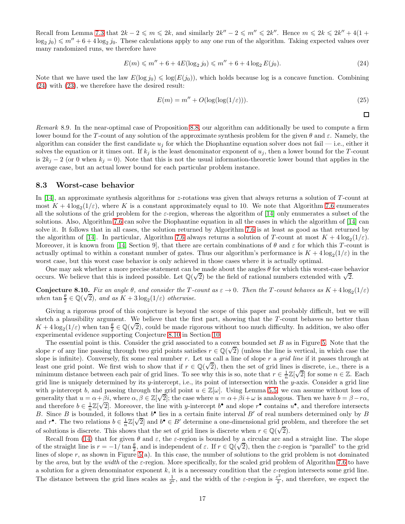Recall from Lemma [7.3](#page-11-5) that  $2k - 2 \leq m \leq 2k$ , and similarly  $2k'' - 2 \leq m'' \leq 2k''$ . Hence  $m \leq 2k \leq 2k'' + 4(1 + 2k')$  $\log_2 j_0$ )  $\leq m'' + 6 + 4 \log_2 j_0$ . These calculations apply to any one run of the algorithm. Taking expected values over many randomized runs, we therefore have

<span id="page-16-0"></span>
$$
E(m) \le m'' + 6 + 4E(\log_2 j_0) \le m'' + 6 + 4\log_2 E(j_0).
$$
\n(24)

Note that we have used the law  $E(\log j_0) \leq \log(E(j_0))$ , which holds because log is a concave function. Combining [\(24\)](#page-16-0) with [\(23\)](#page-15-3), we therefore have the desired result:

$$
E(m) = m'' + O(\log(\log(1/\varepsilon))).
$$
\n(25)

 $\Box$ 

<span id="page-16-2"></span>Remark 8.9. In the near-optimal case of Proposition [8.8,](#page-14-0) our algorithm can additionally be used to compute a firm lower bound for the T-count of any solution of the approximate synthesis problem for the given  $\theta$  and  $\varepsilon$ . Namely, the algorithm can consider the first candidate  $u_j$  for which the Diophantine equation solver does not fail — i.e., either it solves the equation or it times out. If  $k_j$  is the least denominator exponent of  $u_j$ , then a lower bound for the T-count is  $2k_j - 2$  (or 0 when  $k_j = 0$ ). Note that this is not the usual information-theoretic lower bound that applies in the average case, but an actual lower bound for each particular problem instance.

#### 8.3 Worst-case behavior

In [\[14\]](#page-39-1), an approximate synthesis algorithms for z-rotations was given that always returns a solution of T-count at most  $K + 4\log_2(1/\varepsilon)$ , where K is a constant approximately equal to 10. We note that Algorithm [7.6](#page-13-1) enumerates all the solutions of the grid problem for the  $\varepsilon$ -region, whereas the algorithm of [\[14\]](#page-39-1) only enumerates a subset of the solutions. Also, Algorithm [7.6](#page-13-1) can solve the Diophantine equation in all the cases in which the algorithm of [\[14\]](#page-39-1) can solve it. It follows that in all cases, the solution returned by Algorithm [7.6](#page-13-1) is at least as good as that returned by the algorithm of [\[14\]](#page-39-1). In particular, Algorithm [7.6](#page-13-1) always returns a solution of T-count at most  $K + 4\log_2(1/\varepsilon)$ . Moreover, it is known from [\[14,](#page-39-1) Section 9], that there are certain combinations of  $\theta$  and  $\varepsilon$  for which this T-count is actually optimal to within a constant number of gates. Thus our algorithm's performance is  $K + 4\log_2(1/\varepsilon)$  in the worst case, but this worst case behavior is only achieved in those cases where it is actually optimal.

<span id="page-16-1"></span>One may ask whether a more precise statement can be made about the angles  $\theta$  for which this worst-case behavior occurs. We believe that this is indeed possible. Let  $\mathbb{Q}(\sqrt{2})$  be the field of rational numbers extended with  $\sqrt{2}$ .

**Conjecture 8.10.** Fix an angle  $\theta$ , and consider the T-count as  $\varepsilon \to 0$ . Then the T-count behaves as  $K + 4 \log_2(1/\varepsilon)$ when  $\tan \frac{\theta}{2} \in \mathbb{Q}(\sqrt{2})$ , and as  $K + 3 \log_2(1/\varepsilon)$  otherwise.

Giving a rigorous proof of this conjecture is beyond the scope of this paper and probably difficult, but we will sketch a plausibility argument. We believe that the first part, showing that the T-count behaves no better than  $K + 4\log_2(1/\varepsilon)$  when tan  $\frac{\theta}{2} \in \mathbb{Q}(\sqrt{2})$ , could be made rigorous without too much difficulty. In addition, we also offer experimental evidence supporting Conjecture [8.10](#page-16-1) in Section [10.](#page-20-0)

The essential point is this. Consider the grid associated to a convex bounded set  $B$  as in Figure [5.](#page-17-0) Note that the slope r of any line passing through two grid points satisfies  $r \in \mathbb{Q}(\sqrt{2})$  (unless the line is vertical, in which case the slope is infinite). Conversely, fix some real number r. Let us call a line of slope r a grid line if it passes through at least one grid point. We first wish to show that if  $r \in \mathbb{Q}(\sqrt{2})$ , then the set of grid lines is discrete, i.e., there is a minimum distance between each pair of grid lines. To see why this is so, note that  $r \in \frac{1}{n}\mathbb{Z}[\sqrt{2}]$  for some  $n \in \mathbb{Z}$ . Each grid line is uniquely determined by its y-intercept, i.e., its point of intersection with the y-axis. Consider a grid line with y-intercept b, and passing through the grid point  $u \in \mathbb{Z}[\omega]$ . Using Lemma [5.5,](#page-4-1) we can assume without loss of generality that  $u = \alpha + \beta i$ , where  $\alpha, \beta \in \mathbb{Z}[\sqrt{2}]$ ; the case where  $u = \alpha + \beta i + \omega$  is analogous. Then we have  $b = \beta - r\alpha$ , and therefore  $b \in \frac{1}{n}\mathbb{Z}[\sqrt{2}]$ . Moreover, the line with y-intercept  $b^{\bullet}$  and slope  $r^{\bullet}$  contains  $u^{\bullet}$ , and therefore intersects B. Since B is bounded, it follows that  $b^{\bullet}$  lies in a certain finite interval B' of real numbers determined only by B and  $r^{\bullet}$ . The two relations  $b \in \frac{1}{n}\mathbb{Z}[\sqrt{2}]$  and  $b^{\bullet} \in B'$  determine a one-dimensional grid problem, and therefore the set of solutions is discrete. This shows that the set of grid lines is discrete when  $r \in \mathbb{Q}(\sqrt{2})$ .

Recall from [\(14\)](#page-12-4) that for given  $\theta$  and  $\varepsilon$ , the  $\varepsilon$ -region is bounded by a circular arc and a straight line. The slope of the straight line is  $r = -1/\tan \frac{\theta}{2}$ , and is independent of  $\varepsilon$ . If  $r \in \mathbb{Q}(\sqrt{2})$ , then the  $\varepsilon$ -region is "parallel" to the grid lines of slope r, as shown in Figure [5\(](#page-17-0)a). In this case, the number of solutions to the grid problem is not dominated by the area, but by the width of the  $\varepsilon$ -region. More specifically, for the scaled grid problem of Algorithm [7.6](#page-13-1) to have a solution for a given denominator exponent k, it is a necessary condition that the  $\varepsilon$ -region intersects some grid line. The distance between the grid lines scales as  $\frac{1}{2^k}$ , and the width of the  $\varepsilon$ -region is  $\frac{\varepsilon^2}{2}$  $\frac{z^2}{2}$ , and therefore, we expect the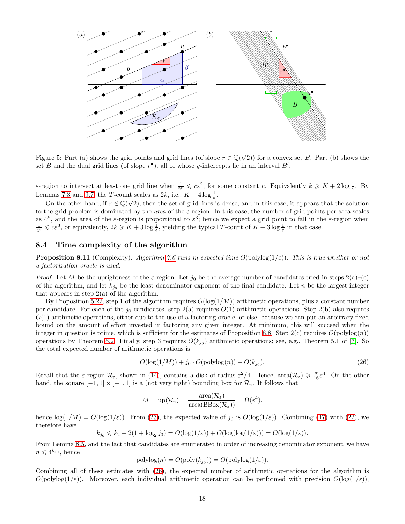

<span id="page-17-0"></span>Figure 5: Part (a) shows the grid points and grid lines (of slope  $r \in \mathbb{Q}(\sqrt{2})$ ) for a convex set B. Part (b) shows the set B and the dual grid lines (of slope  $r^{\bullet}$ ), all of whose y-intercepts lie in an interval B'.

 $\varepsilon$ -region to intersect at least one grid line when  $\frac{1}{2^k} \leqslant c\varepsilon^2$ , for some constant c. Equivalently  $k \geqslant K + 2\log \frac{1}{\varepsilon}$ . By Lemmas [7.3](#page-11-5) and [9.7,](#page-19-0) the T-count scales as  $2k$ , i.e.,  $K + 4\log\frac{1}{\varepsilon}$ .

On the other hand, if  $r \notin \mathbb{Q}(\sqrt{2})$ , then the set of grid lines is dense, and in this case, it appears that the solution to the grid problem is dominated by the *area* of the  $\varepsilon$ -region. In this case, the number of grid points per area scales as  $4^k$ , and the area of the  $\varepsilon$ -region is proportional to  $\varepsilon^3$ ; hence we expect a grid point to fall in the  $\varepsilon$ -region when  $\frac{1}{4^k} \leqslant c\epsilon^3$ , or equivalently,  $2k \geqslant K + 3\log \frac{1}{\epsilon}$ , yielding the typical T-count of  $K + 3\log \frac{1}{\epsilon}$  in that case.

#### <span id="page-17-2"></span>8.4 Time complexity of the algorithm

**Proposition 8.11** (Complexity). Algorithm [7.6](#page-13-1) runs in expected time  $O(\text{polylog}(1/\varepsilon))$ . This is true whether or not a factorization oracle is used.

*Proof.* Let M be the uprightness of the  $\varepsilon$ -region. Let  $j_0$  be the average number of candidates tried in steps  $2(a)-(c)$ of the algorithm, and let  $k_{j_0}$  be the least denominator exponent of the final candidate. Let n be the largest integer that appears in step  $2(a)$  of the algorithm.

By Proposition [5.22,](#page-9-3) step 1 of the algorithm requires  $O(log(1/M))$  arithmetic operations, plus a constant number per candidate. For each of the  $j_0$  candidates, step  $2(a)$  requires  $O(1)$  arithmetic operations. Step  $2(b)$  also requires  $O(1)$  arithmetic operations, either due to the use of a factoring oracle, or else, because we can put an arbitrary fixed bound on the amount of effort invested in factoring any given integer. At minimum, this will succeed when the integer in question is prime, which is sufficient for the estimates of Proposition [8.8.](#page-14-0) Step  $2(c)$  requires  $O(polylog(n))$ operations by Theorem [6.2.](#page-10-3) Finally, step 3 requires  $O(k_{j0})$  arithmetic operations; see, e.g., Theorem 5.1 of [\[7\]](#page-38-9). So the total expected number of arithmetic operations is

<span id="page-17-1"></span>
$$
O(\log(1/M)) + j_0 \cdot O(\text{polylog}(n)) + O(k_{j_0}).\tag{26}
$$

Recall that the  $\varepsilon$ -region  $\mathcal{R}_{\varepsilon}$ , shown in [\(14\)](#page-12-4), contains a disk of radius  $\varepsilon^2/4$ . Hence,  $\text{area}(\mathcal{R}_{\varepsilon}) \geq \frac{\pi}{16} \varepsilon^4$ . On the other hand, the square  $[-1, 1] \times [-1, 1]$  is a (not very tight) bounding box for  $\mathcal{R}_{\varepsilon}$ . It follows that

$$
M = \text{up}(\mathcal{R}_{\varepsilon}) = \frac{\text{area}(\mathcal{R}_{\varepsilon})}{\text{area}(\text{BBox}(\mathcal{R}_{\varepsilon}))} = \Omega(\varepsilon^4),
$$

hence  $\log(1/M) = O(\log(1/\varepsilon))$ . From [\(23\)](#page-15-3), the expected value of j<sub>0</sub> is  $O(\log(1/\varepsilon))$ . Combining [\(17\)](#page-15-0) with [\(22\)](#page-15-4), we therefore have

$$
k_{j_0} \leq k_2 + 2(1 + \log_2 j_0) = O(\log(1/\varepsilon)) + O(\log(\log(1/\varepsilon))) = O(\log(1/\varepsilon)).
$$

From Lemma [8.5,](#page-14-1) and the fact that candidates are enumerated in order of increasing denominator exponent, we have  $n \leqslant 4^{k_{j_0}}, \text{ hence}$ 

$$
polylog(n) = O(poly(k_{j_0})) = O(polylog(1/\varepsilon)).
$$

Combining all of these estimates with [\(26\)](#page-17-1), the expected number of arithmetic operations for the algorithm is  $O(polylog(1/\varepsilon))$ . Moreover, each individual arithmetic operation can be performed with precision  $O(log(1/\varepsilon))$ ,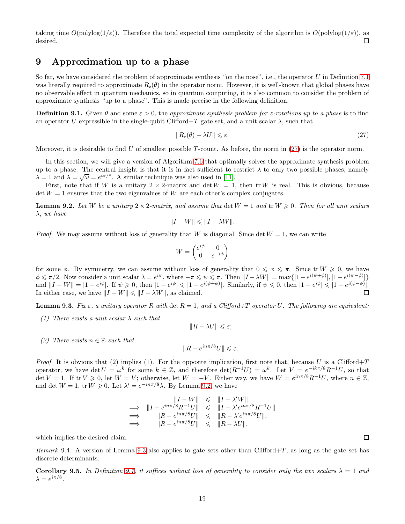taking time  $O(polylog(1/\varepsilon))$ . Therefore the total expected time complexity of the algorithm is  $O(polylog(1/\varepsilon))$ , as desired. П

## 9 Approximation up to a phase

So far, we have considered the problem of approximate synthesis "on the nose", i.e., the operator U in Definition [7.1](#page-11-7) was literally required to approximate  $R_z(\theta)$  in the operator norm. However, it is well-known that global phases have no observable effect in quantum mechanics, so in quantum computing, it is also common to consider the problem of approximate synthesis "up to a phase". This is made precise in the following definition.

<span id="page-18-3"></span>**Definition 9.1.** Given  $\theta$  and some  $\varepsilon > 0$ , the approximate synthesis problem for z-rotations up to a phase is to find an operator U expressible in the single-qubit Clifford+T gate set, and a unit scalar  $\lambda$ , such that

<span id="page-18-0"></span>
$$
||R_z(\theta) - \lambda U|| \le \varepsilon. \tag{27}
$$

Moreover, it is desirable to find U of smallest possible  $T$ -count. As before, the norm in [\(27\)](#page-18-0) is the operator norm.

In this section, we will give a version of Algorithm [7.6](#page-13-1) that optimally solves the approximate synthesis problem up to a phase. The central insight is that it is in fact sufficient to restrict  $\lambda$  to only two possible phases, namely  $\lambda = 1$  and  $\lambda = \sqrt{\omega} = e^{i\pi/8}$ . A similar technique was also used in [\[11\]](#page-39-0).

<span id="page-18-1"></span>First, note that if W is a unitary  $2 \times 2$ -matrix and det  $W = 1$ , then tr W is real. This is obvious, because  $\det W = 1$  ensures that the two eigenvalues of W are each other's complex conjugates.

**Lemma 9.2.** Let W be a unitary  $2 \times 2$ -matrix, and assume that  $\det W = 1$  and  $\operatorname{tr} W \geq 0$ . Then for all unit scalars λ, we have

$$
||I - W|| \le ||I - \lambda W||.
$$

*Proof.* We may assume without loss of generality that W is diagonal. Since det  $W = 1$ , we can write

$$
W = \begin{pmatrix} e^{i\phi} & 0 \\ 0 & e^{-i\phi} \end{pmatrix}
$$

for some  $\phi$ . By symmetry, we can assume without loss of generality that  $0 \le \phi \le \pi$ . Since tr  $W \ge 0$ , we have  $\phi \leq \pi/2$ . Now consider a unit scalar  $\lambda = e^{i\psi}$ , where  $-\pi \leq \psi \leq \pi$ . Then  $||I - \lambda W|| = \max\{|1 - e^{i(\psi + \phi)}|, |1 - e^{i(\psi - \phi)}|\}$ and  $||I - W|| = |1 - e^{i\phi}|$ . If  $\psi \ge 0$ , then  $|1 - e^{i\phi}| \le |1 - e^{i(\psi + \phi)}|$ . Similarly, if  $\psi \le 0$ , then  $|1 - e^{i\phi}| \le |1 - e^{i(\psi - \phi)}|$ . In either case, we have  $||I - W|| \le ||I - \lambda W||$ , as claimed.

<span id="page-18-2"></span>**Lemma 9.3.** Fix  $\varepsilon$ , a unitary operator R with det  $R = 1$ , and a Clifford+T operator U. The following are equivalent:

(1) There exists a unit scalar  $\lambda$  such that

$$
||R - \lambda U|| \leq \varepsilon;
$$

(2) There exists  $n \in \mathbb{Z}$  such that

$$
||R - e^{in\pi/8}U|| \le \varepsilon.
$$

*Proof.* It is obvious that (2) implies (1). For the opposite implication, first note that, because U is a Clifford+T operator, we have det  $U = \omega^k$  for some  $k \in \mathbb{Z}$ , and therefore det $(R^{-1}U) = \omega^k$ . Let  $V = e^{-ik\pi/8}R^{-1}U$ , so that  $\det V = 1$ . If  $\text{tr } V \geq 0$ , let  $W = V$ ; otherwise, let  $W = -V$ . Either way, we have  $W = e^{in\pi/8}R^{-1}U$ , where  $n \in \mathbb{Z}$ , and det  $W = 1$ , tr  $W \ge 0$ . Let  $\lambda' = e^{-in\pi/8}\lambda$ . By Lemma [9.2,](#page-18-1) we have

$$
\begin{array}{rcl}\n\vert I - W \vert & \leqslant & \Vert I - \lambda' W \vert \\
\implies & \vert I - e^{in\pi/8} R^{-1} U \vert \quad \leqslant & \Vert I - \lambda' e^{in\pi/8} R^{-1} U \vert \\
\implies & \vert \vert R - e^{in\pi/8} U \vert \vert \quad \leqslant & \Vert R - \lambda' e^{in\pi/8} U \vert \vert, \\
\implies & \vert \vert R - e^{in\pi/8} U \vert \vert \quad \leqslant & \Vert R - \lambda U \vert \vert,\n\end{array}
$$

which implies the desired claim.

<span id="page-18-4"></span>Remark 9.4. A version of Lemma [9.3](#page-18-2) also applies to gate sets other than Clifford+T, as long as the gate set has discrete determinants.

**Corollary 9.5.** In Definition [9.1,](#page-18-3) it suffices without loss of generality to consider only the two scalars  $\lambda = 1$  and  $\lambda = e^{i\pi/8}.$ 

 $\Box$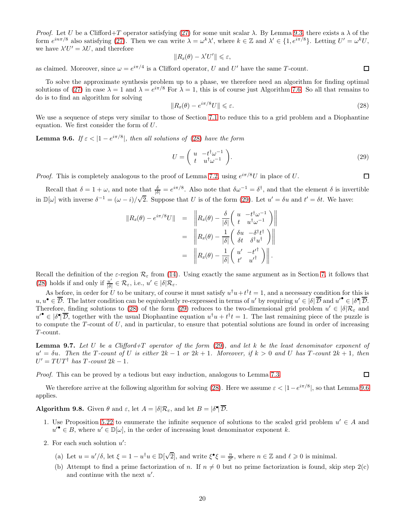Proof. Let U be a Clifford+T operator satisfying [\(27\)](#page-18-0) for some unit scalar  $\lambda$ . By Lemma [9.3,](#page-18-2) there exists a  $\lambda$  of the form  $e^{in\pi/8}$  also satisfying [\(27\)](#page-18-0). Then we can write  $\lambda = \omega^k \lambda'$ , where  $k \in \mathbb{Z}$  and  $\lambda' \in \{1, e^{i\pi/8}\}$ . Letting  $U' = \omega^k U$ , we have  $\lambda' U' = \lambda U$ , and therefore

$$
||R_{z}(\theta) - \lambda' U'|| \leq \varepsilon,
$$

as claimed. Moreover, since  $\omega = e^{i\pi/4}$  is a Clifford operator, U and U' have the same T-count.

To solve the approximate synthesis problem up to a phase, we therefore need an algorithm for finding optimal solutions of [\(27\)](#page-18-0) in case  $\lambda = 1$  and  $\lambda = e^{i\pi/8}$  For  $\lambda = 1$ , this is of course just Algorithm [7.6.](#page-13-1) So all that remains to do is to find an algorithm for solving

<span id="page-19-1"></span>
$$
||R_z(\theta) - e^{i\pi/8}U|| \le \varepsilon.
$$
\n(28)

<span id="page-19-3"></span>We use a sequence of steps very similar to those of Section [7.1](#page-11-4) to reduce this to a grid problem and a Diophantine equation. We first consider the form of U.

**Lemma 9.6.** If  $\varepsilon < |1 - e^{i\pi/8}|$ , then all solutions of [\(28\)](#page-19-1) have the form

<span id="page-19-2"></span>
$$
U = \begin{pmatrix} u & -t^{\dagger} \omega^{-1} \\ t & u^{\dagger} \omega^{-1} \end{pmatrix}.
$$
 (29)

*Proof.* This is completely analogous to the proof of Lemma [7.2,](#page-11-6) using  $e^{i\pi/8}U$  in place of U.

Recall that  $\delta = 1 + \omega$ , and note that  $\frac{\delta}{|\delta|} = e^{i\pi/8}$ . Also note that  $\delta \omega^{-1} = \delta^{\dagger}$ , and that the element  $\delta$  is invertible in  $\mathbb{D}[\omega]$  with inverse  $\delta^{-1} = (\omega - i)/\sqrt{2}$ . Suppose that U is of the form [\(29\)](#page-19-2). Let  $u' = \delta u$  and  $t' = \delta t$ . We have:

$$
||R_z(\theta) - e^{i\pi/8}U|| = \left\| R_z(\theta) - \frac{\delta}{|\delta|} \begin{pmatrix} u & -t^{\dagger} \omega^{-1} \\ t & u^{\dagger} \omega^{-1} \end{pmatrix} \right\|
$$
  

$$
= \left\| R_z(\theta) - \frac{1}{|\delta|} \begin{pmatrix} \delta u & -\delta^{\dagger} t^{\dagger} \\ \delta t & \delta^{\dagger} u^{\dagger} \end{pmatrix} \right\|
$$
  

$$
= \left\| R_z(\theta) - \frac{1}{|\delta|} \begin{pmatrix} u' & -t'^{\dagger} \\ t' & u'^{\dagger} \end{pmatrix} \right\|.
$$

Recall the definition of the  $\varepsilon$ -region  $\mathcal{R}_{\varepsilon}$  from [\(14\)](#page-12-4). Using exactly the same argument as in Section [7,](#page-11-0) it follows that [\(28\)](#page-19-1) holds if and only if  $\frac{u'}{|\delta|}$  $\frac{u'}{|\delta|} \in \mathcal{R}_{\varepsilon}$ , i.e.,  $u' \in |\delta| \mathcal{R}_{\varepsilon}$ .

As before, in order for U to be unitary, of course it must satisfy  $u^{\dagger}u + t^{\dagger}t = 1$ , and a necessary condition for this is  $u, u^{\bullet} \in \overline{\mathcal{D}}$ . The latter condition can be equivalently re-expressed in terms of u' by requiring  $u' \in |\delta| \overline{\mathcal{D}}$  and  $u''^{\bullet} \in |\delta^{\bullet}| \overline{\mathcal{D}}$ . Therefore, finding solutions to [\(28\)](#page-19-1) of the form [\(29\)](#page-19-2) reduces to the two-dimensional grid problem  $u' \in |\delta| \mathcal{R}_{\varepsilon}$  and  $u' \in |\delta \rangle \overline{\mathcal{D}}$ , together with the usual Diophantine equation  $u^{\dagger}u + t^{\dagger}t = 1$ . The last remaining piece of the puzzle is to compute the  $T$ -count of  $U$ , and in particular, to ensure that potential solutions are found in order of increasing T -count.

<span id="page-19-0"></span>**Lemma 9.7.** Let U be a Clifford+T operator of the form  $(29)$ , and let k be the least denominator exponent of  $u' = \delta u$ . Then the T-count of U is either  $2k - 1$  or  $2k + 1$ . Moreover, if  $k > 0$  and U has T-count  $2k + 1$ , then  $U' = TUT^{\dagger}$  has  $T$ -count  $2k - 1$ .

Proof. This can be proved by a tedious but easy induction, analogous to Lemma [7.3.](#page-11-5)

<span id="page-19-4"></span>We therefore arrive at the following algorithm for solving [\(28\)](#page-19-1). Here we assume  $\varepsilon < |1 - e^{i\pi/8}|$ , so that Lemma [9.6](#page-19-3) applies.

**Algorithm 9.8.** Given  $\theta$  and  $\varepsilon$ , let  $A = |\delta| \mathcal{R}_{\varepsilon}$ , and let  $B = |\delta| \overline{\mathcal{D}}$ .

- 1. Use Proposition [5.22](#page-9-3) to enumerate the infinite sequence of solutions to the scaled grid problem  $u' \in A$  and  $u' \in B$ , where  $u' \in \mathbb{D}[\omega]$ , in the order of increasing least denominator exponent k.
- 2. For each such solution  $u'$ :
	- (a) Let  $u = u'/\delta$ , let  $\xi = 1 u^{\dagger}u \in \mathbb{D}[\sqrt{2}]$ , and write  $\xi^{\bullet}\xi = \frac{n}{2^{\ell}}$ , where  $n \in \mathbb{Z}$  and  $\ell \geq 0$  is minimal.
	- (b) Attempt to find a prime factorization of n. If  $n \neq 0$  but no prime factorization is found, skip step 2(c) and continue with the next  $u'$ .

 $\Box$ 

 $\Box$ 

 $\Box$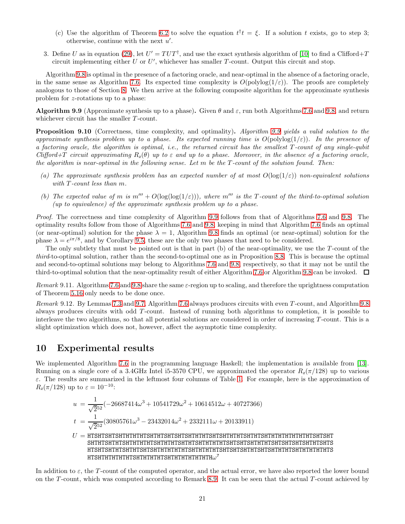- (c) Use the algorithm of Theorem [6.2](#page-10-3) to solve the equation  $t^{\dagger}t = \xi$ . If a solution t exists, go to step 3; otherwise, continue with the next  $u'$ .
- 3. Define U as in equation [\(29\)](#page-19-2), let  $U' = TUT^{\dagger}$ , and use the exact synthesis algorithm of [\[10\]](#page-38-7) to find a Clifford+T circuit implementing either U or  $U'$ , whichever has smaller T-count. Output this circuit and stop.

Algorithm [9.8](#page-19-4) is optimal in the presence of a factoring oracle, and near-optimal in the absence of a factoring oracle, in the same sense as Algorithm [7.6.](#page-13-1) Its expected time complexity is  $O(polylog(1/\varepsilon))$ . The proofs are completely analogous to those of Section [8.](#page-13-0) We then arrive at the following composite algorithm for the approximate synthesis problem for z-rotations up to a phase:

<span id="page-20-1"></span>**Algorithm 9.9** (Approximate synthesis up to a phase). Given  $\theta$  and  $\varepsilon$ , run both Algorithms [7.6](#page-13-1) and [9.8,](#page-19-4) and return whichever circuit has the smaller T-count.

Proposition 9.10 (Correctness, time complexity, and optimality). Algorithm [9.9](#page-20-1) yields a valid solution to the approximate synthesis problem up to a phase. Its expected running time is  $O(\text{polylog}(1/\varepsilon))$ . In the presence of a factoring oracle, the algorithm is optimal, i.e., the returned circuit has the smallest T -count of any single-qubit Clifford+T circuit approximating  $R_z(\theta)$  up to  $\varepsilon$  and up to a phase. Moreover, in the absence of a factoring oracle, the algorithm is near-optimal in the following sense. Let  $m$  be the  $T$ -count of the solution found. Then:

- (a) The approximate synthesis problem has an expected number of at most  $O(\log(1/\varepsilon))$  non-equivalent solutions with T-count less than m.
- (b) The expected value of m is  $m''' + O(\log(\log(1/\varepsilon)))$ , where  $m'''$  is the T-count of the third-to-optimal solution (up to equivalence) of the approximate synthesis problem up to a phase.

Proof. The correctness and time complexity of Algorithm [9.9](#page-20-1) follows from that of Algorithms [7.6](#page-13-1) and [9.8.](#page-19-4) The optimality results follow from those of Algorithms [7.6](#page-13-1) and [9.8,](#page-19-4) keeping in mind that Algorithm [7.6](#page-13-1) finds an optimal (or near-optimal) solution for the phase  $\lambda = 1$ , Algorithm [9.8](#page-19-4) finds an optimal (or near-optimal) solution for the phase  $\lambda = e^{i\pi/8}$ , and by Corollary [9.5,](#page-18-4) these are the only two phases that need to be considered.

The only subtlety that must be pointed out is that in part (b) of the near-optimality, we use the T-count of the third-to-optimal solution, rather than the second-to-optimal one as in Proposition [8.8.](#page-14-0) This is because the optimal and second-to-optimal solutions may belong to Algorithms [7.6](#page-13-1) and [9.8,](#page-19-4) respectively, so that it may not be until the third-to-optimal solution that the near-optimality result of either Algorithm [7.6](#page-13-1) or Algorithm [9.8](#page-19-4) can be invoked.  $\Box$ 

Remark 9.11. Algorithms [7.6](#page-13-1) and [9.8](#page-19-4) share the same  $\varepsilon$ -region up to scaling, and therefore the uprightness computation of Theorem [5.16](#page-8-1) only needs to be done once.

Remark 9.12. By Lemmas [7.3](#page-11-5) and [9.7,](#page-19-0) Algorithm [7.6](#page-13-1) always produces circuits with even T -count, and Algorithm [9.8](#page-19-4) always produces circuits with odd T -count. Instead of running both algorithms to completion, it is possible to interleave the two algorithms, so that all potential solutions are considered in order of increasing T -count. This is a slight optimization which does not, however, affect the asymptotic time complexity.

## <span id="page-20-0"></span>10 Experimental results

We implemented Algorithm [7.6](#page-13-1) in the programming language Haskell; the implementation is available from [\[13\]](#page-39-4). Running on a single core of a 3.4GHz Intel i5-3570 CPU, we approximated the operator  $R_z(\pi/128)$  up to various  $\varepsilon$ . The results are summarized in the leftmost four columns of Table [1.](#page-21-0) For example, here is the approximation of  $R_z(\pi/128)$  up to  $\varepsilon = 10^{-10}$ :

u = 1 √ 2 52 (−26687414ω <sup>3</sup> + 10541729ω <sup>2</sup> + 10614512ω + 40727366) t = 1 √ 2 52 (30805761ω <sup>3</sup> <sup>−</sup> <sup>23432014</sup><sup>ω</sup> <sup>2</sup> + 2332111ω + 20133911) U = HTSHTSHTSHTHTHTHTSHTHTSHTSHTSHTHTHTSHTSHTHTHTSHTHTSHTHTHTHTHTHTHTSHTSHT SHTHTSHTHTSHTHTHTHTSHTHTHTSHTHTSHTHTHTHTSHTSHTSHTHTHTSHTSHTSHTSHTHTSHTS HTSHTSHTHTSHTHTSHTSHTHTHTHTHTSHTHTHTHTSHTSHTSHTHTSHTSHTHTHTSHTHTHTHTHTS HTSHTHTHTHTHTSHTHTHTHTSHTHTHTHTHTHTHω 7

In addition to  $\varepsilon$ , the T-count of the computed operator, and the actual error, we have also reported the lower bound on the T -count, which was computed according to Remark [8.9.](#page-16-2) It can be seen that the actual T -count achieved by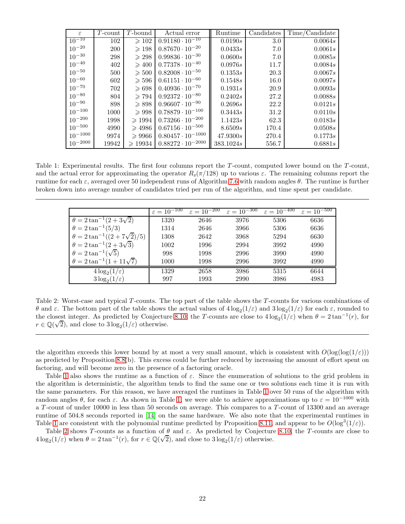| $\epsilon$   | $T$ -count | T-bound           | Actual error               | $\overline{\text{Runtime}}$ | Candidates | Time/Candidate |
|--------------|------------|-------------------|----------------------------|-----------------------------|------------|----------------|
| $10^{-10}$   | 102        | $\geqslant$ 102   | $0.91180 \cdot 10^{-10}$   | 0.0190s                     | 3.0        | 0.0064s        |
| $10^{-20}$   | <b>200</b> | $\geqslant$ 198   | $0.87670 \cdot 10^{-20}$   | 0.0433s                     | 7.0        | 0.0061s        |
| $10^{-30}$   | 298        | $\geqslant 298$   | $0.99836 \cdot 10^{-30}$   | 0.0600s                     | 7.0        | 0.0085s        |
| $10^{-40}$   | 402        | $\geqslant 400$   | $0.77378 \cdot 10^{-40}$   | 0.0976s                     | 11.7       | 0.0084s        |
| $10^{-50}$   | 500        | $\geqslant 500$   | $0.82008 \cdot 10^{-50}$   | 0.1353s                     | 20.3       | 0.0067s        |
| $10^{-60}$   | 602        | $\geqslant 596$   | $0.61151 \cdot 10^{-60}$   | 0.1548s                     | 16.0       | 0.0097s        |
| $10^{-70}$   | 702        | $\geqslant 698$   | $0.40936 \cdot 10^{-70}$   | 0.1931s                     | 20.9       | 0.0093s        |
| $10^{-80}$   | 804        | $\geqslant 794$   | $0.92372 \cdot 10^{-80}$   | 0.2402s                     | 27.2       | 0.0088s        |
| $10^{-90}$   | 898        | $\geqslant 898$   | $0.96607 \cdot 10^{-90}$   | 0.2696s                     | 22.2       | 0.0121s        |
| $10^{-100}$  | 1000       | $\geqslant 998$   | $0.78879 \cdot 10^{-100}$  | 0.3443s                     | 31.2       | 0.0110s        |
| $10^{-200}$  | 1998       | $\geqslant$ 1994  | $0.73266 \cdot 10^{-200}$  | 1.1423s                     | 62.3       | 0.0183s        |
| $10^{-500}$  | 4990       | $\geqslant 4986$  | $0.67156 \cdot 10^{-500}$  | 8.6509s                     | 170.4      | 0.0508s        |
| $10^{-1000}$ | 9974       | $\geqslant 9966$  | $0.80457 \cdot 10^{-1000}$ | 47.9300s                    | 270.4      | 0.1773s        |
| $10^{-2000}$ | 19942      | $\geqslant$ 19934 | $0.88272 \cdot 10^{-2000}$ | 383.1024s                   | 556.7      | 0.6881s        |

<span id="page-21-0"></span>Table 1: Experimental results. The first four columns report the T-count, computed lower bound on the T-count, and the actual error for approximating the operator  $R_z(\pi/128)$  up to various  $\varepsilon$ . The remaining columns report the runtime for each ε, averaged over 50 independent runs of Algorithm [7.6](#page-13-1) with random angles θ. The runtime is further broken down into average number of candidates tried per run of the algorithm, and time spent per candidate.

|                                           | $\varepsilon = 10^{-100}$ | $\varepsilon = 10^{-200}$ | $\varepsilon = 10^{-300}$ | $\varepsilon = 10^{-400}$ | $\varepsilon = 10^{-500}$ |
|-------------------------------------------|---------------------------|---------------------------|---------------------------|---------------------------|---------------------------|
| $\theta = 2 \tan^{-1}(2 + 3\sqrt{2})$     | 1320                      | 2646                      | 3976                      | 5306                      | 6636                      |
| $\theta = 2 \tan^{-1}(5/3)$               | 1314                      | 2646                      | 3966                      | 5306                      | 6636                      |
| $\theta = 2 \tan^{-1}((2 + 7\sqrt{2})/5)$ | 1308                      | 2642                      | 3968                      | 5294                      | 6630                      |
| $\theta = 2 \tan^{-1}(2 + 3\sqrt{3})$     | 1002                      | 1996                      | 2994                      | 3992                      | 4990                      |
| $\theta = 2 \tan^{-1}(\sqrt{5})$          | 998                       | 1998                      | 2996                      | 3990                      | 4990                      |
| $\theta = 2 \tan^{-1}(1 + 11\sqrt{7})$    | 1000                      | 1998                      | 2996                      | 3992                      | 4990                      |
| $4\log_2(1/\varepsilon)$                  | 1329                      | 2658                      | 3986                      | 5315                      | 6644                      |
| $3\log_2(1/\varepsilon)$                  | 997                       | 1993                      | 2990                      | 3986                      | 4983                      |

<span id="page-21-1"></span>Table 2: Worst-case and typical T-counts. The top part of the table shows the T-counts for various combinations of θ and ε. The bottom part of the table shows the actual values of  $4\log_2(1/\varepsilon)$  and  $3\log_2(1/\varepsilon)$  for each  $\varepsilon$ , rounded to the closest integer. As predicted by Conjecture [8.10,](#page-16-1) the T-counts are close to  $4\log_2(1/\varepsilon)$  when  $\theta = 2\tan^{-1}(r)$ , for  $r \in \mathbb{Q}(\sqrt{2})$ , and close to  $3\log_2(1/\varepsilon)$  otherwise.

the algorithm exceeds this lower bound by at most a very small amount, which is consistent with  $O(\log(\log(1/\varepsilon)))$ as predicted by Proposition [8.8\(](#page-14-0)b). This excess could be further reduced by increasing the amount of effort spent on factoring, and will become zero in the presence of a factoring oracle.

Table [1](#page-21-0) also shows the runtime as a function of  $\varepsilon$ . Since the enumeration of solutions to the grid problem in the algorithm is deterministic, the algorithm tends to find the same one or two solutions each time it is run with the same parameters. For this reason, we have averaged the runtimes in Table [1](#page-21-0) over 50 runs of the algorithm with random angles  $\theta$ , for each  $\varepsilon$ . As shown in Table [1,](#page-21-0) we were able to achieve approximations up to  $\varepsilon = 10^{-1000}$  with a T -count of under 10000 in less than 50 seconds on average. This compares to a T -count of 13300 and an average runtime of 504.8 seconds reported in [\[14\]](#page-39-1) on the same hardware. We also note that the experimental runtimes in Table [1](#page-21-0) are consistent with the polynomial runtime predicted by Proposition [8.11,](#page-17-2) and appear to be  $O(\log^3(1/\varepsilon))$ .

Table [2](#page-21-1) shows T-counts as a function of  $\theta$  and  $\varepsilon$ . As predicted by Conjecture [8.10,](#page-16-1) the T-counts are close to  $4 \log_2(1/\varepsilon)$  when  $\theta = 2 \tan^{-1}(r)$ , for  $r \in \mathbb{Q}(\sqrt{2})$ , and close to  $3 \log_2(1/\varepsilon)$  otherwise.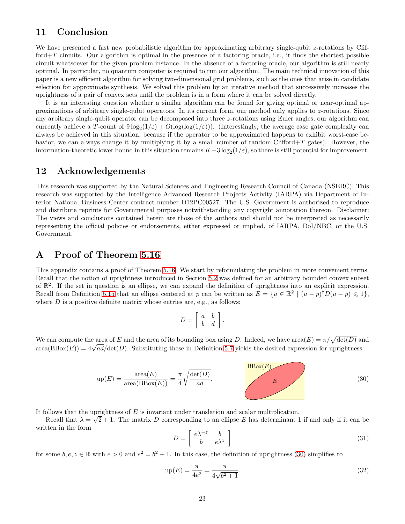## 11 Conclusion

We have presented a fast new probabilistic algorithm for approximating arbitrary single-qubit z-rotations by Clifford $+T$  circuits. Our algorithm is optimal in the presence of a factoring oracle, i.e., it finds the shortest possible circuit whatsoever for the given problem instance. In the absence of a factoring oracle, our algorithm is still nearly optimal. In particular, no quantum computer is required to run our algorithm. The main technical innovation of this paper is a new efficient algorithm for solving two-dimensional grid problems, such as the ones that arise in candidate selection for approximate synthesis. We solved this problem by an iterative method that successively increases the uprightness of a pair of convex sets until the problem is in a form where it can be solved directly.

It is an interesting question whether a similar algorithm can be found for giving optimal or near-optimal approximations of arbitrary single-qubit operators. In its current form, our method only applies to z-rotations. Since any arbitrary single-qubit operator can be decomposed into three z-rotations using Euler angles, our algorithm can currently achieve a T-count of  $9 \log_2(1/\varepsilon) + O(\log(\log(1/\varepsilon)))$ . (Interestingly, the average case gate complexity can always be achieved in this situation, because if the operator to be approximated happens to exhibit worst-case behavior, we can always change it by multiplying it by a small number of random Clifford $+T$  gates). However, the information-theoretic lower bound in this situation remains  $K+3\log_2(1/\varepsilon)$ , so there is still potential for improvement.

## 12 Acknowledgements

This research was supported by the Natural Sciences and Engineering Research Council of Canada (NSERC). This research was supported by the Intelligence Advanced Research Projects Activity (IARPA) via Department of Interior National Business Center contract number D12PC00527. The U.S. Government is authorized to reproduce and distribute reprints for Governmental purposes notwithstanding any copyright annotation thereon. Disclaimer: The views and conclusions contained herein are those of the authors and should not be interpreted as necessarily representing the official policies or endorsements, either expressed or implied, of IARPA, DoI/NBC, or the U.S. Government.

## <span id="page-22-0"></span>A Proof of Theorem [5.16](#page-8-1)

This appendix contains a proof of Theorem [5.16.](#page-8-1) We start by reformulating the problem in more convenient terms. Recall that the notion of uprightness introduced in Section [5.2](#page-6-1) was defined for an arbitrary bounded convex subset of  $\mathbb{R}^2$ . If the set in question is an ellipse, we can expand the definition of uprightness into an explicit expression. Recall from Definition [5.15](#page-8-3) that an ellipse centered at p can be written as  $E = \{u \in \mathbb{R}^2 \mid (u - p)^{\dagger} D(u - p) \leq 1\},\$ where  $D$  is a positive definite matrix whose entries are, e.g., as follows:

$$
D = \left[ \begin{array}{cc} a & b \\ b & d \end{array} \right].
$$

We can compute the area of E and the area of its bounding box using D. Indeed, we have  $\text{area}(E) = \pi/\sqrt{\det(D)}$  and  $area(BBox(E)) = 4\sqrt{ad}/det(D)$ . Substituting these in Definition [5.7](#page-6-4) yields the desired expression for uprightness:

<span id="page-22-1"></span>
$$
up(E) = \frac{\text{area}(E)}{\text{area}(BBox(E))} = \frac{\pi}{4} \sqrt{\frac{\text{det}(D)}{ad}}.
$$
\n(30)

It follows that the uprightness of  $E$  is invariant under translation and scalar multiplication.

Recall that  $\lambda = \sqrt{2} + 1$ . The matrix D corresponding to an ellipse E has determinant 1 if and only if it can be written in the form

$$
D = \begin{bmatrix} e^{\lambda^{-z}} & b \\ b & e^{\lambda^{z}} \end{bmatrix}
$$
 (31)

for some  $b, e, z \in \mathbb{R}$  with  $e > 0$  and  $e^2 = b^2 + 1$ . In this case, the definition of uprightness [\(30\)](#page-22-1) simplifies to

<span id="page-22-2"></span>
$$
up(E) = \frac{\pi}{4e^2} = \frac{\pi}{4\sqrt{b^2 + 1}}.
$$
\n(32)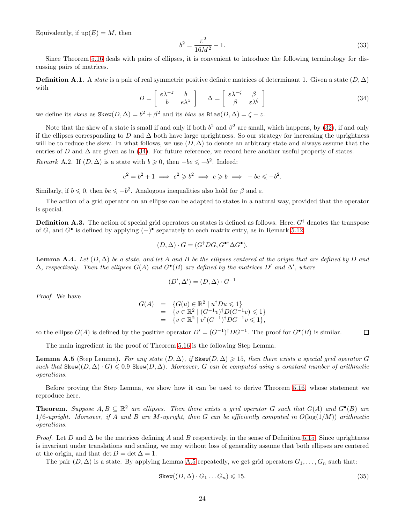Equivalently, if  $up(E) = M$ , then

<span id="page-23-4"></span>
$$
b^2 = \frac{\pi^2}{16M^2} - 1.\tag{33}
$$

Since Theorem [5.16](#page-8-1) deals with pairs of ellipses, it is convenient to introduce the following terminology for discussing pairs of matrices.

**Definition A.1.** A state is a pair of real symmetric positive definite matrices of determinant 1. Given a state  $(D, \Delta)$ with

<span id="page-23-0"></span>
$$
D = \begin{bmatrix} e^{\lambda - z} & b \\ b & e^{\lambda z} \end{bmatrix} \quad \Delta = \begin{bmatrix} \varepsilon \lambda^{-\zeta} & \beta \\ \beta & \varepsilon \lambda^{\zeta} \end{bmatrix}
$$
 (34)

we define its skew as  $\text{Skew}(D, \Delta) = b^2 + \beta^2$  and its bias as  $\text{Bias}(D, \Delta) = \zeta - z$ .

Note that the skew of a state is small if and only if both  $b^2$  and  $\beta^2$  are small, which happens, by [\(32\)](#page-22-2), if and only if the ellipses corresponding to D and  $\Delta$  both have large uprightness. So our strategy for increasing the uprightness will be to reduce the skew. In what follows, we use  $(D, \Delta)$  to denote an arbitrary state and always assume that the entries of D and  $\Delta$  are given as in [\(34\)](#page-23-0). For future reference, we record here another useful property of states.

<span id="page-23-5"></span>*Remark* A.2. If  $(D, \Delta)$  is a state with  $b \ge 0$ , then  $-be \le -b^2$ . Indeed:

$$
e^2 = b^2 + 1 \implies e^2 \geq b^2 \implies e \geq b \implies -be \leq -b^2.
$$

Similarly, if  $b \le 0$ , then  $be \le -b^2$ . Analogous inequalities also hold for  $\beta$  and  $\varepsilon$ .

The action of a grid operator on an ellipse can be adapted to states in a natural way, provided that the operator is special.

**Definition A.3.** The action of special grid operators on states is defined as follows. Here,  $G^{\dagger}$  denotes the transpose of G, and  $G^{\bullet}$  is defined by applying  $(-)^{\bullet}$  separately to each matrix entry, as in Remark [5.12.](#page-7-3)

$$
(D, \Delta) \cdot G = (G^{\dagger} DG, G^{\bullet \dagger} \Delta G^{\bullet}).
$$

<span id="page-23-2"></span>**Lemma A.4.** Let  $(D, \Delta)$  be a state, and let A and B be the ellipses centered at the origin that are defined by D and  $\Delta$ , respectively. Then the ellipses  $G(A)$  and  $G^{\bullet}(B)$  are defined by the matrices D' and  $\Delta'$ , where

$$
(D', \Delta') = (D, \Delta) \cdot G^{-1}
$$

Proof. We have

$$
G(A) = \{G(u) \in \mathbb{R}^2 \mid u^{\dagger}Du \le 1\}
$$
  
=  $\{v \in \mathbb{R}^2 \mid (G^{-1}v)^{\dagger}D(G^{-1}v) \le 1\}$   
=  $\{v \in \mathbb{R}^2 \mid v^{\dagger}(G^{-1})^{\dagger}DG^{-1}v \le 1\},\$ 

so the ellipse  $G(A)$  is defined by the positive operator  $D' = (G^{-1})^{\dagger} D G^{-1}$ . The proof for  $G^{\bullet}(B)$  is similar.

<span id="page-23-1"></span>The main ingredient in the proof of Theorem [5.16](#page-8-1) is the following Step Lemma.

**Lemma A.5** (Step Lemma). For any state  $(D, \Delta)$ , if Skew $(D, \Delta) \geq 15$ , then there exists a special grid operator G such that  $\text{Skew}((D, \Delta) \cdot G) \leq 0.9$   $\text{Skew}(D, \Delta)$ . Moreover, G can be computed using a constant number of arithmetic operations.

Before proving the Step Lemma, we show how it can be used to derive Theorem [5.16,](#page-8-1) whose statement we reproduce here.

**Theorem.** Suppose  $A, B \subseteq \mathbb{R}^2$  are ellipses. Then there exists a grid operator G such that  $G(A)$  and  $G^{\bullet}(B)$  are  $1/6$ -upright. Moreover, if A and B are M-upright, then G can be efficiently computed in  $O(\log(1/M))$  arithmetic operations.

*Proof.* Let D and  $\Delta$  be the matrices defining A and B respectively, in the sense of Definition [5.15.](#page-8-3) Since uprightness is invariant under translations and scaling, we may without loss of generality assume that both ellipses are centered at the origin, and that det  $D = \det \Delta = 1$ .

The pair  $(D, \Delta)$  is a state. By applying Lemma [A.5](#page-23-1) repeatedly, we get grid operators  $G_1, \ldots, G_n$  such that:

<span id="page-23-3"></span>
$$
Skew((D, \Delta) \cdot G_1 \dots G_n) \leq 15. \tag{35}
$$

 $\Box$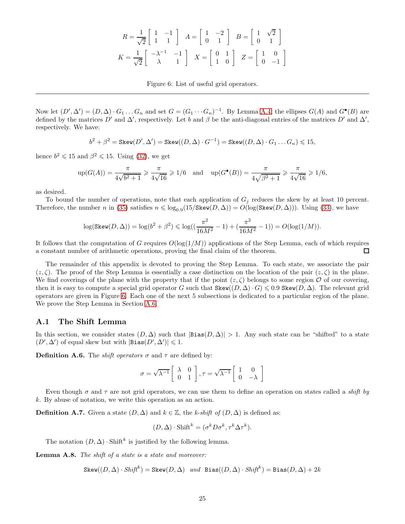$$
R = \frac{1}{\sqrt{2}} \begin{bmatrix} 1 & -1 \\ 1 & 1 \end{bmatrix} A = \begin{bmatrix} 1 & -2 \\ 0 & 1 \end{bmatrix} B = \begin{bmatrix} 1 & \sqrt{2} \\ 0 & 1 \end{bmatrix}
$$

$$
K = \frac{1}{\sqrt{2}} \begin{bmatrix} -\lambda^{-1} & -1 \\ \lambda & 1 \end{bmatrix} X = \begin{bmatrix} 0 & 1 \\ 1 & 0 \end{bmatrix} Z = \begin{bmatrix} 1 & 0 \\ 0 & -1 \end{bmatrix}
$$

<span id="page-24-0"></span>Figure 6: List of useful grid operators.

Now let  $(D', \Delta') = (D, \Delta) \cdot G_1 \dots G_n$  and set  $G = (G_1 \cdots G_n)^{-1}$ . By Lemma [A.4,](#page-23-2) the ellipses  $G(A)$  and  $G^{\bullet}(B)$  are defined by the matrices D' and  $\Delta'$ , respectively. Let b and  $\beta$  be the anti-diagonal entries of the matrices D' and  $\Delta'$ , respectively. We have:

$$
b^2+\beta^2=\text{Skew}(D',\Delta')=\text{Skew}((D,\Delta)\cdot G^{-1})=\text{Skew}((D,\Delta)\cdot G_1\dots G_n)\leqslant 15,
$$

hence  $b^2 \leq 15$  and  $\beta^2 \leq 15$ . Using [\(32\)](#page-22-2), we get

$$
\text{up}(G(A)) = \frac{\pi}{4\sqrt{b^2 + 1}} \ge \frac{\pi}{4\sqrt{16}} \ge 1/6 \quad \text{and} \quad \text{up}(G^{\bullet}(B)) = \frac{\pi}{4\sqrt{\beta^2 + 1}} \ge \frac{\pi}{4\sqrt{16}} \ge 1/6,
$$

as desired.

To bound the number of operations, note that each application of  $G_j$  reduces the skew by at least 10 percent. Therefore, the number n in [\(35\)](#page-23-3) satisfies  $n \leq \log_{0.9}(15/\text{Skew}(D,\Delta)) = O(\log(\text{Skew}(D,\Delta)))$ . Using [\(33\)](#page-23-4), we have

$$
\log(\text{Skew}(D,\Delta)) = \log(b^2+\beta^2) \leq \log((\frac{\pi^2}{16M^2}-1)+(\frac{\pi^2}{16M^2}-1)) = O(\log(1/M)).
$$

It follows that the computation of G requires  $O(\log(1/M))$  applications of the Step Lemma, each of which requires a constant number of arithmetic operations, proving the final claim of the theorem.  $\Box$ 

The remainder of this appendix is devoted to proving the Step Lemma. To each state, we associate the pair  $(z, \zeta)$ . The proof of the Step Lemma is essentially a case distinction on the location of the pair  $(z, \zeta)$  in the plane. We find coverings of the plane with the property that if the point  $(z, \zeta)$  belongs to some region  $\mathcal O$  of our covering, then it is easy to compute a special grid operator G such that  $\text{Skew}((D, \Delta) \cdot G) \leqslant 0.9$   $\text{Skew}(D, \Delta)$ . The relevant grid operators are given in Figure [6.](#page-24-0) Each one of the next 5 subsections is dedicated to a particular region of the plane. We prove the Step Lemma in Section [A.6.](#page-29-0)

#### <span id="page-24-2"></span>A.1 The Shift Lemma

In this section, we consider states  $(D, \Delta)$  such that  $|Bias(D, \Delta)| > 1$ . Any such state can be "shifted" to a state  $(D', \Delta')$  of equal skew but with  $|\text{Bias}(D', \Delta')| \leq 1$ .

**Definition A.6.** The *shift operators*  $\sigma$  and  $\tau$  are defined by:

$$
\sigma = \sqrt{\lambda^{-1}} \left[ \begin{array}{cc} \lambda & 0 \\ 0 & 1 \end{array} \right], \tau = \sqrt{\lambda^{-1}} \left[ \begin{array}{cc} 1 & 0 \\ 0 & -\lambda \end{array} \right]
$$

Even though  $\sigma$  and  $\tau$  are not grid operators, we can use them to define an operation on states called a *shift by* k. By abuse of notation, we write this operation as an action.

**Definition A.7.** Given a state  $(D, \Delta)$  and  $k \in \mathbb{Z}$ , the k-shift of  $(D, \Delta)$  is defined as:

$$
(D, \Delta) \cdot \text{Shift}^k = (\sigma^k D \sigma^k, \tau^k \Delta \tau^k).
$$

<span id="page-24-1"></span>The notation  $(D, \Delta) \cdot \text{Shift}^k$  is justified by the following lemma.

Lemma A.8. The shift of a state is a state and moreover:

 $\texttt{Skew}((D, \Delta) \cdot \textit{Shift}^k) = \texttt{Skew}(D, \Delta) \ \ \textit{and} \ \ \texttt{Bias}((D, \Delta) \cdot \textit{Shift}^k) = \texttt{Bias}(D, \Delta) + 2k$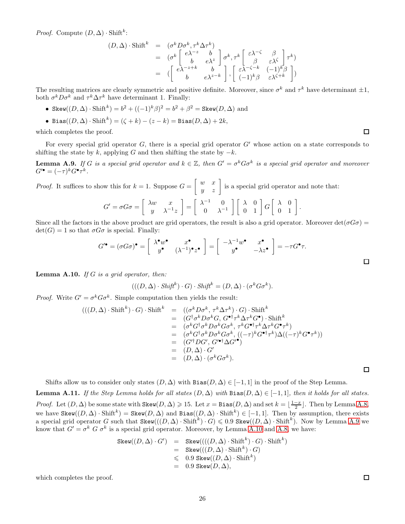*Proof.* Compute  $(D, \Delta) \cdot \text{Shift}^k$ :

$$
(D, \Delta) \cdot \text{Shift}^{k} = (\sigma^{k} D \sigma^{k}, \tau^{k} \Delta \tau^{k})
$$
  
=  $(\sigma^{k} \begin{bmatrix} e^{\lambda - z} & b \\ b & e^{\lambda z} \end{bmatrix} \sigma^{k}, \tau^{k} \begin{bmatrix} \varepsilon \lambda^{-\zeta} & \beta \\ \beta & \varepsilon \lambda^{\zeta} \end{bmatrix} \tau^{k})$   
=  $(\begin{bmatrix} e^{\lambda - z + k} & b \\ b & e^{\lambda z - k} \end{bmatrix}, \begin{bmatrix} \varepsilon \lambda^{-\zeta - k} & (-1)^{k} \beta \\ (-1)^{k} \beta & \varepsilon \lambda^{\zeta + k} \end{bmatrix})$ 

The resulting matrices are clearly symmetric and positive definite. Moreover, since  $\sigma^k$  and  $\tau^k$  have determinant  $\pm 1$ , both  $\sigma^k D \sigma^k$  and  $\tau^k \Delta \tau^k$  have determinant 1. Finally:

- Skew $((D, \Delta) \cdot \text{Shift}^k) = b^2 + ((-1)^k \beta)^2 = b^2 + \beta^2 = \text{Skew}(D, \Delta)$  and
- Bias $((D, \Delta) \cdot \text{Shift}^k) = (\zeta + k) (z k) = \text{Bias}(D, \Delta) + 2k,$

which completes the proof.

<span id="page-25-0"></span>For every special grid operator  $G$ , there is a special grid operator  $G'$  whose action on a state corresponds to shifting the state by k, applying G and then shifting the state by  $-k$ .

**Lemma A.9.** If G is a special grid operator and  $k \in \mathbb{Z}$ , then  $G' = \sigma^k G \sigma^k$  is a special grid operator and moreover  $G^{\prime\bullet}=(-\tau)^k G^\bullet\tau^k.$ 

*Proof.* It suffices to show this for  $k = 1$ . Suppose  $G = \begin{bmatrix} w & x \\ y & z \end{bmatrix}$  is a special grid operator and note that:

$$
G' = \sigma G \sigma = \begin{bmatrix} \lambda w & x \\ y & \lambda^{-1} z \end{bmatrix} = \begin{bmatrix} \lambda^{-1} & 0 \\ 0 & \lambda^{-1} \end{bmatrix} \begin{bmatrix} \lambda & 0 \\ 0 & 1 \end{bmatrix} G \begin{bmatrix} \lambda & 0 \\ 0 & 1 \end{bmatrix}.
$$

Since all the factors in the above product are grid operators, the result is also a grid operator. Moreover  $det(\sigma G \sigma)$  =  $\det(G) = 1$  so that  $\sigma G \sigma$  is special. Finally:

$$
G^{\prime \bullet} = (\sigma G \sigma)^{\bullet} = \begin{bmatrix} \lambda^{\bullet} w^{\bullet} & x^{\bullet} \\ y^{\bullet} & (\lambda^{-1})^{\bullet} z^{\bullet} \end{bmatrix} = \begin{bmatrix} -\lambda^{-1} w^{\bullet} & x^{\bullet} \\ y^{\bullet} & -\lambda z^{\bullet} \end{bmatrix} = -\tau G^{\bullet} \tau.
$$

<span id="page-25-1"></span>**Lemma A.10.** If G is a grid operator, then:

$$
(((D, \Delta) \cdot \mathit{Shift}^k) \cdot G) \cdot \mathit{Shift}^k = (D, \Delta) \cdot (\sigma^k G \sigma^k).
$$

*Proof.* Write  $G' = \sigma^k G \sigma^k$ . Simple computation then yields the result:

$$
(((D, \Delta) \cdot \text{Shift}^k) \cdot G) \cdot \text{Shift}^k = ((\sigma^k D \sigma^k, \tau^k \Delta \tau^k) \cdot G) \cdot \text{Shift}^k
$$
  
\n
$$
= (G^{\dagger} \sigma^k D \sigma^k G, G^{\bullet \dagger} \tau^k \Delta \tau^k G^{\bullet}) \cdot \text{Shift}^k
$$
  
\n
$$
= (\sigma^k G^{\dagger} \sigma^k D \sigma^k G \sigma^k, \tau^k G^{\bullet \dagger} \tau^k \Delta \tau^k G^{\bullet} \tau^k)
$$
  
\n
$$
= (\sigma^k G^{\dagger} \sigma^k D \sigma^k G \sigma^k, ((-\tau)^k G^{\bullet \dagger} \tau^k) \Delta ((-\tau)^k G^{\bullet} \tau^k))
$$
  
\n
$$
= (G^{\dagger} D G', G'^{\bullet \dagger} \Delta G'^{\bullet})
$$
  
\n
$$
= (D, \Delta) \cdot G'
$$
  
\n
$$
= (D, \Delta) \cdot (\sigma^k G \sigma^k).
$$

Shifts allow us to consider only states  $(D, \Delta)$  with Bias $(D, \Delta) \in [-1, 1]$  in the proof of the Step Lemma.

<span id="page-25-2"></span>**Lemma A.11.** If the Step Lemma holds for all states  $(D, \Delta)$  with Bias $(D, \Delta) \in [-1, 1]$ , then it holds for all states. *Proof.* Let  $(D, \Delta)$  be some state with  $\text{Skew}(D, \Delta) \geq 15$ . Let  $x = \text{Bias}(D, \Delta)$  and set  $k = \lfloor \frac{1-x}{2} \rfloor$ . Then by Lemma [A.8,](#page-24-1) we have  $\texttt{Skew}((D, \Delta) \cdot \text{Shift}^k) = \texttt{Skew}(D, \Delta)$  and  $\texttt{Bias}((D, \Delta) \cdot \text{Shift}^k) \in [-1, 1]$ . Then by assumption, there exists a special grid operator G such that  $\text{Skew}((D, \Delta) \cdot \text{Shift}^k) \cdot G) \leq 0.9$   $\text{Skew}((D, \Delta) \cdot \text{Shift}^k)$ . Now by Lemma [A.9](#page-25-0) we know that  $G' = \sigma^k$   $G \sigma^k$  is a special grid operator. Moreover, by Lemma [A.10](#page-25-1) and [A.8,](#page-24-1) we have:

$$
\begin{array}{rcl} {\rm Skew}((D,\Delta)\cdot G') & = & {\rm Skew}(((D,\Delta)\cdot {\rm Shift}^k)\cdot G)\cdot {\rm Shift}^k) \\ & = & {\rm Skew}(((D,\Delta)\cdot {\rm Shift}^k)\cdot G) \\ & \leqslant & 0.9\ {\rm Skew}((D,\Delta)\cdot {\rm Shift}^k) \\ & = & 0.9\ {\rm Skew}(D,\Delta), \end{array}
$$

which completes the proof.

 $\Box$ 

 $\Box$ 

□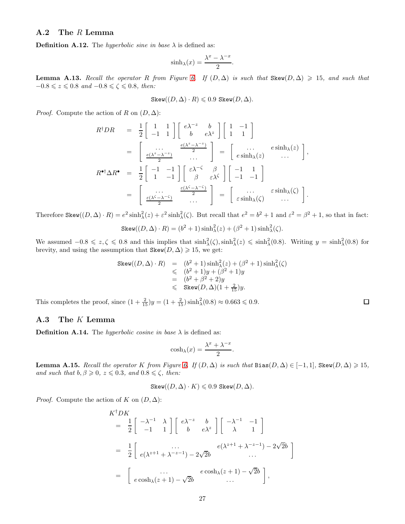### A.2 The R Lemma

**Definition A.12.** The *hyperbolic sine in base*  $\lambda$  is defined as:

$$
\sinh\lambda(x) = \frac{\lambda^x - \lambda^{-x}}{2}.
$$

<span id="page-26-0"></span>**Lemma A.13.** Recall the operator R from Figure [6.](#page-24-0) If  $(D, \Delta)$  is such that Skew $(D, \Delta) \geq 15$ , and such that  $-0.8 \leq z \leq 0.8$  and  $-0.8 \leq \zeta \leq 0.8$ , then:

$$
\texttt{Skew}((D,\Delta)\cdot R)\leqslant 0.9\ \texttt{Skew}(D,\Delta).
$$

*Proof.* Compute the action of R on  $(D, \Delta)$ :

$$
R^{\dagger}DR = \frac{1}{2} \begin{bmatrix} 1 & 1 \\ -1 & 1 \end{bmatrix} \begin{bmatrix} e^{\lambda^{-z}} & b \\ b & e^{\lambda^{z}} \end{bmatrix} \begin{bmatrix} 1 & -1 \\ 1 & 1 \end{bmatrix}
$$
  
\n
$$
= \begin{bmatrix} \dots & \frac{e^{(\lambda^{z}-\lambda^{-z})}}{2} \\ \frac{e^{(\lambda^{z}-\lambda^{-z})}}{2} & \dots \end{bmatrix} = \begin{bmatrix} \dots & e^{\sinh(\lambda^{z})} \\ e^{\sinh(\lambda^{z})} & \dots \end{bmatrix},
$$
  
\n
$$
R^{\bullet \dagger} \Delta R^{\bullet} = \frac{1}{2} \begin{bmatrix} -1 & -1 \\ 1 & -1 \end{bmatrix} \begin{bmatrix} \varepsilon \lambda^{-\zeta} & \beta \\ \beta & \varepsilon \lambda^{\zeta} \end{bmatrix} \begin{bmatrix} -1 & 1 \\ -1 & -1 \end{bmatrix}
$$
  
\n
$$
= \begin{bmatrix} \dots & \frac{\varepsilon(\lambda^{\zeta}-\lambda^{-\zeta})}{2} \\ \frac{\varepsilon(\lambda^{\zeta}-\lambda^{-\zeta})}{2} & \dots \end{bmatrix} = \begin{bmatrix} \dots & \varepsilon \sinh(\lambda^{z}) \\ \varepsilon \sinh(\lambda^{z}) & \dots \end{bmatrix}.
$$

Therefore  $\text{Skew}((D, \Delta) \cdot R) = e^2 \sinh^2_{\lambda}(z) + \varepsilon^2 \sinh^2_{\lambda}(\zeta)$ . But recall that  $e^2 = b^2 + 1$  and  $\varepsilon^2 = \beta^2 + 1$ , so that in fact:

$$
\text{Skew}((D,\Delta)\cdot R) = (b^2+1)\sinh^2_{\lambda}(z) + (\beta^2+1)\sinh^2_{\lambda}(\zeta).
$$

We assumed  $-0.8 \leq z, \zeta \leq 0.8$  and this implies that  $\sinh^2(\zeta), \sinh^2(\zeta) \leq \sinh^2(\zeta)$ . Writing  $y = \sinh^2(\zeta)$  for brevity, and using the assumption that  $\texttt{Skew}(D, \Delta) \geq 15$ , we get:

$$
\begin{array}{rcl} {\rm Skew}((D,\Delta)\cdot R) & = & (b^2+1)\sinh^2_{\lambda}(z) + (\beta^2+1)\sinh^2_{\lambda}(\zeta) \\ & \leqslant & (b^2+1)y + (\beta^2+1)y \\ & = & (b^2+\beta^2+2)y \\ & \leqslant & {\rm Skew}(D,\Delta)(1+\frac{2}{15})y. \end{array}
$$

 $\Box$ 

This completes the proof, since  $(1 + \frac{2}{15})y = (1 + \frac{2}{15})\sinh^2_\lambda(0.8) \approx 0.663 \le 0.9$ .

#### A.3 The K Lemma

**Definition A.14.** The hyperbolic cosine in base  $\lambda$  is defined as:

$$
cosh\lambda(x) = \frac{\lambda^x + \lambda^{-x}}{2}.
$$

<span id="page-26-1"></span>**Lemma A.15.** Recall the operator K from Figure [6.](#page-24-0) If  $(D, \Delta)$  is such that Bias $(D, \Delta) \in [-1, 1]$ , Skew $(D, \Delta) \geq 15$ , and such that  $b, \beta \geqslant 0, z \leqslant 0.3,$  and  $0.8 \leqslant \zeta$ , then:

$$
\text{Skew}((D,\Delta)\cdot K)\leqslant 0.9\ \text{Skew}(D,\Delta).
$$

*Proof.* Compute the action of K on  $(D, \Delta)$ :

$$
K^{\dagger}DK = \frac{1}{2} \begin{bmatrix} -\lambda^{-1} & \lambda \\ -1 & 1 \end{bmatrix} \begin{bmatrix} e\lambda^{-z} & b \\ b & e\lambda^{z} \end{bmatrix} \begin{bmatrix} -\lambda^{-1} & -1 \\ \lambda & 1 \end{bmatrix}
$$
  
=  $\frac{1}{2} \begin{bmatrix} \dots \\ e(\lambda^{z+1} + \lambda^{-z-1}) - 2\sqrt{2}b & \dots \\ e \cosh(\lambda(z+1) - \sqrt{2}b & \dots \end{bmatrix}$   
=  $\begin{bmatrix} \dots \\ e \cosh(\lambda(z+1) - \sqrt{2}b) & \dots \end{bmatrix}$ ,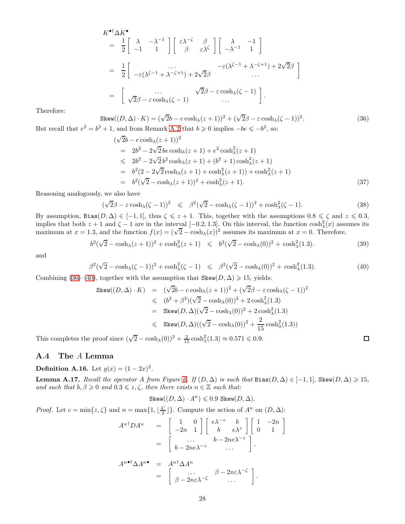$$
K^{\bullet\dagger}\Delta K^{\bullet}
$$
\n
$$
= \frac{1}{2}\begin{bmatrix} \lambda & -\lambda^{-1} \\ -1 & 1 \end{bmatrix} \begin{bmatrix} \varepsilon\lambda^{-\zeta} & \beta \\ \beta & \varepsilon\lambda^{\zeta} \end{bmatrix} \begin{bmatrix} \lambda & -1 \\ -\lambda^{-1} & 1 \end{bmatrix}
$$
\n
$$
= \frac{1}{2}\begin{bmatrix} \cdots & \sqrt{2}\beta & -\varepsilon(\lambda^{\zeta-1} + \lambda^{-\zeta+1}) + 2\sqrt{2}\beta \\ \cdots & \cdots \end{bmatrix}
$$
\n
$$
= \begin{bmatrix} \cdots & \sqrt{2}\beta - \varepsilon\cosh\lambda(\zeta - 1) \\ \sqrt{2}\beta - \varepsilon\cosh\lambda(\zeta - 1) & \cdots \end{bmatrix}.
$$

Therefore:

$$
\text{Skew}((D, \Delta) \cdot K) = (\sqrt{2}b - e \cosh_{\lambda}(z+1))^2 + (\sqrt{2}\beta - \varepsilon \cosh_{\lambda}(\zeta-1))^2.
$$
\n
$$
\text{But recall that } e^2 = b^2 + 1 \text{, and from Remark A.2 that } b \ge 0 \text{ implies } -be \le -b^2 \text{, so:}
$$
\n
$$
(36)
$$

<span id="page-27-0"></span>
$$
(\sqrt{2}b - e \cosh_{\lambda}(z+1))^{2}
$$
  
=  $2b^{2} - 2\sqrt{2} be \cosh_{\lambda}(z+1) + e^{2} \cosh_{\lambda}^{2}(z+1)$   

$$
\leq 2b^{2} - 2\sqrt{2} b^{2} \cosh_{\lambda}(z+1) + (b^{2} + 1) \cosh_{\lambda}^{2}(z+1)
$$
  
=  $b^{2}(2 - 2\sqrt{2} \cosh_{\lambda}(z+1) + \cosh_{\lambda}^{2}(z+1)) + \cosh_{\lambda}^{2}(z+1)$   
=  $b^{2}(\sqrt{2} - \cosh_{\lambda}(z+1))^{2} + \cosh_{\lambda}^{2}(z+1).$  (37)

Reasoning analogously, we also have

$$
(\sqrt{2}\beta - \varepsilon \cosh(\zeta - 1))^2 \leq \beta^2(\sqrt{2} - \cosh(\zeta - 1))^2 + \cosh^2(\zeta - 1).
$$
 (38)

By assumption, Bias $(D, \Delta) \in [-1, 1]$ , thus  $\zeta \leq z + 1$ . This, together with the assumptions  $0.8 \leq \zeta$  and  $z \leq 0.3$ , implies that both  $z + 1$  and  $\zeta - 1$  are in the interval  $[-0.2, 1.3]$ . On this interval, the function  $\cosh^2(x)$  assumes its maximum at  $x = 0$ . Therefore,

$$
b^{2}(\sqrt{2}-\cosh_{\lambda}(z+1))^{2}+\cosh_{\lambda}^{2}(z+1) \leq b^{2}(\sqrt{2}-\cosh_{\lambda}(0))^{2}+\cosh_{\lambda}^{2}(1.3). \tag{39}
$$

and

<span id="page-27-1"></span>
$$
\beta^2(\sqrt{2}-\cosh(\zeta-1))^2+\cosh^2(\zeta-1) \leq \beta^2(\sqrt{2}-\cosh(\zeta))^2+\cosh^2(\zeta-1). \tag{40}
$$

Combining [\(36\)](#page-27-0)–[\(40\)](#page-27-1), together with the assumption that  $\text{Skew}(D, \Delta) \geq 15$ , yields:

Skew(
$$
(D, Δ)
$$
) ·  $K$ ) =  $(\sqrt{2}b - e \cosh_λ(z + 1))^2 + (\sqrt{2}β - e \cosh_λ(\zeta - 1))^2$   
\n≤  $(b^2 + β^2)(\sqrt{2} - \cosh_λ(0))^2 + 2 \cosh_λ(1.3)$   
\n= Skew( $D, Δ$ )( $\sqrt{2} - \cosh_λ(0)$ )<sup>2</sup> + 2 cosh<sub>λ</sub><sup>2</sup>(1.3)  
\n≤ Skew( $D, Δ$ )( $(\sqrt{2} - \cosh_λ(0))^2 + \frac{2}{15} \cosh_λ(1.3)$ )

 $\Box$ 

This completes the proof since  $(\sqrt{2} - \cosh(\sqrt{0}))^2 + \frac{2}{15} \cosh(\sqrt{1.3}) \approx 0.571 \leq 0.9$ .

#### A.4 The A Lemma

<span id="page-27-2"></span>**Definition A.16.** Let  $g(x) = (1 - 2x)^2$ .

**Lemma A.17.** Recall the operator A from Figure [6.](#page-24-0) If  $(D, \Delta)$  is such that  $Bias(D, \Delta) \in [-1, 1]$ ,  $Skew(D, \Delta) \geq 15$ , and such that  $b, \beta \geqslant 0$  and  $0.3 \leqslant z, \zeta$ , then there exists  $n \in \mathbb{Z}$  such that:

$$
\operatorname{Skew}((D,\Delta)\cdot A^n)\leqslant 0.9\ \operatorname{Skew}(D,\Delta).
$$

*Proof.* Let  $c = \min\{z, \zeta\}$  and  $n = \max\{1, \lfloor\frac{\lambda^c}{2}\rfloor\}$  $\{\frac{\lambda^c}{2}\}$ . Compute the action of  $A^n$  on  $(D, \Delta)$ :

$$
A^{n\dagger}DA^{n} = \begin{bmatrix} 1 & 0 \\ -2n & 1 \end{bmatrix} \begin{bmatrix} e^{\lambda^{-z}} & b \\ b & e^{\lambda^{z}} \end{bmatrix} \begin{bmatrix} 1 & -2n \\ 0 & 1 \end{bmatrix}
$$

$$
= \begin{bmatrix} \dots & b-2ne^{\lambda^{-z}} \\ b-2ne^{\lambda^{-z}} & \dots \end{bmatrix},
$$

$$
A^{n\dagger}\Delta A^{n\dagger} = A^{n\dagger}\Delta A^{n}
$$

$$
= \begin{bmatrix} \dots & \beta-2n\varepsilon^{\lambda^{-\zeta}} \\ \beta-2n\varepsilon^{\lambda^{-\zeta}} & \dots \end{bmatrix}.
$$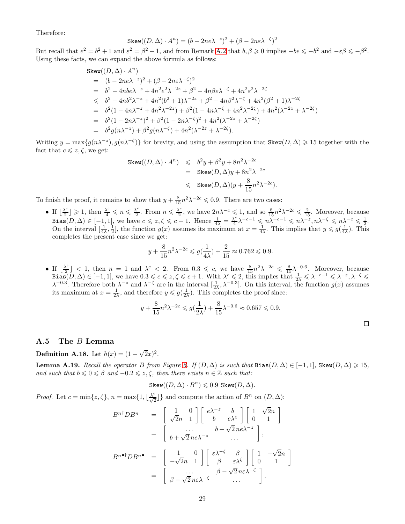Therefore:

$$
Skew((D, \Delta) \cdot A^n) = (b - 2ne\lambda^{-z})^2 + (\beta - 2n\varepsilon\lambda^{-\zeta})^2
$$

But recall that  $e^2 = b^2 + 1$  and  $\varepsilon^2 = \beta^2 + 1$ , and from Remark [A.2](#page-23-5) that  $b, \beta \geqslant 0$  implies  $-be \leqslant -b^2$  and  $-\varepsilon\beta \leqslant -\beta^2$ . Using these facts, we can expand the above formula as follows:

$$
\begin{split} &\text{Skew}((D,\Delta)\cdot A^n)\\ &=\quad (b-2ne\lambda^{-z})^2+(\beta-2n\varepsilon\lambda^{-\zeta})^2\\ &=\quad b^2-4nb\epsilon\lambda^{-z}+4n^2e^2\lambda^{-2z}+\beta^2-4n\beta\varepsilon\lambda^{-\zeta}+4n^2\varepsilon^2\lambda^{-2\zeta}\\ &\leqslant\quad b^2-4nb^2\lambda^{-z}+4n^2(b^2+1)\lambda^{-2z}+\beta^2-4n\beta^2\lambda^{-\zeta}+4n^2(\beta^2+1)\lambda^{-2\zeta}\\ &=\quad b^2(1-4n\lambda^{-z}+4n^2\lambda^{-2z})+\beta^2(1-4n\lambda^{-\zeta}+4n^2\lambda^{-2\zeta})+4n^2(\lambda^{-2z}+\lambda^{-2\zeta})\\ &=\quad b^2(1-2n\lambda^{-z})^2+\beta^2(1-2n\lambda^{-\zeta})^2+4n^2(\lambda^{-2z}+\lambda^{-2\zeta})\\ &=\quad b^2g(n\lambda^{-z})+\beta^2g(n\lambda^{-\zeta})+4n^2(\lambda^{-2z}+\lambda^{-2\zeta}). \end{split}
$$

Writing  $y = \max\{g(n\lambda^{-z}), g(n\lambda^{-\zeta})\}$  for brevity, and using the assumption that  $\text{Skew}(D, \Delta) \geq 15$  together with the fact that  $c \leq z, \zeta$ , we get:

$$
\begin{array}{lcl} {\rm Skew}((D,\Delta)\cdot A^n) & \leqslant & b^2y+\beta^2y+8n^2\lambda^{-2c} \\ & = & {\rm Skew}(D,\Delta)y+8n^2\lambda^{-2c} \\ & \leqslant & {\rm Skew}(D,\Delta)(y+\frac{8}{15}n^2\lambda^{-2c}). \end{array}
$$

To finish the proof, it remains to show that  $y + \frac{8}{15}n^2\lambda^{-2c} \leq 0.9$ . There are two cases:

• If  $\frac{\lambda^c}{2}$  $\frac{\lambda^c}{2}$   $\geq$  1, then  $\frac{\lambda^c}{4} \leqslant n \leqslant \frac{\lambda^c}{2}$  $\frac{\lambda^c}{2}$ . From  $n \leqslant \frac{\lambda^c}{2}$  $\frac{1}{2}$ , we have  $2n\lambda^{-c} \leq 1$ , and so  $\frac{8}{15}n^2\lambda^{-2c} \leq \frac{2}{15}$ . Moreover, because Bias $(D, \Delta) \in [-1, 1]$ , we have  $c \leqslant z, \zeta \leqslant c + 1$ . Hence  $\frac{1}{4\lambda} = \frac{\lambda^c}{4}$  $\lambda^c \lambda^{-c-1} \leqslant n \lambda^{-c-1} \leqslant n \lambda^{-z}, n \lambda^{-\zeta} \leqslant n \lambda^{-c} \leqslant \frac{1}{2}.$ On the interval  $[\frac{1}{4\lambda}, \frac{1}{2}]$ , the function  $g(x)$  assumes its maximum at  $x = \frac{1}{4\lambda}$ . This implies that  $y \leq g(\frac{1}{4\lambda})$ . This completes the present case since we get:

$$
y+\frac{8}{15}n^2\lambda^{-2c}\leqslant g(\frac{1}{4\lambda})+\frac{2}{15}\approx 0.762\leqslant 0.9.
$$

• If  $\lfloor \frac{\lambda^c}{2} \rfloor$  $\frac{1}{2} \leq 1$ , then  $n = 1$  and  $\lambda^c < 2$ . From  $0.3 \leq c$ , we have  $\frac{8}{15} n^2 \lambda^{-2c} \leq \frac{8}{15} \lambda^{-0.6}$ . Moreover, because Bias $(D, \Delta) \in [-1, 1]$ , we have  $0.3 \leqslant c \leqslant z, \zeta \leqslant c + 1$ . With  $\lambda^c \leqslant 2$ , this implies that  $\frac{1}{2\lambda} \leqslant \lambda^{-c-1} \leqslant \lambda^{-z}, \lambda^{-\zeta} \leqslant$  $\lambda^{-0.3}$ . Therefore both  $\lambda^{-z}$  and  $\lambda^{-\zeta}$  are in the interval  $[\frac{1}{2\lambda}, \lambda^{-0.3}]$ . On this interval, the function  $g(x)$  assumes its maximum at  $x = \frac{1}{2\lambda}$ , and therefore  $y \leq g(\frac{1}{2\lambda})$ . This completes the proof since:

$$
y + \frac{8}{15}n^2\lambda^{-2c} \leqslant g\left(\frac{1}{2\lambda}\right) + \frac{8}{15}\lambda^{-0.6} \approx 0.657 \leqslant 0.9.
$$

 $\Box$ 

#### <span id="page-28-0"></span>A.5 The B Lemma

<span id="page-28-1"></span>**Definition A.18.** Let  $h(x) = (1 - \sqrt{2}x)^2$ .

**Lemma A.19.** Recall the operator B from Figure [6.](#page-24-0) If  $(D, \Delta)$  is such that Bias $(D, \Delta) \in [-1, 1]$ , Skew $(D, \Delta) \geq 15$ , and such that  $b \leq 0 \leq \beta$  and  $-0.2 \leq z, \zeta$ , then there exists  $n \in \mathbb{Z}$  such that:

$$
\text{Skew}((D,\Delta)\cdot B^n)\leqslant 0.9\,\,\text{Skew}(D,\Delta).
$$

*Proof.* Let  $c = \min\{z, \zeta\}$ ,  $n = \max\{1, \lfloor\frac{\lambda^c}{\sqrt{2}}\rfloor\}$  and compute the action of  $B^n$  on  $(D, \Delta)$ :

$$
B^{n\dagger}DB^{n} = \begin{bmatrix} 1 & 0 \\ \sqrt{2}n & 1 \end{bmatrix} \begin{bmatrix} e^{\lambda^{-z}} & b \\ b & e^{\lambda^{z}} \end{bmatrix} \begin{bmatrix} 1 & \sqrt{2}n \\ 0 & 1 \end{bmatrix}
$$
  
\n
$$
= \begin{bmatrix} \dots & b + \sqrt{2} ne^{\lambda^{-z}} \\ b + \sqrt{2} ne^{\lambda^{-z}} & \dots \end{bmatrix},
$$
  
\n
$$
B^{n\bullet \dagger}DB^{n\bullet} = \begin{bmatrix} 1 & 0 \\ -\sqrt{2}n & 1 \end{bmatrix} \begin{bmatrix} \varepsilon \lambda^{-\zeta} & \beta \\ \beta & \varepsilon \lambda^{\zeta} \end{bmatrix} \begin{bmatrix} 1 & -\sqrt{2}n \\ 0 & 1 \end{bmatrix}
$$
  
\n
$$
= \begin{bmatrix} \dots & \beta - \sqrt{2} n \varepsilon \lambda^{-\zeta} \\ \beta - \sqrt{2} n \varepsilon \lambda^{-\zeta} & \dots \end{bmatrix}.
$$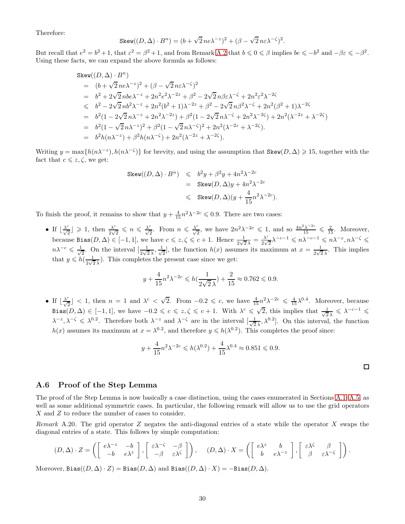Therefore:

$$
\text{Skew}((D,\Delta)\cdot B^n) = (b+\sqrt{2}\,ne^{\lambda^{-z}})^2 + (\beta-\sqrt{2}\,ne^{\lambda^{-\zeta}})^2.
$$

But recall that  $e^2 = b^2 + 1$ , that  $\varepsilon^2 = \beta^2 + 1$ , and from Remark [A.2](#page-23-5) that  $b \le 0 \le \beta$  implies  $be \le -b^2$  and  $-\beta\varepsilon \le -\beta^2$ . Using these facts, we can expand the above formula as follows:

$$
\begin{array}{lll} \text{Skew}((D,\Delta)\cdot B^n) \\ & = & (b+\sqrt{2}\,n e \lambda^{-z})^2 + (\beta-\sqrt{2}\,n \varepsilon \lambda^{-\zeta})^2 \\ & = & b^2 + 2\sqrt{2}\,n b e \lambda^{-z} + 2n^2 e^2 \lambda^{-2z} + \beta^2 - 2\sqrt{2}\,n \beta \varepsilon \lambda^{-\zeta} + 2n^2 \varepsilon^2 \lambda^{-2\zeta} \\ & \leq & b^2 - 2\sqrt{2}\,n b^2 \lambda^{-z} + 2n^2 (b^2+1) \lambda^{-2z} + \beta^2 - 2\sqrt{2}\,n \beta^2 \lambda^{-\zeta} + 2n^2 (\beta^2+1) \lambda^{-2\zeta} \\ & = & b^2 (1-2\sqrt{2}\,n \lambda^{-z} + 2n^2 \lambda^{-2z}) + \beta^2 (1-2\sqrt{2}\,n \lambda^{-\zeta} + 2n^2 \lambda^{-2\zeta}) + 2n^2 (\lambda^{-2z} + \lambda^{-2\zeta}) \\ & = & b^2 (1-\sqrt{2}\,n \lambda^{-z})^2 + \beta^2 (1-\sqrt{2}\,n \lambda^{-\zeta})^2 + 2n^2 (\lambda^{-2z} + \lambda^{-2\zeta}). \\ & = & b^2 h (n \lambda^{-z}) + \beta^2 h (n \lambda^{-\zeta}) + 2n^2 (\lambda^{-2z} + \lambda^{-2\zeta}). \end{array}
$$

Writing  $y = \max\{h(n\lambda^{-z}), h(n\lambda^{-\zeta})\}$  for brevity, and using the assumption that  $\text{Skew}(D, \Delta) \geq 15$ , together with the fact that  $c \leq z, \zeta$ , we get:

$$
\begin{array}{lcl} {\rm Skew}((D,\Delta)\cdot B^n) & \leqslant & b^2y+\beta^2y+4n^2\lambda^{-2c} \\ & = & {\rm Skew}(D,\Delta)y+4n^2\lambda^{-2c} \\ & \leqslant & {\rm Skew}(D,\Delta)(y+\frac{4}{15}n^2\lambda^{-2c}). \end{array}
$$

To finish the proof, it remains to show that  $y + \frac{4}{15}n^2\lambda^{-2c} \leqslant 0.9$ . There are two cases:

• If  $\lfloor \frac{\lambda^c}{\sqrt{2}} \rfloor \geq 1$ , then  $\frac{\lambda^c}{2\sqrt{2}}$  $\frac{\lambda^c}{2\sqrt{2}} \leq n \leq \frac{\lambda^c}{\sqrt{2}}$ . From  $n \leq \frac{\lambda^c}{\sqrt{2}}$ , we have  $2n^2\lambda^{-2c} \leq 1$ , and so  $\frac{4n^2\lambda^{-2c}}{15} \leq \frac{2}{15}$ . Moreover, because Bias $(D, \Delta) \in [-1, 1]$ , we have  $c \leq z, \zeta \leq c + 1$ . Hence  $\frac{1}{2\sqrt{2}\lambda} = \frac{\lambda^c}{2\sqrt{2}}$  $\frac{\lambda^c}{2\sqrt{2}}\lambda^{-c-1} \leqslant n\lambda^{-c-1} \leqslant n\lambda^{-z}, n\lambda^{-\zeta} \leqslant$  $n\lambda^{-c} \leqslant \frac{1}{\sqrt{2}}$  $\frac{1}{2}$ . On the interval  $\left[\frac{1}{2\sqrt{2}\lambda}, \frac{1}{\sqrt{2}}\right]$  $\frac{1}{2}$ , the function  $h(x)$  assumes its maximum at  $x = \frac{1}{2\sqrt{x}}$  $\frac{1}{2\sqrt{2}\lambda}$ . This implies that  $y \leq h\left(\frac{1}{2\sqrt{n}}\right)$  $\frac{1}{2\sqrt{2}\lambda}$ ). This completes the present case since we get:

$$
y + \frac{4}{15}n^2\lambda^{-2c} \leq h(\frac{1}{2\sqrt{2}\lambda}) + \frac{2}{15} \approx 0.762 \leq 0.9.
$$

• If  $\lfloor \frac{\lambda^c}{\sqrt{2}} \rfloor$  < 1, then  $n = 1$  and  $\lambda^c < \sqrt{2}$ . From  $-0.2 \leq c$ , we have  $\frac{4}{15}n^2\lambda^{-2c} \leq \frac{4}{15}\lambda^{0.4}$ . Moreover, because Bias $(D, \Delta) \in [-1, 1]$ , we have  $-0.2 \leqslant c \leqslant z, \zeta \leqslant c + 1$ . With  $\lambda^c \leqslant \sqrt{2}$ , this implies that  $\frac{1}{\sqrt{2}}$  $\frac{1}{2\lambda} \leqslant \lambda^{-c-1} \leqslant$  $\lambda^{-z}, \lambda^{-\zeta} \leq \lambda^{0.2}$ . Therefore both  $\lambda^{-z}$  and  $\lambda^{-\zeta}$  are in the interval  $\left[\frac{1}{\sqrt{2}}\right]$  $\frac{1}{2\lambda}$ ,  $\lambda^{0.2}$ . On this interval, the function  $h(x)$  assumes its maximum at  $x = \lambda^{0.2}$ , and therefore  $y \leq h(\lambda^{0.2})$ . This completes the proof since:

$$
y + \frac{4}{15}n^2\lambda^{-2c} \leq h(\lambda^{0.2}) + \frac{4}{15}\lambda^{0.4} \approx 0.851 \leq 0.9.
$$

#### <span id="page-29-0"></span>A.6 Proof of the Step Lemma

The proof of the Step Lemma is now basically a case distinction, using the cases enumerated in Sections [A.1](#page-24-2)[–A.5,](#page-28-0) as well as some additional symmetric cases. In particular, the following remark will allow us to use the grid operators X and Z to reduce the number of cases to consider.

<span id="page-29-1"></span>Remark A.20. The grid operator Z negates the anti-diagonal entries of a state while the operator X swaps the diagonal entries of a state. This follows by simple computation:

$$
(D, \Delta) \cdot Z = \left( \begin{bmatrix} e^{\lambda^{-z}} & -b \\ -b & e^{\lambda^{z}} \end{bmatrix}, \begin{bmatrix} \varepsilon^{\lambda^{-\zeta}} & -\beta \\ -\beta & \varepsilon^{\lambda^{\zeta}} \end{bmatrix} \right), \quad (D, \Delta) \cdot X = \left( \begin{bmatrix} e^{\lambda^{z}} & b \\ b & e^{\lambda^{-z}} \end{bmatrix}, \begin{bmatrix} \varepsilon^{\lambda^{\zeta}} & \beta \\ \beta & \varepsilon^{\lambda^{-\zeta}} \end{bmatrix} \right).
$$

Moreover, Bias $((D, \Delta) \cdot Z) =$  Bias $(D, \Delta)$  and Bias $((D, \Delta) \cdot X) = -$ Bias $(D, \Delta)$ .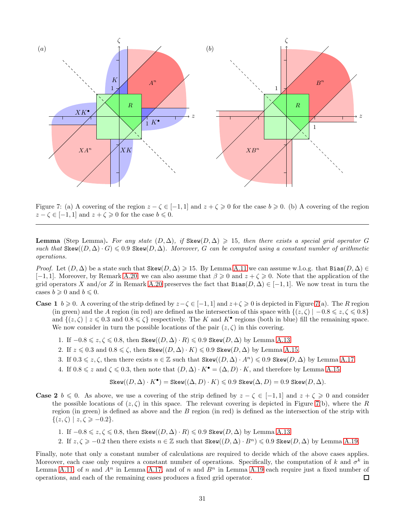

<span id="page-30-0"></span>Figure 7: (a) A covering of the region  $z - \zeta \in [-1, 1]$  and  $z + \zeta \geq 0$  for the case  $b \geq 0$ . (b) A covering of the region  $z - \zeta \in [-1, 1]$  and  $z + \zeta \geq 0$  for the case  $b \leq 0$ .

**Lemma** (Step Lemma). For any state  $(D, \Delta)$ , if Skew $(D, \Delta) \ge 15$ , then there exists a special grid operator G such that  $\text{Skew}(D, \Delta) \cdot G \leqslant 0.9$   $\text{Skew}(D, \Delta)$ . Moreover, G can be computed using a constant number of arithmetic operations.

*Proof.* Let  $(D, \Delta)$  be a state such that Skew $(D, \Delta) \geq 15$ . By Lemma [A.11](#page-25-2) we can assume w.l.o.g. that Bias $(D, \Delta) \in$ [-1, 1]. Moreover, by Remark [A.20,](#page-29-1) we can also assume that  $\beta \geq 0$  and  $z + \zeta \geq 0$ . Note that the application of the grid operators X and/or Z in Remark [A.20](#page-29-1) preserves the fact that  $Bias(D, \Delta) \in [-1, 1]$ . We now treat in turn the cases  $b \geqslant 0$  and  $b \leqslant 0$ .

- **Case 1**  $b \ge 0$ . A covering of the strip defined by  $z \zeta \in [-1, 1]$  and  $z + \zeta \ge 0$  is depicted in Figure [7\(](#page-30-0)a). The R region (in green) and the A region (in red) are defined as the intersection of this space with  $\{(z,\zeta) \mid -0.8 \leq z,\zeta \leq 0.8\}$ and  $\{(z,\zeta) \mid z \leq 0.3 \text{ and } 0.8 \leq \zeta\}$  respectively. The K and  $K^{\bullet}$  regions (both in blue) fill the remaining space. We now consider in turn the possible locations of the pair  $(z, \zeta)$  in this covering.
	- 1. If  $-0.8 \leq z, \zeta \leq 0.8$ , then Skew $((D, \Delta) \cdot R) \leq 0.9$  Skew $(D, \Delta)$  by Lemma [A.13.](#page-26-0)
	- 2. If  $z \leq 0.3$  and  $0.8 \leq \zeta$ , then Skew $((D, \Delta) \cdot K) \leq 0.9$  Skew $(D, \Delta)$  by Lemma [A.15.](#page-26-1)
	- 3. If  $0.3 \leq z, \zeta$ , then there exists  $n \in \mathbb{Z}$  such that  $\text{Skew}((D, \Delta) \cdot A^n) \leq 0.9$  Skew $(D, \Delta)$  by Lemma [A.17.](#page-27-2)
	- 4. If  $0.8 \leq z$  and  $\zeta \leq 0.3$ , then note that  $(D, \Delta) \cdot K^{\bullet} = (\Delta, D) \cdot K$ , and therefore by Lemma [A.15:](#page-26-1)

$$
\text{Skew}((D,\Delta)\cdot K^{\bullet})=\text{Skew}((\Delta,D)\cdot K)\leqslant 0.9 \text{ Skew}(\Delta,D)=0.9 \text{ Skew}(D,\Delta).
$$

- **Case 2**  $b \le 0$ . As above, we use a covering of the strip defined by  $z \zeta \in [-1,1]$  and  $z + \zeta \ge 0$  and consider the possible locations of  $(z, \zeta)$  in this space. The relevant covering is depicted in Figure [7\(](#page-30-0)b), where the R region (in green) is defined as above and the  $B$  region (in red) is defined as the intersection of the strip with  $\{(z,\zeta) \mid z,\zeta \geqslant -0.2\}.$ 
	- 1. If  $-0.8 \leq z, \zeta \leq 0.8$ , then Skew $(D, \Delta) \cdot R \leq 0.9$  Skew $(D, \Delta)$  by Lemma [A.13.](#page-26-0)
	- 2. If  $z, \zeta \geqslant -0.2$  then there exists  $n \in \mathbb{Z}$  such that Skew $((D, \Delta) \cdot B^n) \leqslant 0.9$  Skew $(D, \Delta)$  by Lemma [A.19.](#page-28-1)

Finally, note that only a constant number of calculations are required to decide which of the above cases applies. Moreover, each case only requires a constant number of operations. Specifically, the computation of k and  $\sigma^k$  in Lemma [A.11,](#page-25-2) of n and  $A^n$  in Lemma [A.17,](#page-27-2) and of n and  $B^n$  in Lemma [A.19](#page-28-1) each require just a fixed number of operations, and each of the remaining cases produces a fixed grid operator.  $\Box$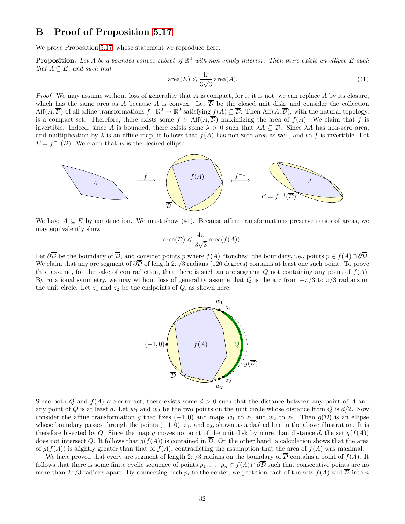### <span id="page-31-0"></span>B Proof of Proposition [5.17](#page-8-2)

We prove Proposition [5.17,](#page-8-2) whose statement we reproduce here.

**Proposition.** Let A be a bounded convex subset of  $\mathbb{R}^2$  with non-empty interior. Then there exists an ellipse E such that  $A \subseteq E$ , and such that

<span id="page-31-1"></span>
$$
\text{area}(E) \leqslant \frac{4\pi}{3\sqrt{3}} \operatorname{area}(A). \tag{41}
$$

*Proof.* We may assume without loss of generality that A is compact, for it it is not, we can replace A by its closure, which has the same area as A because A is convex. Let  $\overline{\mathcal{D}}$  be the closed unit disk, and consider the collection  $\mathrm{Aff}(A,\overline{\mathcal{D}})$  of all affine transformations  $f:\mathbb{R}^2\to\mathbb{R}^2$  satisfying  $\underline{f}(A)\subseteq\overline{\mathcal{D}}$ . Then  $\mathrm{Aff}(A,\overline{\mathcal{D}})$ , with the natural topology, is a compact set. Therefore, there exists some  $f \in Aff(A,\overline{\mathcal{D}})$  maximizing the area of  $f(A)$ . We claim that f is invertible. Indeed, since A is bounded, there exists some  $\lambda > 0$  such that  $\lambda A \subseteq \overline{\mathcal{D}}$ . Since  $\lambda A$  has non-zero area, and multiplication by  $\lambda$  is an affine map, it follows that  $f(A)$  has non-zero area as well, and so f is invertible. Let  $E = f^{-1}(\overline{\mathcal{D}})$ . We claim that E is the desired ellipse.



We have  $A \subseteq E$  by construction. We must show [\(41\)](#page-31-1). Because affine transformations preserve ratios of areas, we may equivalently show

$$
\operatorname{area}(\overline{\mathcal{D}}) \leqslant \frac{4\pi}{3\sqrt{3}} \operatorname{area}(f(A)).
$$

Let  $\partial \overline{\mathcal{D}}$  be the boundary of  $\overline{\mathcal{D}}$ , and consider points p where  $f(A)$  "touches" the boundary, i.e., points  $p \in f(A) \cap \partial \overline{\mathcal{D}}$ . We claim that any arc segment of  $\partial\overline{D}$  of length  $2\pi/3$  radians (120 degrees) contains at least one such point. To prove this, assume, for the sake of contradiction, that there is such an arc segment  $Q$  not containing any point of  $f(A)$ . By rotational symmetry, we may without loss of generality assume that Q is the arc from  $-\pi/3$  to  $\pi/3$  radians on the unit circle. Let  $z_1$  and  $z_2$  be the endpoints of  $Q$ , as shown here:



Since both Q and  $f(A)$  are compact, there exists some  $d > 0$  such that the distance between any point of A and any point of Q is at least d. Let  $w_1$  and  $w_2$  be the two points on the unit circle whose distance from Q is  $d/2$ . Now consider the affine transformation g that fixes  $(-1, 0)$  and maps  $w_1$  to  $z_1$  and  $w_2$  to  $z_2$ . Then  $g(\overline{\mathcal{D}})$  is an ellipse whose boundary passes through the points  $(-1, 0)$ ,  $z_1$ , and  $z_2$ , shown as a dashed line in the above illustration. It is therefore bisected by Q. Since the map g moves no point of the unit disk by more than distance d, the set  $g(f(A))$ does not intersect Q. It follows that  $q(f(A))$  is contained in  $\overline{\mathcal{D}}$ . On the other hand, a calculation shows that the area of  $q(f(A))$  is slightly greater than that of  $f(A)$ , contradicting the assumption that the area of  $f(A)$  was maximal.

We have proved that every arc segment of length  $2\pi/3$  radians on the boundary of  $\overline{\mathcal{D}}$  contains a point of  $f(A)$ . It follows that there is some finite cyclic sequence of points  $p_1, \ldots, p_n \in f(A) \cap \partial \overline{D}$  such that consecutive points are no more than  $2\pi/3$  radians apart. By connecting each  $p_i$  to the center, we partition each of the sets  $f(A)$  and  $\overline{\mathcal{D}}$  into n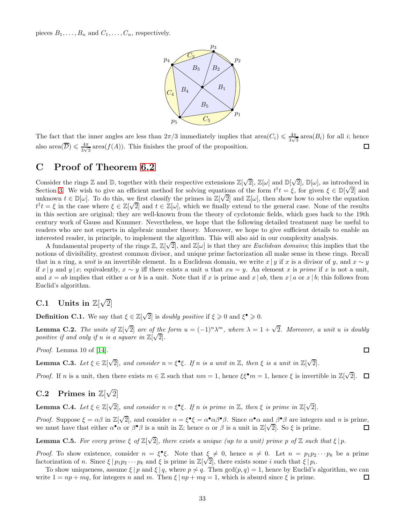pieces  $B_1, \ldots, B_n$  and  $C_1, \ldots, C_n$ , respectively.



The fact that the inner angles are less than  $2\pi/3$  immediately implies that area $(C_i) \leq \frac{4\pi}{3\sqrt{2}}$  $\frac{4\pi}{3\sqrt{3}}$  area $(B_i)$  for all *i*; hence also area $(\overline{\mathcal{D}}) \leqslant \frac{4\pi}{3\sqrt{3}}$ □  $\frac{4\pi}{3\sqrt{3}}$  area $(f(A))$ . This finishes the proof of the proposition.

## <span id="page-32-0"></span>C Proof of Theorem [6.2](#page-10-3)

Consider the rings  $\mathbb Z$  and  $\mathbb D$ , together with their respective extensions  $\mathbb Z[\sqrt{2}]$ ,  $\mathbb Z[\omega]$  and  $\mathbb D[\sqrt{2}]$ ,  $\mathbb D[\omega]$ , as introduced in Section [3.](#page-2-1) We wish to give an efficient method for solving equations of the form  $t^{\dagger}t = \xi$ , for given  $\xi \in \mathbb{D}[\sqrt{2}]$  and  $\xi \in \mathbb{D}[\sqrt{2}]$ . unknown  $t \in \mathbb{D}[\omega]$ . To do this, we first classify the primes in  $\mathbb{Z}[\sqrt{2}]$  and  $\mathbb{Z}[\omega]$ , then show how to solve the equation  $t^{\dagger}t = \xi$  in the case where  $\xi \in \mathbb{Z}[\sqrt{2}]$  and  $t \in \mathbb{Z}[\omega]$ , which we finally extend to the general case. None of the results in this section are original; they are well-known from the theory of cyclotomic fields, which goes back to the 19th century work of Gauss and Kummer. Nevertheless, we hope that the following detailed treatment may be useful to readers who are not experts in algebraic number theory. Moreover, we hope to give sufficient details to enable an interested reader, in principle, to implement the algorithm. This will also aid in our complexity analysis.

A fundamental property of the rings  $\mathbb{Z}, \mathbb{Z}[\sqrt{2}]$ , and  $\mathbb{Z}[\omega]$  is that they are *Euclidean domains*; this implies that the notions of divisibility, greatest common divisor, and unique prime factorization all make sense in these rings. Recall that in a ring, a *unit* is an invertible element. In a Euclidean domain, we write  $x \mid y$  if x is a divisor of y, and  $x \sim y$ if x | y and y | x; equivalently,  $x \sim y$  iff there exists a unit u that  $xu = y$ . An element x is prime if x is not a unit, and  $x = ab$  implies that either a or b is a unit. Note that if x is prime and  $x | ab$ , then  $x | a$  or  $x | b$ ; this follows from Euclid's algorithm.

## C.1 Units in  $\mathbb{Z}[\sqrt{2}]$

**Definition C.1.** We say that  $\xi \in \mathbb{Z}[\sqrt{2}]$  is *doubly positive* if  $\xi \geq 0$  and  $\xi^{\bullet} \geq 0$ .

<span id="page-32-3"></span>**Lemma C.2.** The units of  $\mathbb{Z}[\sqrt{2}]$  are of the form  $u = (-1)^n \lambda^m$ , where  $\lambda = 1 + \sqrt{2}$ . Moreover, a unit u is doubly positive if and only if u is a square in  $\mathbb{Z}[\sqrt{2}]$ .

Proof. Lemma 10 of [\[14\]](#page-39-1).

**Lemma C.3.** Let  $\xi \in \mathbb{Z}[\sqrt{2}]$ , and consider  $n = \xi^{\bullet} \xi$ . If n is a unit in  $\mathbb{Z}$ , then  $\xi$  is a unit in  $\mathbb{Z}[\sqrt{2}]$ .

Proof. If n is a unit, then there exists  $m \in \mathbb{Z}$  such that  $nm = 1$ , hence  $\xi \xi^{\bullet} m = 1$ , hence  $\xi$  is invertible in  $\mathbb{Z}[\sqrt{2}]$ . 口

## C.2 Primes in  $\mathbb{Z}[\sqrt{2}]$

<span id="page-32-2"></span>**Lemma C.4.** Let  $\xi \in \mathbb{Z}[\sqrt{2}]$ , and consider  $n = \xi^{\bullet} \xi$ . If n is prime in  $\mathbb{Z}$ , then  $\xi$  is prime in  $\mathbb{Z}[\sqrt{2}]$ .

Proof. Suppose  $\xi = \alpha \beta$  in  $\mathbb{Z}[\sqrt{2}]$ , and consider  $n = \xi^{\bullet} \xi = \alpha^{\bullet} \alpha \beta^{\bullet} \beta$ . Since  $\alpha^{\bullet} \alpha$  and  $\beta^{\bullet} \beta$  are integers and n is prime, we must have that either  $\alpha^{\bullet}\alpha$  or  $\beta^{\bullet}\beta$  is a unit in Z; hence  $\alpha$  or  $\beta$  is a unit in  $\mathbb{Z}[\sqrt{2}]$ . So  $\xi$  is prime. П

**Lemma C.5.** For every prime  $\xi$  of  $\mathbb{Z}[\sqrt{2}]$ , there exists a unique (up to a unit) prime p of  $\mathbb{Z}$  such that  $\xi | p$ .

*Proof.* To show existence, consider  $n = \xi^{\bullet} \xi$ . Note that  $\xi \neq 0$ , hence  $n \neq 0$ . Let  $n = p_1 p_2 \cdots p_k$  be a prime factorization of n. Since  $\xi | p_1 p_2 \cdots p_k$  and  $\xi$  is prime in  $\mathbb{Z}[\sqrt{2}]$ , there exists some i such that  $\xi | p_i$ .

<span id="page-32-1"></span>To show uniqueness, assume  $\xi | p$  and  $\xi | q$ , where  $p \not\sim q$ . Then  $\gcd(p, q) = 1$ , hence by Euclid's algorithm, we can te  $1 = np + mq$ , for integers n and m. Then  $\xi | np + mq = 1$ , which is absurd since  $\xi$  is prime. write  $1 = np + mq$ , for integers n and m. Then  $\xi | np + mq = 1$ , which is absurd since  $\xi$  is prime.

 $\Box$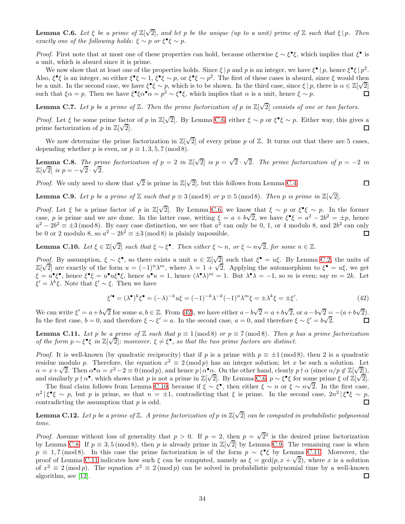**Lemma C.6.** Let  $\xi$  be a prime of  $\mathbb{Z}[\sqrt{2}]$ , and let p be the unique (up to a unit) prime of  $\mathbb Z$  such that  $\xi | p$ . Then exactly one of the following holds:  $\xi \sim p$  or  $\xi^{\bullet} \xi \sim p$ .

*Proof.* First note that at most one of these properties can hold, because otherwise  $\xi \sim \xi^{\bullet} \xi$ , which implies that  $\xi^{\bullet}$  is a unit, which is absurd since it is prime.

We now show that at least one of the properties holds. Since  $\xi | p$  and p is an integer, we have  $\xi^{\bullet} | p$ , hence  $\xi^{\bullet} \xi | p^2$ . Also,  $\xi^{\bullet}\xi$  is an integer, so either  $\xi^{\bullet}\xi \sim 1$ ,  $\xi^{\bullet}\xi \sim p$ , or  $\xi^{\bullet}\xi \sim p^2$ . The first of these cases is absurd, since  $\xi$  would then be a unit. In the second case, we have  $\xi^{\bullet} \xi \sim p$ , which is to be shown. In the third case, since  $\xi | p$ , there is  $\alpha \in \mathbb{Z}[\sqrt{2}]$ such that  $\xi \alpha = p$ . Then we have  $\xi^* \xi \alpha^* \alpha = p^2 \sim \xi^* \xi$ , which implies that  $\alpha$  is a unit, hence  $\xi \sim p$ .  $\Box$ 

<span id="page-33-5"></span>**Lemma C.7.** Let p be a prime of  $\mathbb{Z}$ . Then the prime factorization of p in  $\mathbb{Z}[\sqrt{2}]$  consists of one or two factors.

*Proof.* Let  $\xi$  be some prime factor of p in  $\mathbb{Z}[\sqrt{2}]$ . By Lemma [C.6,](#page-32-1) either  $\xi \sim p$  or  $\xi^{\bullet}\xi \sim p$ . Either way, this gives a prime factorization of p in  $\mathbb{Z}[\sqrt{2}]$ .

We now determine the prime factorization in  $\mathbb{Z}[\sqrt{2}]$  of every prime p of  $\mathbb{Z}$ . It turns out that there are 5 cases, depending whether p is even, or  $p \equiv 1, 3, 5, 7 \pmod{8}$ .

<span id="page-33-2"></span>**Lemma C.8.** The prime factorization of  $p = 2$  in  $\mathbb{Z}[\sqrt{2}]$  is  $p = \sqrt{2} \cdot \sqrt{2}$ . The prime factorization of  $p = -2$  in  $\mathbb{Z}[\sqrt{2}]$  is  $p = -\sqrt{2} \cdot \sqrt{2}$ .

*Proof.* We only need to show that  $\sqrt{2}$  is prime in  $\mathbb{Z}[\sqrt{2}]$ , but this follows from Lemma [C.4.](#page-32-2)

 $\Box$ 

<span id="page-33-3"></span>**Lemma C.9.** Let p be a prime of  $\mathbb{Z}$  such that  $p \equiv 3 \pmod{8}$  or  $p \equiv 5 \pmod{8}$ . Then p is prime in  $\mathbb{Z}[\sqrt{2}]$ .

*Proof.* Let  $\xi$  be a prime factor of p in  $\mathbb{Z}[\sqrt{2}]$ . By Lemma [C.6,](#page-32-1) we know that  $\xi \sim p$  or  $\xi^{\bullet}\xi \sim p$ . In the former case, p is prime and we are done. In the latter case, writing  $\xi = a + b\sqrt{2}$ , we have  $\xi^* \xi = a^2 - 2b^2 = \pm p$ , hence  $a^2 - 2b^2 \equiv \pm 3 \pmod{8}$ . By easy case distinction, we see that  $a^2$  can only be 0, 1, or 4 modulo 8, and  $2b^2$  can only be 0 or 2 modulo 8, so  $a^2 - 2b^2 \equiv \pm 3 \pmod{8}$  is plainly impossible.  $\Box$ 

<span id="page-33-1"></span>**Lemma C.10.** Let  $\xi \in \mathbb{Z}[\sqrt{2}]$  such that  $\xi \sim \xi^{\bullet}$ . Then either  $\xi \sim n$ , or  $\xi \sim n\sqrt{2}$ , for some  $n \in \mathbb{Z}$ .

Proof. By assumption,  $\xi \sim \xi^{\bullet}$ , so there exists a unit  $u \in \mathbb{Z}[\sqrt{2}]$  such that  $\xi^{\bullet} = u\xi$ . By Lemma [C.2,](#page-32-3) the units of  $\mathbb{Z}[\sqrt{2}]$  are exactly of the form  $u = (-1)^n \lambda^m$ , where  $\lambda = 1 + \sqrt{2}$ . Applying the automorphism to  $\xi^{\bullet} = u\xi$ , we get  $\xi = u^{\bullet} \xi^{\bullet}$ , hence  $\xi^{\bullet} \xi = u^{\bullet} u \xi^{\bullet} \xi$ , hence  $u^{\bullet} u = 1$ , hence  $(\lambda^{\bullet} \lambda)^m = 1$ . But  $\lambda^{\bullet} \lambda = -1$ , so m is even; say  $m = 2k$ . Let  $\xi' = \lambda^k \xi$ . Note that  $\xi' \sim \xi$ . Then we have

<span id="page-33-0"></span>
$$
\xi^{\prime \bullet} = (\lambda^{\bullet})^k \xi^{\bullet} = (-\lambda)^{-k} u \xi = (-1)^{-k} \lambda^{-k} (-1)^n \lambda^m \xi = \pm \lambda^k \xi = \pm \xi'. \tag{42}
$$

We can write  $\xi' = a + b\sqrt{2}$  for some  $a, b \in \mathbb{Z}$ . From [\(42\)](#page-33-0), we have either  $a - b\sqrt{2} = a + b\sqrt{2}$ , or  $a - b\sqrt{2} = -(a + b\sqrt{2})$ . In the first case,  $b = 0$ , and therefore  $\xi \sim \xi' = a$ . In the second case,  $a = 0$ , and therefore  $\xi \sim \xi' = b\sqrt{2}$ .  $\Box$ 

<span id="page-33-4"></span>**Lemma C.11.** Let p be a prime of Z such that  $p \equiv 1 \pmod{8}$  or  $p \equiv 7 \pmod{8}$ . Then p has a prime factorization of the form  $p \sim \xi^{\bullet} \xi$  in  $\mathbb{Z}[\sqrt{2}]$ ; moreover,  $\xi \not\sim \xi^{\bullet}$ , so that the two prime factors are distinct.

*Proof.* It is well-known (by quadratic reciprocity) that if p is a prime with  $p \equiv \pm 1 \pmod{8}$ , then 2 is a quadratic residue modulo p. Therefore, the equation  $x^2 \equiv 2 \pmod{p}$  has an integer solution; let x be such a solution. Let  $\alpha = x + \sqrt{2}$ . Then  $\alpha^{\bullet} \alpha = x^2 - 2 \equiv 0 \pmod{p}$ , and hence  $p | \alpha^{\bullet} \alpha$ . On the other hand, clearly  $p \nmid \alpha$  (since  $\alpha/p \notin \mathbb{Z}[\sqrt{2}]$ ), and similarly  $p \nmid \alpha^*$ , which shows that p is not a prime in  $\mathbb{Z}[\sqrt{2}]$ . By Lemma [C.6,](#page-32-1)  $p \sim \xi^* \xi$  for some prime  $\xi$  of  $\mathbb{Z}[\sqrt{2}]$ .

The final claim follows from Lemma [C.10,](#page-33-1) because if  $\xi \sim \xi^{\bullet}$ , then either  $\xi \sim n$  or  $\xi \sim n\sqrt{2}$ . In the first case,  $n^2 |\xi^{\bullet} \xi \sim p$ , but p is prime, so that  $n = \pm 1$ , contradicting that  $\xi$  is prime. In the second case,  $2n^2 |\xi^{\bullet} \xi \sim p$ , contradicting the assumption that p is odd.

<span id="page-33-6"></span>**Lemma C.12.** Let p be a prime of  $\mathbb Z$ . A prime factorization of p in  $\mathbb Z[\sqrt{2}]$  can be computed in probabilistic polynomial time.

*Proof.* Assume without loss of generality that  $p > 0$ . If  $p = 2$ , then  $p = \sqrt{2}^2$  is the desired prime factorization by Lemma [C.8.](#page-33-2) If  $p \equiv 3.5 \pmod{8}$ , then p is already prime in  $\mathbb{Z}[\sqrt{2}]$  by Lemma [C.9.](#page-33-3) The remaining case is when  $p \equiv 1.7 \pmod{8}$ . In this case the prime factorization is of the form  $p \sim \xi^{\bullet} \xi$  by Lemma [C.11.](#page-33-4) Moreover, the proof of Lemma [C.11](#page-33-4) indicates how such  $\xi$  can be computed, namely as  $\xi = \gcd(p, x + \sqrt{2})$ , where x is a solution of  $x^2 \equiv 2 \pmod{p}$ . The equation  $x^2 \equiv 2 \pmod{p}$  can be solved in probabilistic polynomial time by a well-known algorithm, see [\[12\]](#page-39-5).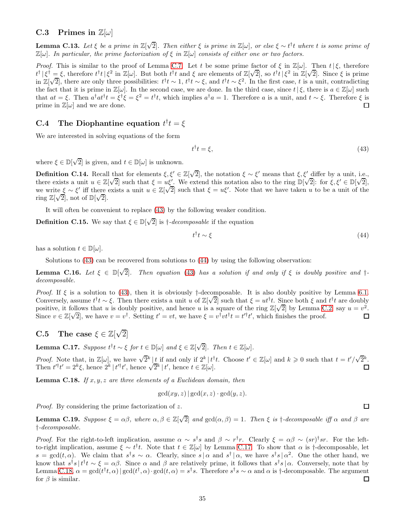#### C.3 Primes in  $\mathbb{Z}[\omega]$

**Lemma C.13.** Let  $\xi$  be a prime in  $\mathbb{Z}[\sqrt{2}]$ . Then either  $\xi$  is prime in  $\mathbb{Z}[\omega]$ , or else  $\xi \sim t^{\dagger}t$  where t is some prime of  $\mathbb{Z}[\omega]$ . In particular, the prime factorization of  $\xi$  in  $\mathbb{Z}[\omega]$  consists of either one or two factors.

*Proof.* This is similar to the proof of Lemma [C.7.](#page-33-5) Let t be some prime factor of  $\xi$  in  $\mathbb{Z}[\omega]$ . Then  $t \mid \xi$ , therefore  $t^{\dagger}$ |ξ<sup>†</sup> = ξ, therefore  $t^{\dagger}t$ |ξ<sup>2</sup> in Z[ω]. But both  $t^{\dagger}t$  and ξ are elements of Z[√2], so  $t^{\dagger}t$ |ξ<sup>2</sup> in Z[√2]. Since ξ is prime in  $\mathbb{Z}[\sqrt{2}]$ , there are only three possibilities:  $t^{\dagger}t \sim 1$ ,  $t^{\dagger}t \sim \xi$ , and  $t^{\dagger}t \sim \xi^2$ . In the first case, t is a unit, contradicting the fact that it is prime in  $\mathbb{Z}[\omega]$ . In the second case, we are done. In the third case, since  $t | \xi$ , there is  $a \in \mathbb{Z}[\omega]$  such that  $at = \xi$ . Then  $a^{\dagger}at^{\dagger}t = \xi^{\dagger}\xi = \xi^2 = t^{\dagger}t$ , which implies  $a^{\dagger}a = 1$ . Therefore a is a unit, and  $t \sim \xi$ . Therefore  $\xi$  is prime in  $\mathbb{Z}[\omega]$  and we are done.

## C.4 The Diophantine equation  $t^{\dagger}t = \xi$

We are interested in solving equations of the form

<span id="page-34-0"></span>
$$
t^{\dagger}t = \xi,\tag{43}
$$

where  $\xi \in \mathbb{D}[\sqrt{2}]$  is given, and  $t \in \mathbb{D}[\omega]$  is unknown.

**Definition C.14.** Recall that for elements  $\xi, \xi' \in \mathbb{Z}[\sqrt{2}]$ , the notation  $\xi \sim \xi'$  means that  $\xi, \xi'$  differ by a unit, i.e., **Definition** C(1) is recent that  $\zeta$  is  $\zeta$  is  $\zeta$  is  $\zeta$  is defined by  $\zeta$  is defined by  $\zeta$  is defined by  $\zeta$  is defined by  $\zeta$ . We extend this notation also to the ring  $\mathbb{D}[\sqrt{2}]$ : for  $\xi$ ,  $\xi' \in$ we write  $\xi \sim \xi'$  iff there exists a unit  $u \in \mathbb{Z}[\sqrt{2}]$  such that  $\xi = u\xi'$ . Note that we have taken u to be a unit of the ring  $\mathbb{Z}[\sqrt{2}]$ , not of  $\mathbb{D}[\sqrt{2}]$ .

It will often be convenient to replace [\(43\)](#page-34-0) by the following weaker condition.

**Definition C.15.** We say that  $\xi \in \mathbb{D}[\sqrt{2}]$  is  $\dagger$ -decomposable if the equation

<span id="page-34-1"></span>
$$
t^{\dagger}t \sim \xi \tag{44}
$$

has a solution  $t \in \mathbb{D}[\omega]$ .

<span id="page-34-5"></span>Solutions to [\(43\)](#page-34-0) can be recovered from solutions to [\(44\)](#page-34-1) by using the following observation:

**Lemma C.16.** Let  $\xi \in \mathbb{D}[\sqrt{2}]$ . Then equation [\(43\)](#page-34-0) has a solution if and only if  $\xi$  is doubly positive and  $\dagger$ decomposable.

*Proof.* If  $\xi$  is a solution to [\(43\)](#page-34-0), then it is obviously †-decomposable. It is also doubly positive by Lemma [6.1.](#page-10-5) Conversely, assume  $t^{\dagger}t \sim \xi$ . Then there exists a unit u of  $\mathbb{Z}[\sqrt{2}]$  such that  $\xi = ut^{\dagger}t$ . Since both  $\xi$  and  $t^{\dagger}t$  are doubly positive, it follows that u is doubly positive, and hence u is a square of the ring  $\mathbb{Z}[\sqrt{2}]$  by Lemma [C.2;](#page-32-3) say  $u = v^2$ . Since  $v \in \mathbb{Z}[\sqrt{2}]$ , we have  $v = v^{\dagger}$ . Setting  $t' = vt$ , we have  $\xi = v^{\dagger}vt^{\dagger}t = t'^{\dagger}t'$ , which finishes the proof.  $\square$ 

# C.5 The case  $\xi \in \mathbb{Z}[\sqrt{2}]$

<span id="page-34-2"></span>**Lemma C.17.** Suppose  $t^{\dagger}t \sim \xi$  for  $t \in \mathbb{D}[\omega]$  and  $\xi \in \mathbb{Z}[\sqrt{2}]$ . Then  $t \in \mathbb{Z}[\omega]$ .

*Proof.* Note that, in  $\mathbb{Z}[\omega]$ , we have  $\sqrt{2}^k \begin{bmatrix} t & \text{if and only if } 2^k \end{bmatrix} t^{\dagger}t$ . Choose  $t' \in \mathbb{Z}[\omega]$  and  $k \geq 0$  such that  $t = t'/\sqrt{2^k}$ . Then  $t'^{\dagger}t' = 2^{k}\xi$ , hence  $2^{k} |t'^{\dagger}t'$ , hence  $\sqrt{2^{k}} |t'$ , hence  $t \in \mathbb{Z}[\omega]$ .  $\Box$ 

<span id="page-34-3"></span>**Lemma C.18.** If  $x, y, z$  are three elements of a Euclidean domain, then

$$
\gcd(xy, z) | \gcd(x, z) \cdot \gcd(y, z).
$$

Proof. By considering the prime factorization of z.

<span id="page-34-4"></span>**Lemma C.19.** Suppose  $\xi = \alpha \beta$ , where  $\alpha, \beta \in \mathbb{Z}[\sqrt{2}]$  and  $gcd(\alpha, \beta) = 1$ . Then  $\xi$  is  $\dagger$ -decomposable iff  $\alpha$  and  $\beta$  are †-decomposable.

*Proof.* For the right-to-left implication, assume  $\alpha \sim s^{\dagger} s$  and  $\beta \sim r^{\dagger} r$ . Clearly  $\xi = \alpha \beta \sim (sr)^{\dagger} sr$ . For the leftto-right implication, assume  $\xi \sim t^{\dagger}t$ . Note that  $t \in \mathbb{Z}[\omega]$  by Lemma [C.17.](#page-34-2) To show that  $\alpha$  is †-decomposable, let  $s = \gcd(t, \alpha)$ . We claim that  $s^{\dagger} s \sim \alpha$ . Clearly, since  $s | \alpha$  and  $s^{\dagger} | \alpha$ , we have  $s^{\dagger} s | \alpha^2$ . One the other hand, we know that  $s^{\dagger} s | t^{\dagger} t \sim \xi = \alpha \beta$ . Since  $\alpha$  and  $\beta$  are relatively prime, it follows that  $s^{\dagger} s | \alpha$ . Conversely, note that by Lemma [C.18,](#page-34-3)  $\alpha = \gcd(t^{\dagger}t, \alpha) | \gcd(t^{\dagger}, \alpha) \cdot \gcd(t, \alpha) = s^{\dagger}s$ . Therefore  $s^{\dagger}s \sim \alpha$  and  $\alpha$  is †-decomposable. The argument for  $\beta$  is similar.

 $\square$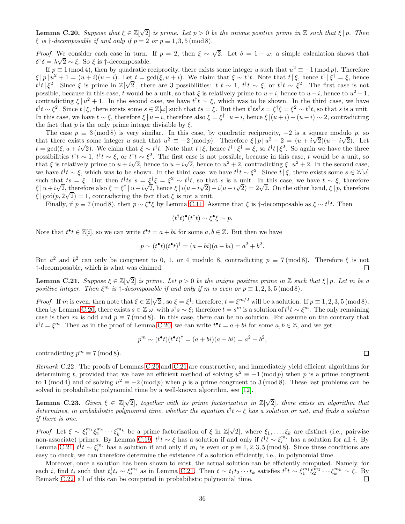<span id="page-35-0"></span>**Lemma C.20.** Suppose that  $\xi \in \mathbb{Z}[\sqrt{2}]$  is prime. Let  $p > 0$  be the unique positive prime in  $\mathbb{Z}$  such that  $\xi | p$ . Then  $\xi$  is  $\dagger$ -decomposable if and only if  $p = 2$  or  $p \equiv 1, 3, 5 \pmod{8}$ .

*Proof.* We consider each case in turn. If  $p = 2$ , then  $\xi \sim \sqrt{2}$ . Let  $\delta = 1 + \omega$ ; a simple calculation shows that  $δ<sup>†</sup>δ = λ√2 ~ ε$ . So ξ is †-decomposable.

If  $p \equiv 1 \pmod{4}$ , then by quadratic reciprocity, there exists some integer u such that  $u^2 \equiv -1 \pmod{p}$ . Therefore  $\xi |p| u^2 + 1 = (u+i)(u-i)$ . Let  $t = \gcd(\xi, u+i)$ . We claim that  $\xi \sim t^{\dagger}t$ . Note that  $t | \xi$ , hence  $t^{\dagger} | \xi^{\dagger} = \xi$ , hence  $t^{\dagger}t^{\dagger}\xi^2$ . Since  $\xi$  is prime in  $\mathbb{Z}[\sqrt{2}]$ , there are 3 possibilities:  $t^{\dagger}t \sim 1$ ,  $t^{\dagger}t \sim \xi$ , or  $t^{\dagger}t \sim \xi^2$ . The first case is not possible, because in this case, t would be a unit, so that  $\xi$  is relatively prime to  $u + i$ , hence to  $u - i$ , hence to  $u^2 + 1$ , contradicting  $\xi | u^2 + 1$ . In the second case, we have  $t^{\dagger}t \sim \xi$ , which was to be shown. In the third case, we have  $t^{\dagger}t \sim \xi^2$ . Since  $t \mid \xi$ , there exists some  $s \in \mathbb{Z}[\omega]$  such that  $ts = \xi$ . But then  $t^{\dagger}ts^{\dagger} s = \xi^{\dagger}\xi = \xi^2 \sim t^{\dagger}t$ , so that s is a unit. In this case, we have  $t \sim \xi$ , therefore  $\xi | u + i$ , therefore also  $\xi = \xi^{\dagger} | u - i$ , hence  $\xi | (u + i) - (u - i) \sim 2$ , contradicting the fact that p is the only prime integer divisible by  $\xi$ .

The case  $p \equiv 3 \pmod{8}$  is very similar. In this case, by quadratic reciprocity,  $-2$  is a square modulo p, so that there exists some integer u such that  $u^2 \equiv -2 \pmod{p}$ . Therefore  $\xi |p| u^2 + 2 = (u + i\sqrt{2})(u - i\sqrt{2})$ . Let t = gcd(ξ,  $u + i\sqrt{2}$ ). We claim that  $\xi \sim t^{\dagger}t$ . Note that  $t \mid \xi$ , hence  $t^{\dagger} \mid \xi^{\dagger} = \xi$ , so  $t^{\dagger}t \mid \xi^2$ . So again we have the three possibilities  $t^{\dagger}t \sim 1$ ,  $t^{\dagger}t \sim \xi$ , or  $t^{\dagger}t \sim \xi^2$ . The first case is not possible, because in this case, t would be a unit, so that  $\xi$  is relatively prime to  $u + i\sqrt{2}$ , hence to  $u - i\sqrt{2}$ , hence to  $u^2 + 2$ , contradicting  $\xi | u^2 + 2$ . In the second case, we have  $t^{\dagger}t \sim \xi$ , which was to be shown. In the third case, we have  $t^{\dagger}t \sim \xi^2$ . Since  $t \mid \xi$ , there exists some  $s \in \mathbb{Z}[\omega]$ such that  $ts = \xi$ . But then  $t^{\dagger}ts^{\dagger}s = \xi^{\dagger}\xi = \xi^2 \sim t^{\dagger}t$ , so that s is a unit. In this case, we have  $t \sim \xi$ , therefore  $\xi | u + i\sqrt{2}$ , therefore also  $\xi = \xi^{\dagger} | u - i\sqrt{2}$ , hence  $\xi | i(u - i\sqrt{2}) - i(u + i\sqrt{2}) = 2\sqrt{2}$ . On the other hand,  $\xi | p$ , therefore  $\xi$  | gcd(p, 2 $\sqrt{2}$ ) = 1, contradicting the fact that  $\xi$  is not a unit.

Finally, if  $p \equiv 7 \pmod{8}$ , then  $p \sim \xi^{\bullet} \xi$  by Lemma [C.11.](#page-33-4) Assume that  $\xi$  is †-decomposable as  $\xi \sim t^{\dagger} t$ . Then

$$
(t^{\dagger}t)^{\bullet}(t^{\dagger}t) \sim \xi^{\bullet}\xi \sim p.
$$

Note that  $t^{\bullet}t \in \mathbb{Z}[i]$ , so we can write  $t^{\bullet}t = a + bi$  for some  $a, b \in \mathbb{Z}$ . But then we have

$$
p \sim (t^{\bullet}t)(t^{\bullet}t)^{\dagger} = (a+bi)(a-bi) = a^2 + b^2.
$$

But  $a^2$  and  $b^2$  can only be congruent to 0, 1, or 4 modulo 8, contradicting  $p \equiv 7 \pmod{8}$ . Therefore  $\xi$  is not †-decomposable, which is what was claimed.

<span id="page-35-1"></span>**Lemma C.21.** Suppose  $\xi \in \mathbb{Z}[\sqrt{2}]$  is prime. Let  $p > 0$  be the unique positive prime in  $\mathbb{Z}$  such that  $\xi | p$ . Let m be a positive integer. Then  $\xi^m$  is  $\dagger$ -decomposable if and only if m is even or  $p \equiv 1, 2, 3, 5 \pmod{8}$ .

*Proof.* If m is even, then note that  $\xi \in \mathbb{Z}[\sqrt{2}]$ , so  $\xi = \xi^{\dagger}$ ; therefore,  $t = \xi^{m/2}$  will be a solution. If  $p \equiv 1, 2, 3, 5 \pmod{8}$ , then by Lemma [C.20,](#page-35-0) there exists  $s \in \mathbb{Z}[\omega]$  with  $s^{\dagger}s \sim \xi$ ; therefore  $t = s^m$  is a solution of  $t^{\dagger}t \sim \xi^m$ . The only remaining case is then m is odd and  $p \equiv 7 \pmod{8}$ . In this case, there can be no solution. For assume on the contrary that  $t^{\dagger}t = \xi^m$ . Then as in the proof of Lemma [C.20,](#page-35-0) we can write  $t^{\bullet}t = a + bi$  for some  $a, b \in \mathbb{Z}$ , and we get

$$
pm \sim (t\bullet t)(t\bullet t)\dagger = (a + bi)(a - bi) = a2 + b2,
$$

<span id="page-35-2"></span>contradicting  $p^m \equiv 7 \pmod{8}$ .

Remark C.22. The proofs of Lemmas [C.20](#page-35-0) and [C.21](#page-35-1) are constructive, and immediately yield efficient algorithms for determining t, provided that we have an efficient method of solving  $u^2 \equiv -1 \pmod{p}$  when p is a prime congruent to 1 (mod 4) and of solving  $u^2 \equiv -2 \pmod{p}$  when p is a prime congruent to 3 (mod 8). These last problems can be solved in probabilistic polynomial time by a well-known algorithm, see [\[12\]](#page-39-5).

<span id="page-35-3"></span>**Lemma C.23.** Given  $\xi \in \mathbb{Z}[\sqrt{2}]$ , together with its prime factorization in  $\mathbb{Z}[\sqrt{2}]$ , there exists an algorithm that determines, in probabilistic polynomial time, whether the equation t † t ∼ ξ has a solution or not, and finds a solution if there is one.

*Proof.* Let  $\xi \sim \xi_1^{m_1} \xi_2^{m_2} \cdots \xi_k^{m_k}$  be a prime factorization of  $\xi$  in  $\mathbb{Z}[\sqrt{2}]$ , where  $\xi_1, \ldots, \xi_k$  are distinct (i.e., pairwise non-associate) primes. By Lemma [C.19,](#page-34-4)  $t^{\dagger}t \sim \xi$  has a solution if and only if  $t^{\dagger}t \sim \xi_i^{m_i}$  has a solution for all i. By Lemma [C.21,](#page-35-1)  $t^{\dagger}t \sim \xi_i^{m_i}$  has a solution if and only if  $m_i$  is even or  $p \equiv 1, 2, 3, 5 \pmod{8}$ . Since these conditions are easy to check, we can therefore determine the existence of a solution efficiently, i.e., in polynomial time.

Moreover, once a solution has been shown to exist, the actual solution can be efficiently computed. Namely, for each *i*, find  $t_i$  such that  $t_i^{\dagger} t_i \sim \xi_i^{m_i}$  as in Lemma [C.21.](#page-35-1) Then  $t \sim t_1 t_2 \cdots t_k$  satisfies  $t^{\dagger} t \sim \xi_1^{m_1} \xi_2^{m_2} \cdots \xi_k^{m_k} \sim \xi$ . By Remark [C.22,](#page-35-2) all of this can be computed in probabilistic polynomial time.

 $\Box$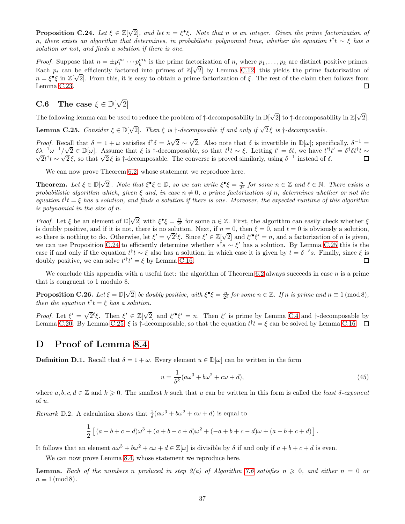<span id="page-36-2"></span>**Proposition C.24.** Let  $\xi \in \mathbb{Z}[\sqrt{2}]$ , and let  $n = \xi^{\bullet}\xi$ . Note that n is an integer. Given the prime factorization of n, there exists an algorithm that determines, in probabilistic polynomial time, whether the equation  $t^\dagger t\sim \xi$  has a solution or not, and finds a solution if there is one.

*Proof.* Suppose that  $n = \pm p_1^{m_1} \cdots p_k^{m_k}$  is the prime factorization of n, where  $p_1, \ldots, p_k$  are distinct positive primes. Each  $p_i$  can be efficiently factored into primes of  $\mathbb{Z}[\sqrt{2}]$  by Lemma [C.12;](#page-33-6) this yields the prime factorization of  $n = \xi^{\bullet} \xi$  in  $\mathbb{Z}[\sqrt{2}]$ . From this, it is easy to obtain a prime factorization of  $\xi$ . The rest of the claim then follows from Lemma [C.23.](#page-35-3)  $\Box$ 

# C.6 The case  $\xi \in \mathbb{D}[\sqrt{2}]$

<span id="page-36-3"></span>The following lemma can be used to reduce the problem of  $\dagger$ -decomposability in  $\mathbb{D}[\sqrt{2}]$  to  $\dagger$ -decomposability in  $\mathbb{Z}[\sqrt{2}]$ .

**Lemma C.25.** Consider  $\xi \in \mathbb{D}[\sqrt{2}]$ . Then  $\xi$  is  $\dagger$ -decomposable if and only if  $\sqrt{2}\xi$  is  $\dagger$ -decomposable.

Proof. Recall that  $\delta = 1 + \omega$  satisfies  $\delta^{\dagger} \delta = \lambda \sqrt{2} \sim \sqrt{2}$ . Also note that  $\delta$  is invertible in  $\mathbb{D}[\omega]$ ; specifically,  $\delta^{-1} =$ δλ<sup>−1</sup>ω<sup>-1</sup>/ $\sqrt{2}$  ∈ D[ω]. Assume that ξ is †-decomposable, so that  $t^{\dagger}t \sim \xi$ . Letting  $t' = \delta t$ , we have  $t'^{\dagger}t' = \delta^{\dagger} \delta t^{\dagger} t \sim$  $\sqrt{2}t^{\dagger}t \sim \sqrt{2}\xi$ , so that  $\sqrt{2}\xi$  is †-decomposable. The converse is proved similarly, using δ<sup>-1</sup> instead of δ.

We can now prove Theorem [6.2,](#page-10-3) whose statement we reproduce here.

**Theorem.** Let  $\xi \in \mathbb{D}[\sqrt{2}]$ . Note that  $\xi^{\bullet}\xi \in \mathbb{D}$ , so we can write  $\xi^{\bullet}\xi = \frac{n}{2^{\ell}}$  for some  $n \in \mathbb{Z}$  and  $\ell \in \mathbb{N}$ . There exists a probabilistic algorithm which, given  $\xi$  and, in case  $n \neq 0$ , a prime factorization of n, determines whether or not the equation  $t^{\dagger}t = \xi$  has a solution, and finds a solution if there is one. Moreover, the expected runtime of this algorithm is polynomial in the size of n.

*Proof.* Let  $\xi$  be an element of  $\mathbb{D}[\sqrt{2}]$  with  $\xi^{\bullet}\xi = \frac{n}{2^{\ell}}$  for some  $n \in \mathbb{Z}$ . First, the algorithm can easily check whether  $\xi$ is doubly positive, and if it is not, there is no solution. Next, if  $n = 0$ , then  $\xi = 0$ , and  $t = 0$  is obviously a solution, so there is nothing to do. Otherwise, let  $\xi' = \sqrt{2}^{\ell} \xi$ . Since  $\xi' \in \mathbb{Z}[\sqrt{2}]$  and  $\xi' \xi' = n$ , and a factorization of n is given, we can use Proposition [C.24](#page-36-2) to efficiently determine whether  $s^{\dagger}s \sim \xi'$  has a solution. By Lemma [C.25](#page-36-3) this is the case if and only if the equation  $t^{\dagger}t \sim \xi$  also has a solution, in which case it is given by  $t = \delta^{-\ell} s$ . Finally, since  $\xi$  is Π doubly positive, we can solve  $t'^{\dagger}t' = \xi$  by Lemma [C.16.](#page-34-5)

<span id="page-36-1"></span>We conclude this appendix with a useful fact: the algorithm of Theorem [6.2](#page-10-3) always succeeds in case n is a prime that is congruent to 1 modulo 8.

**Proposition C.26.** Let  $\xi = \mathbb{D}[\sqrt{2}]$  be doubly positive, with  $\xi^{\bullet}\xi = \frac{n}{2^{\ell}}$  for some  $n \in \mathbb{Z}$ . If n is prime and  $n \equiv 1 \pmod{8}$ , then the equation  $t^{\dagger}t = \xi$  has a solution.

Proof. Let  $\xi' = \sqrt{2}^{\ell} \xi$ . Then  $\xi' \in \mathbb{Z}[\sqrt{2}]$  and  $\xi' \xi' = n$ . Then  $\xi'$  is prime by Lemma [C.4](#page-32-2) and †-decomposable by Lemma [C.20.](#page-35-0) By Lemma [C.25,](#page-36-3)  $\xi$  is  $\dagger$ -decomposable, so that the equation  $t^{\dagger}t = \xi$  can be solved by Lemma [C.16.](#page-34-5)

## <span id="page-36-0"></span>D Proof of Lemma [8.4](#page-14-5)

**Definition D.1.** Recall that  $\delta = 1 + \omega$ . Every element  $u \in \mathbb{D}[\omega]$  can be written in the form

<span id="page-36-4"></span>
$$
u = \frac{1}{\delta^k} (a\omega^3 + b\omega^2 + c\omega + d),\tag{45}
$$

where  $a, b, c, d \in \mathbb{Z}$  and  $k \geqslant 0$ . The smallest k such that u can be written in this form is called the least  $\delta$ -exponent of u.

<span id="page-36-5"></span>Remark D.2. A calculation shows that  $\frac{1}{\delta}(a\omega^3 + b\omega^2 + c\omega + d)$  is equal to

$$
\frac{1}{2} [(a - b + c - d)\omega^3 + (a + b - c + d)\omega^2 + (-a + b + c - d)\omega + (a - b + c + d)].
$$

It follows that an element  $a\omega^3 + b\omega^2 + c\omega + d \in \mathbb{Z}[\omega]$  is divisible by  $\delta$  if and only if  $a + b + c + d$  is even.

We can now prove Lemma [8.4,](#page-14-5) whose statement we reproduce here.

**Lemma.** Each of the numbers n produced in step  $2(a)$  of Algorithm [7.6](#page-13-1) satisfies  $n \geq 0$ , and either  $n = 0$  or  $n \equiv 1 \pmod{8}.$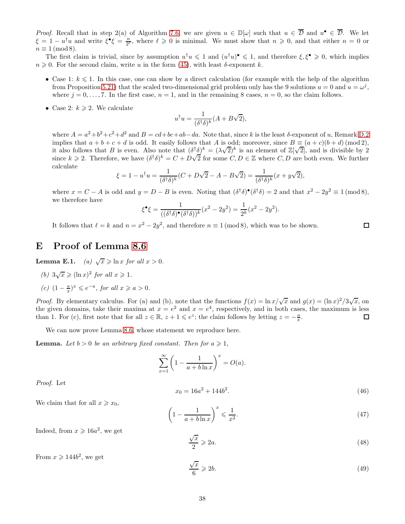*Proof.* Recall that in step 2(a) of Algorithm [7.6,](#page-13-1) we are given  $u \in \mathbb{D}[\omega]$  such that  $u \in \mathcal{D}$  and  $u^{\bullet} \in \mathcal{D}$ . We let  $\xi = 1 - u^{\dagger}u$  and write  $\xi^{\bullet}\xi = \frac{n}{2^{\ell}}$ , where  $\ell \geq 0$  is minimal. We must show that  $n \geq 0$ , and that either  $n = 0$  or  $n \equiv 1 \pmod{8}$ .

The first claim is trivial, since by assumption  $u^{\dagger}u \leq 1$  and  $(u^{\dagger}u)^{\bullet} \leq 1$ , and therefore  $\xi, \xi^{\bullet} \geq 0$ , which implies  $n \geq 0$ . For the second claim, write u in the form [\(45\)](#page-36-4), with least  $\delta$ -exponent k.

- Case 1:  $k \leq 1$ . In this case, one can show by a direct calculation (for example with the help of the algorithm from Proposition [5.21\)](#page-9-2) that the scaled two-dimensional grid problem only has the 9 solutions  $u = 0$  and  $u = \omega^j$ , where  $j = 0, \ldots, 7$ . In the first case,  $n = 1$ , and in the remaining 8 cases,  $n = 0$ , so the claim follows.
- Case 2:  $k \geqslant 2$ . We calculate

$$
u^{\dagger}u = \frac{1}{(\delta^{\dagger}\delta)^k}(A + B\sqrt{2}),
$$

where  $A = a^2 + b^2 + c^2 + d^2$  and  $B = cd + bc + ab - da$ . Note that, since k is the least  $\delta$ -exponent of u, Remark [D.2](#page-36-5) implies that  $a + b + c + d$  is odd. It easily follows that A is odd; moreover, since  $B \equiv (a + c)(b + d) \pmod{2}$ , it also follows that B is even. Also note that  $(\delta^{\dagger} \delta)^k = (\lambda \sqrt{2})^k$  is an element of  $\mathbb{Z}[\sqrt{2}]$ , and is divisible by 2 since  $k \ge 2$ . Therefore, we have  $(\delta^{\dagger} \delta)^k = C + D\sqrt{2}$  for some  $C, D \in \mathbb{Z}$  where  $C, D$  are both even. We further calculate

$$
\xi = 1 - u^{\dagger}u = \frac{1}{(\delta^{\dagger}\delta)^k}(C + D\sqrt{2} - A - B\sqrt{2}) = \frac{1}{(\delta^{\dagger}\delta)^k}(x + y\sqrt{2}),
$$

where  $x = C - A$  is odd and  $y = D - B$  is even. Noting that  $(\delta^{\dagger} \delta)^{\bullet} (\delta^{\dagger} \delta) = 2$  and that  $x^2 - 2y^2 \equiv 1 \pmod{8}$ , we therefore have

$$
\xi^{\bullet}\xi = \frac{1}{((\delta^{\dagger}\delta)^{\bullet}(\delta^{\dagger}\delta))^k}(x^2 - 2y^2) = \frac{1}{2^k}(x^2 - 2y^2).
$$

It follows that  $\ell = k$  and  $n = x^2 - 2y^2$ , and therefore  $n \equiv 1 \pmod{8}$ , which was to be shown.

## <span id="page-37-4"></span><span id="page-37-0"></span>E Proof of Lemma [8.6](#page-14-4)

<span id="page-37-5"></span><span id="page-37-3"></span>**Lemma E.1.** (a)  $\sqrt{x} \ge \ln x$  for all  $x > 0$ .

- <span id="page-37-6"></span>(b)  $3\sqrt{x} \ge (\ln x)^2$  for all  $x \ge 1$ .
- (c)  $(1 \frac{a}{x})^x \le e^{-a}$ , for all  $x \ge a > 0$ .

*Proof.* By elementary calculus. For (a) and (b), note that the functions  $f(x) = \ln x/\sqrt{x}$  and  $g(x) = (\ln x)^2/3\sqrt{x}$ , on the given domains, take their maxima at  $x = e^2$  and  $x = e^4$ , respectively, and in both cases, the maximum is less than 1. For (c), first note that for all  $z \in \mathbb{R}$ ,  $z + 1 \leq e^z$ ; the claim follows by letting  $z = -\frac{a}{x}$ .  $\Box$ 

We can now prove Lemma [8.6,](#page-14-4) whose statement we reproduce here.

**Lemma.** Let  $b > 0$  be an arbitrary fixed constant. Then for  $a \ge 1$ ,

$$
\sum_{x=1}^{\infty} \left(1 - \frac{1}{a + b \ln x}\right)^x = O(a).
$$

Proof. Let

$$
x_0 = 16a^2 + 144b^2. \tag{46}
$$

□

We claim that for all  $x \geq x_0$ ,

<span id="page-37-7"></span>
$$
\left(1 - \frac{1}{a + b \ln x}\right)^x \leqslant \frac{1}{x^2}.\tag{47}
$$

Indeed, from  $x \ge 16a^2$ , we get

<span id="page-37-1"></span>
$$
\frac{\sqrt{x}}{2} \geqslant 2a. \tag{48}
$$

From  $x \geqslant 144b^2$ , we get

<span id="page-37-2"></span>
$$
\frac{\sqrt{x}}{6} \geqslant 2b. \tag{49}
$$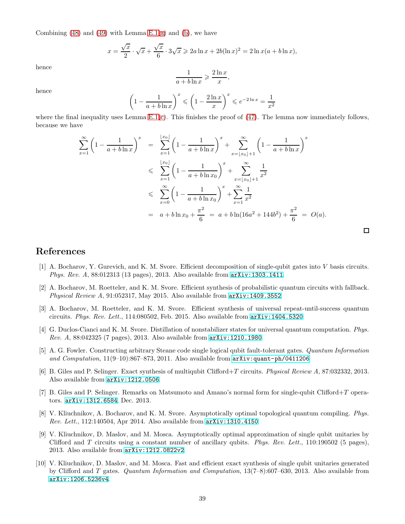Combining  $(48)$  and  $(49)$  with Lemma [E.1\(](#page-37-3)[a\)](#page-37-4) and [\(b\)](#page-37-5), we have

$$
x = \frac{\sqrt{x}}{2} \cdot \sqrt{x} + \frac{\sqrt{x}}{6} \cdot 3\sqrt{x} \ge 2a \ln x + 2b(\ln x)^2 = 2 \ln x(a + b \ln x),
$$

hence

$$
\frac{1}{a+b\ln x} \geqslant \frac{2\ln x}{x},
$$

hence

$$
\left(1 - \frac{1}{a + b \ln x}\right)^x \le \left(1 - \frac{2 \ln x}{x}\right)^x \le e^{-2 \ln x} = \frac{1}{x^2}
$$

where the final inequality uses Lemma  $E(1(c)$  $E(1(c)$ . This finishes the proof of  $(47)$ . The lemma now immediately follows, because we have

$$
\sum_{x=1}^{\infty} \left(1 - \frac{1}{a + b \ln x}\right)^x = \sum_{x=1}^{\lfloor x_0 \rfloor} \left(1 - \frac{1}{a + b \ln x}\right)^x + \sum_{x=\lfloor x_0 \rfloor + 1}^{\infty} \left(1 - \frac{1}{a + b \ln x}\right)^x
$$
  
\n
$$
\leqslant \sum_{x=1}^{\lfloor x_0 \rfloor} \left(1 - \frac{1}{a + b \ln x_0}\right)^x + \sum_{x=\lfloor x_0 \rfloor + 1}^{\infty} \frac{1}{x^2}
$$
  
\n
$$
\leqslant \sum_{x=0}^{\infty} \left(1 - \frac{1}{a + b \ln x_0}\right)^x + \sum_{x=1}^{\infty} \frac{1}{x^2}
$$
  
\n
$$
= a + b \ln x_0 + \frac{\pi^2}{6} = a + b \ln(16a^2 + 144b^2) + \frac{\pi^2}{6} = O(a).
$$

 $\Box$ 

## <span id="page-38-5"></span>References

- [1] A. Bocharov, Y. Gurevich, and K. M. Svore. Efficient decomposition of single-qubit gates into V basis circuits. Phys. Rev. A, 88:012313 (13 pages), 2013. Also available from [arXiv:1303.1411](http://arxiv.org/abs/1303.1411).
- <span id="page-38-4"></span>[2] A. Bocharov, M. Roetteler, and K. M. Svore. Efficient synthesis of probabilistic quantum circuits with fallback. Physical Review A, 91:052317, May 2015. Also available from  $arXiv:1409.3552$ .
- <span id="page-38-3"></span>[3] A. Bocharov, M. Roetteler, and K. M. Svore. Efficient synthesis of universal repeat-until-success quantum circuits. Phys. Rev. Lett., 114:080502, Feb. 2015. Also available from  $arXiv:1404.5320$ .
- <span id="page-38-2"></span>[4] G. Duclos-Cianci and K. M. Svore. Distillation of nonstabilizer states for universal quantum computation. Phys. Rev. A, 88:042325 (7 pages), 2013. Also available from [arXiv:1210.1980](http://arxiv.org/abs/1210.1980).
- <span id="page-38-0"></span>[5] A. G. Fowler. Constructing arbitrary Steane code single logical qubit fault-tolerant gates. Quantum Information and Computation,  $11(9-10):867-873$ , 2011. Also available from  $arXiv:quant-ph/0411206$ .
- <span id="page-38-9"></span><span id="page-38-8"></span>[6] B. Giles and P. Selinger. Exact synthesis of multiqubit Clifford+T circuits. Physical Review A, 87:032332, 2013. Also available from [arXiv:1212.0506](http://arxiv.org/abs/1212.0506).
- [7] B. Giles and P. Selinger. Remarks on Matsumoto and Amano's normal form for single-qubit Clifford+T operators. [arXiv:1312.6584](http://arxiv.org/abs/1312.6584), Dec. 2013.
- <span id="page-38-6"></span>[8] V. Kliuchnikov, A. Bocharov, and K. M. Svore. Asymptotically optimal topological quantum compiling. Phys. Rev. Lett., 112:140504, Apr 2014. Also available from [arXiv:1310.4150](http://arxiv.org/abs/1310.4150).
- <span id="page-38-1"></span>[9] V. Kliuchnikov, D. Maslov, and M. Mosca. Asymptotically optimal approximation of single qubit unitaries by Clifford and T circuits using a constant number of ancillary qubits. Phys. Rev. Lett., 110:190502 (5 pages), 2013. Also available from [arXiv:1212.0822v2](http://arxiv.org/abs/1212.0822v2).
- <span id="page-38-7"></span>[10] V. Kliuchnikov, D. Maslov, and M. Mosca. Fast and efficient exact synthesis of single qubit unitaries generated by Clifford and T gates. Quantum Information and Computation, 13(7–8):607–630, 2013. Also available from [arXiv:1206.5236v4](http://arxiv.org/abs/1206.5236v4).